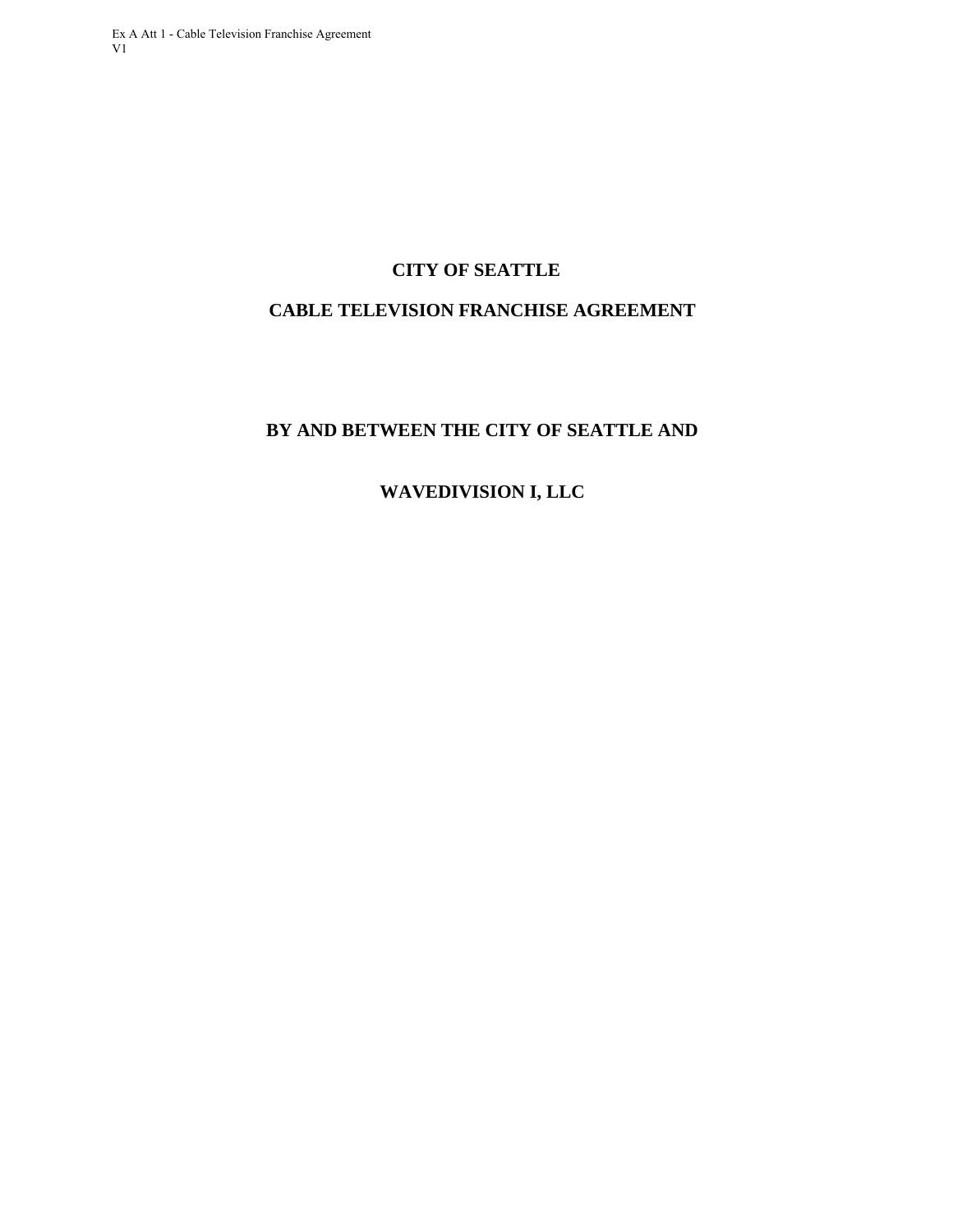# **CITY OF SEATTLE**

# **CABLE TELEVISION FRANCHISE AGREEMENT**

# **BY AND BETWEEN THE CITY OF SEATTLE AND**

# **WAVEDIVISION I, LLC**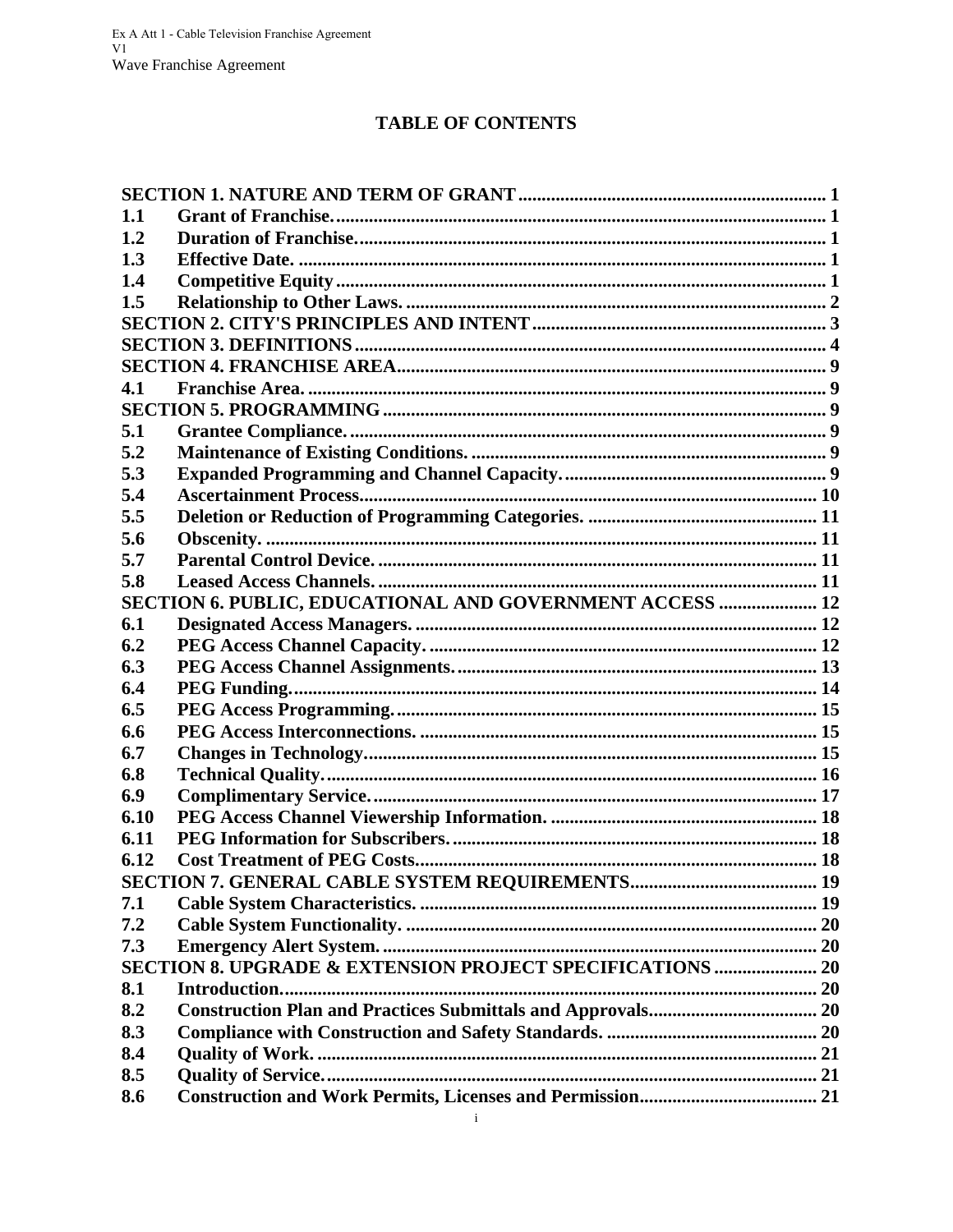# **TABLE OF CONTENTS**

| 1.1  |                                                           |  |
|------|-----------------------------------------------------------|--|
| 1.2  |                                                           |  |
| 1.3  |                                                           |  |
| 1.4  |                                                           |  |
| 1.5  |                                                           |  |
|      |                                                           |  |
|      |                                                           |  |
|      |                                                           |  |
| 4.1  |                                                           |  |
|      |                                                           |  |
| 5.1  |                                                           |  |
| 5.2  |                                                           |  |
| 5.3  |                                                           |  |
| 5.4  |                                                           |  |
| 5.5  |                                                           |  |
| 5.6  |                                                           |  |
| 5.7  |                                                           |  |
| 5.8  |                                                           |  |
|      | SECTION 6. PUBLIC, EDUCATIONAL AND GOVERNMENT ACCESS  12  |  |
| 6.1  |                                                           |  |
| 6.2  |                                                           |  |
| 6.3  |                                                           |  |
| 6.4  |                                                           |  |
| 6.5  |                                                           |  |
| 6.6  |                                                           |  |
| 6.7  |                                                           |  |
| 6.8  |                                                           |  |
| 6.9  |                                                           |  |
| 6.10 |                                                           |  |
| 6.11 |                                                           |  |
| 6.12 |                                                           |  |
|      |                                                           |  |
| 7.1  |                                                           |  |
| 7.2  |                                                           |  |
| 7.3  |                                                           |  |
|      | SECTION 8. UPGRADE & EXTENSION PROJECT SPECIFICATIONS  20 |  |
| 8.1  |                                                           |  |
| 8.2  |                                                           |  |
| 8.3  |                                                           |  |
| 8.4  |                                                           |  |
| 8.5  |                                                           |  |
| 8.6  |                                                           |  |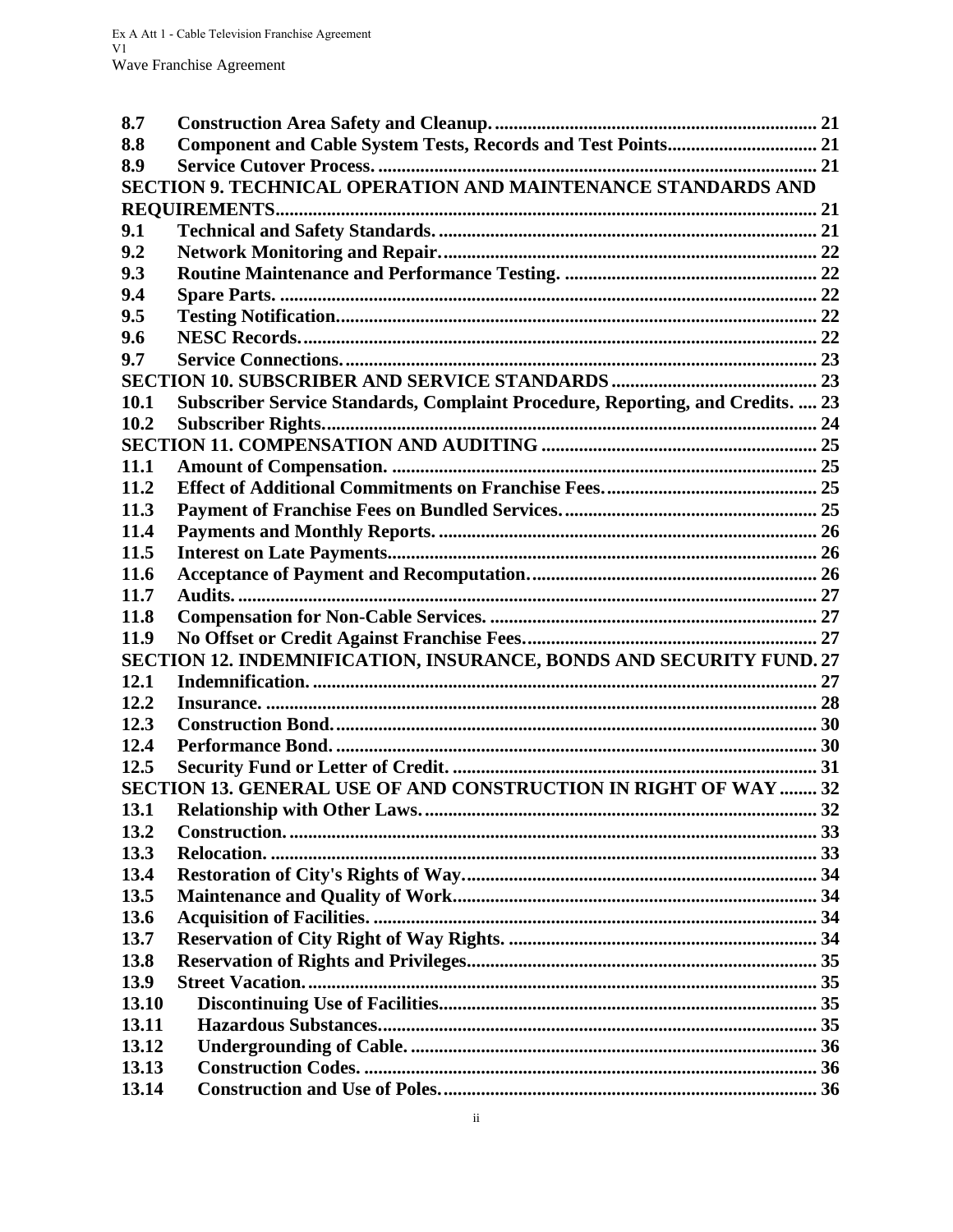| 8.7   |                                                                                |  |
|-------|--------------------------------------------------------------------------------|--|
| 8.8   |                                                                                |  |
| 8.9   |                                                                                |  |
|       | SECTION 9. TECHNICAL OPERATION AND MAINTENANCE STANDARDS AND                   |  |
|       |                                                                                |  |
| 9.1   |                                                                                |  |
| 9.2   |                                                                                |  |
| 9.3   |                                                                                |  |
| 9.4   |                                                                                |  |
| 9.5   |                                                                                |  |
| 9.6   |                                                                                |  |
| 9.7   |                                                                                |  |
|       |                                                                                |  |
| 10.1  | Subscriber Service Standards, Complaint Procedure, Reporting, and Credits.  23 |  |
| 10.2  |                                                                                |  |
|       |                                                                                |  |
| 11.1  |                                                                                |  |
| 11.2  |                                                                                |  |
| 11.3  |                                                                                |  |
| 11.4  |                                                                                |  |
| 11.5  |                                                                                |  |
| 11.6  |                                                                                |  |
| 11.7  |                                                                                |  |
| 11.8  |                                                                                |  |
| 11.9  |                                                                                |  |
|       | SECTION 12. INDEMNIFICATION, INSURANCE, BONDS AND SECURITY FUND. 27            |  |
| 12.1  |                                                                                |  |
| 12.2  |                                                                                |  |
| 12.3  |                                                                                |  |
| 12.4  |                                                                                |  |
| 12.5  |                                                                                |  |
|       | SECTION 13. GENERAL USE OF AND CONSTRUCTION IN RIGHT OF WAY  32                |  |
| 13.1  |                                                                                |  |
| 13.2  |                                                                                |  |
| 13.3  |                                                                                |  |
| 13.4  |                                                                                |  |
| 13.5  |                                                                                |  |
| 13.6  |                                                                                |  |
| 13.7  |                                                                                |  |
| 13.8  |                                                                                |  |
| 13.9  |                                                                                |  |
| 13.10 |                                                                                |  |
| 13.11 |                                                                                |  |
| 13.12 |                                                                                |  |
| 13.13 |                                                                                |  |
| 13.14 |                                                                                |  |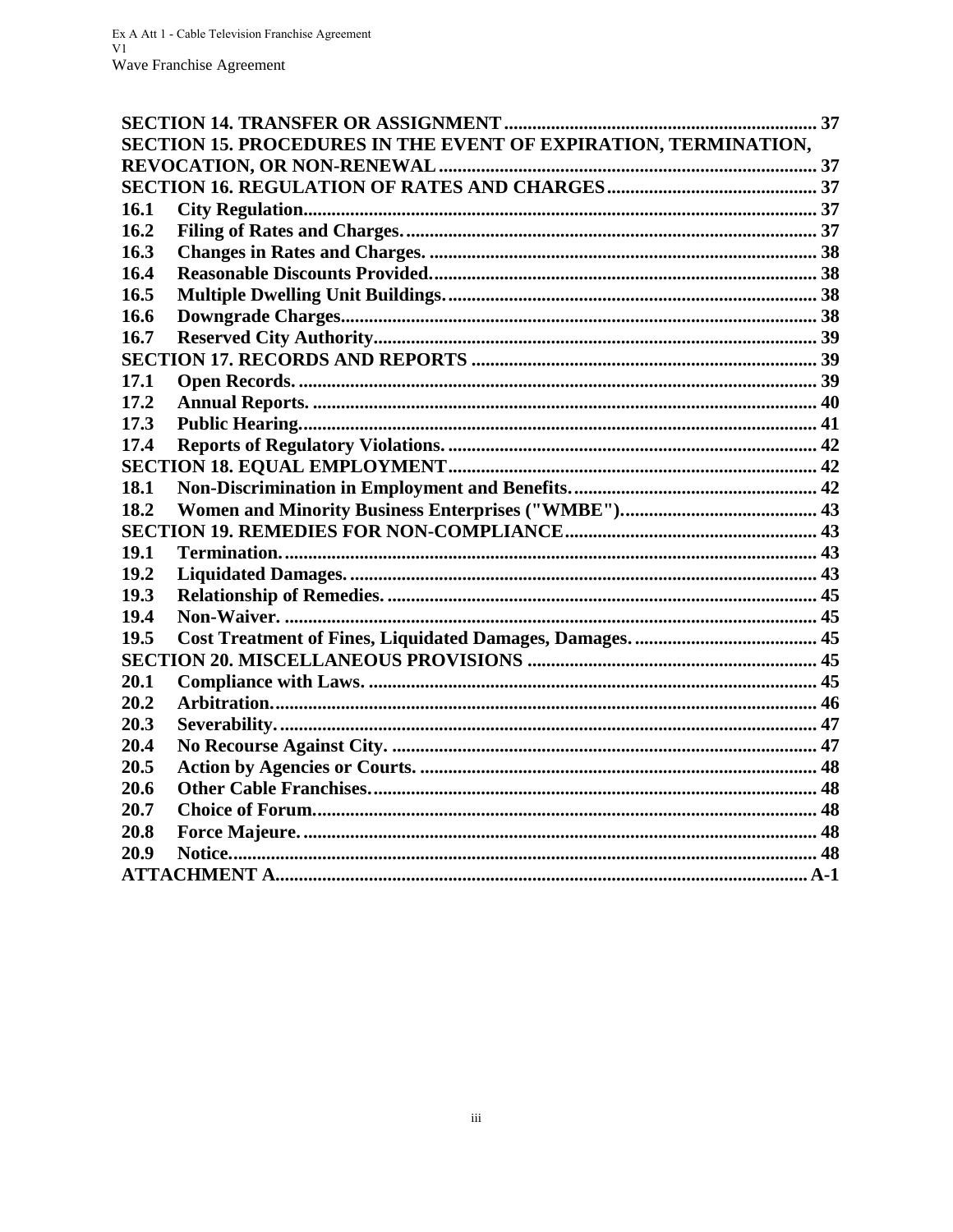|      | SECTION 15. PROCEDURES IN THE EVENT OF EXPIRATION, TERMINATION, |  |
|------|-----------------------------------------------------------------|--|
|      |                                                                 |  |
|      |                                                                 |  |
| 16.1 |                                                                 |  |
| 16.2 |                                                                 |  |
| 16.3 |                                                                 |  |
| 16.4 |                                                                 |  |
| 16.5 |                                                                 |  |
| 16.6 |                                                                 |  |
| 16.7 |                                                                 |  |
|      |                                                                 |  |
| 17.1 |                                                                 |  |
| 17.2 |                                                                 |  |
| 17.3 |                                                                 |  |
| 17.4 |                                                                 |  |
|      |                                                                 |  |
| 18.1 |                                                                 |  |
| 18.2 |                                                                 |  |
|      |                                                                 |  |
| 19.1 |                                                                 |  |
| 19.2 |                                                                 |  |
| 19.3 |                                                                 |  |
| 19.4 |                                                                 |  |
| 19.5 |                                                                 |  |
|      |                                                                 |  |
| 20.1 |                                                                 |  |
| 20.2 |                                                                 |  |
| 20.3 |                                                                 |  |
| 20.4 |                                                                 |  |
| 20.5 |                                                                 |  |
| 20.6 |                                                                 |  |
| 20.7 |                                                                 |  |
| 20.8 |                                                                 |  |
| 20.9 |                                                                 |  |
|      |                                                                 |  |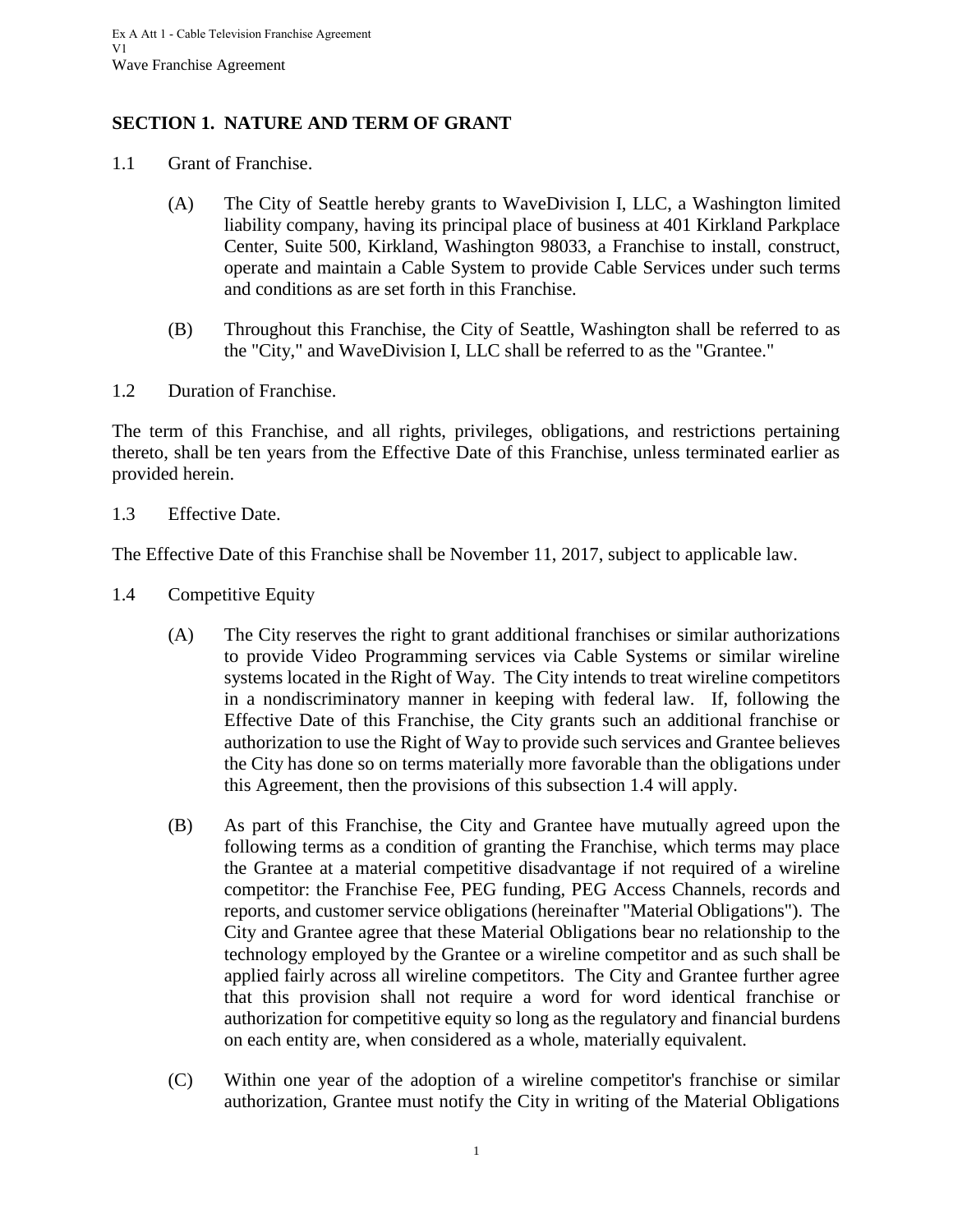# <span id="page-4-0"></span>**SECTION 1. NATURE AND TERM OF GRANT**

- <span id="page-4-1"></span>1.1 Grant of Franchise.
	- (A) The City of Seattle hereby grants to WaveDivision I, LLC, a Washington limited liability company, having its principal place of business at 401 Kirkland Parkplace Center, Suite 500, Kirkland, Washington 98033, a Franchise to install, construct, operate and maintain a Cable System to provide Cable Services under such terms and conditions as are set forth in this Franchise.
	- (B) Throughout this Franchise, the City of Seattle, Washington shall be referred to as the "City," and WaveDivision I, LLC shall be referred to as the "Grantee."
- <span id="page-4-2"></span>1.2 Duration of Franchise.

The term of this Franchise, and all rights, privileges, obligations, and restrictions pertaining thereto, shall be ten years from the Effective Date of this Franchise, unless terminated earlier as provided herein.

<span id="page-4-3"></span>1.3 Effective Date.

The Effective Date of this Franchise shall be November 11, 2017, subject to applicable law.

- <span id="page-4-4"></span>1.4 Competitive Equity
	- (A) The City reserves the right to grant additional franchises or similar authorizations to provide Video Programming services via Cable Systems or similar wireline systems located in the Right of Way. The City intends to treat wireline competitors in a nondiscriminatory manner in keeping with federal law. If, following the Effective Date of this Franchise, the City grants such an additional franchise or authorization to use the Right of Way to provide such services and Grantee believes the City has done so on terms materially more favorable than the obligations under this Agreement, then the provisions of this subsection 1.4 will apply.
	- (B) As part of this Franchise, the City and Grantee have mutually agreed upon the following terms as a condition of granting the Franchise, which terms may place the Grantee at a material competitive disadvantage if not required of a wireline competitor: the Franchise Fee, PEG funding, PEG Access Channels, records and reports, and customer service obligations (hereinafter "Material Obligations"). The City and Grantee agree that these Material Obligations bear no relationship to the technology employed by the Grantee or a wireline competitor and as such shall be applied fairly across all wireline competitors. The City and Grantee further agree that this provision shall not require a word for word identical franchise or authorization for competitive equity so long as the regulatory and financial burdens on each entity are, when considered as a whole, materially equivalent.
	- (C) Within one year of the adoption of a wireline competitor's franchise or similar authorization, Grantee must notify the City in writing of the Material Obligations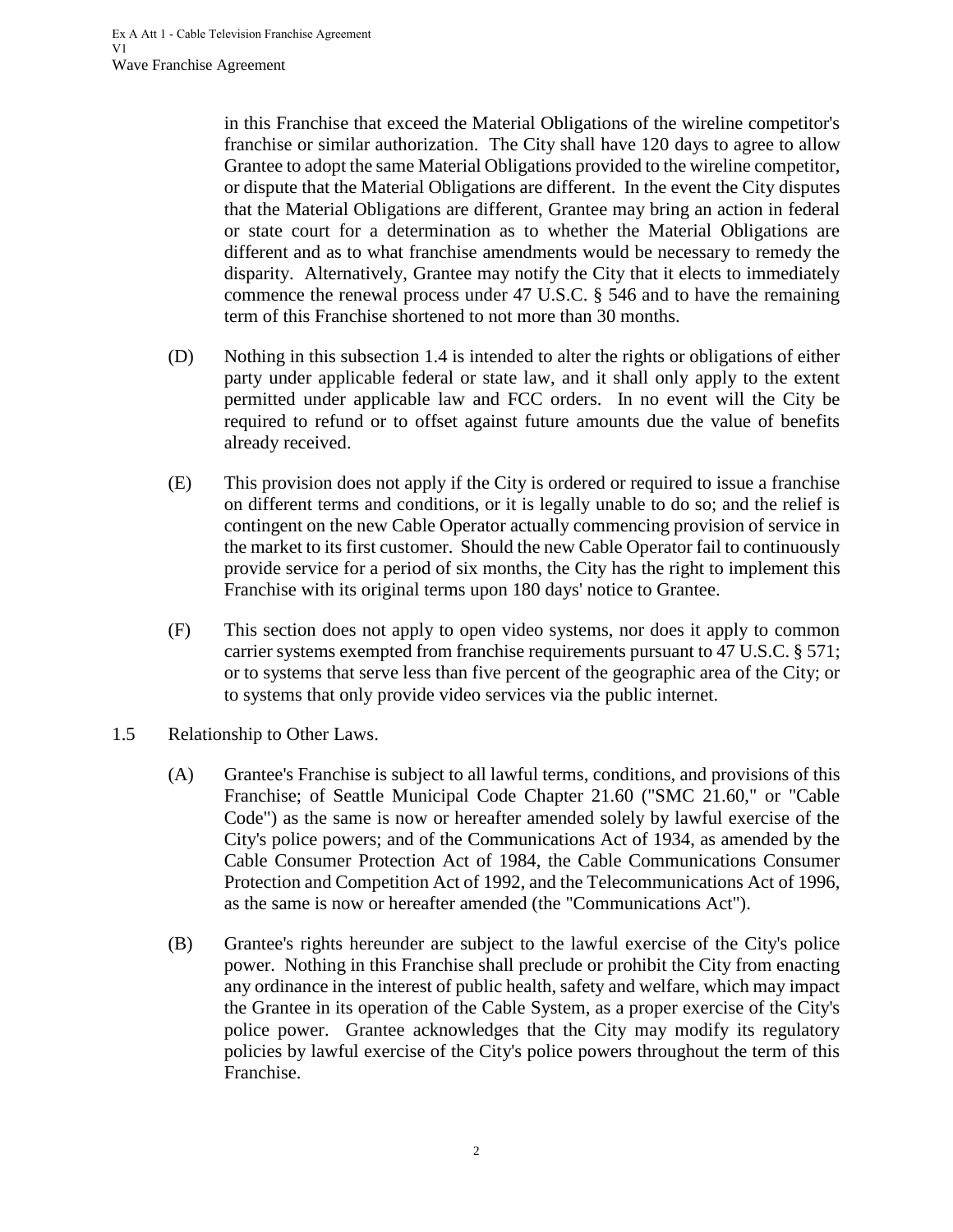in this Franchise that exceed the Material Obligations of the wireline competitor's franchise or similar authorization. The City shall have 120 days to agree to allow Grantee to adopt the same Material Obligations provided to the wireline competitor, or dispute that the Material Obligations are different. In the event the City disputes that the Material Obligations are different, Grantee may bring an action in federal or state court for a determination as to whether the Material Obligations are different and as to what franchise amendments would be necessary to remedy the disparity. Alternatively, Grantee may notify the City that it elects to immediately commence the renewal process under 47 U.S.C. § 546 and to have the remaining term of this Franchise shortened to not more than 30 months.

- (D) Nothing in this subsection 1.4 is intended to alter the rights or obligations of either party under applicable federal or state law, and it shall only apply to the extent permitted under applicable law and FCC orders. In no event will the City be required to refund or to offset against future amounts due the value of benefits already received.
- (E) This provision does not apply if the City is ordered or required to issue a franchise on different terms and conditions, or it is legally unable to do so; and the relief is contingent on the new Cable Operator actually commencing provision of service in the market to its first customer. Should the new Cable Operator fail to continuously provide service for a period of six months, the City has the right to implement this Franchise with its original terms upon 180 days' notice to Grantee.
- (F) This section does not apply to open video systems, nor does it apply to common carrier systems exempted from franchise requirements pursuant to 47 U.S.C. § 571; or to systems that serve less than five percent of the geographic area of the City; or to systems that only provide video services via the public internet.
- <span id="page-5-0"></span>1.5 Relationship to Other Laws.
	- (A) Grantee's Franchise is subject to all lawful terms, conditions, and provisions of this Franchise; of Seattle Municipal Code Chapter 21.60 ("SMC 21.60," or "Cable Code") as the same is now or hereafter amended solely by lawful exercise of the City's police powers; and of the Communications Act of 1934, as amended by the Cable Consumer Protection Act of 1984, the Cable Communications Consumer Protection and Competition Act of 1992, and the Telecommunications Act of 1996, as the same is now or hereafter amended (the "Communications Act").
	- (B) Grantee's rights hereunder are subject to the lawful exercise of the City's police power. Nothing in this Franchise shall preclude or prohibit the City from enacting any ordinance in the interest of public health, safety and welfare, which may impact the Grantee in its operation of the Cable System, as a proper exercise of the City's police power. Grantee acknowledges that the City may modify its regulatory policies by lawful exercise of the City's police powers throughout the term of this Franchise.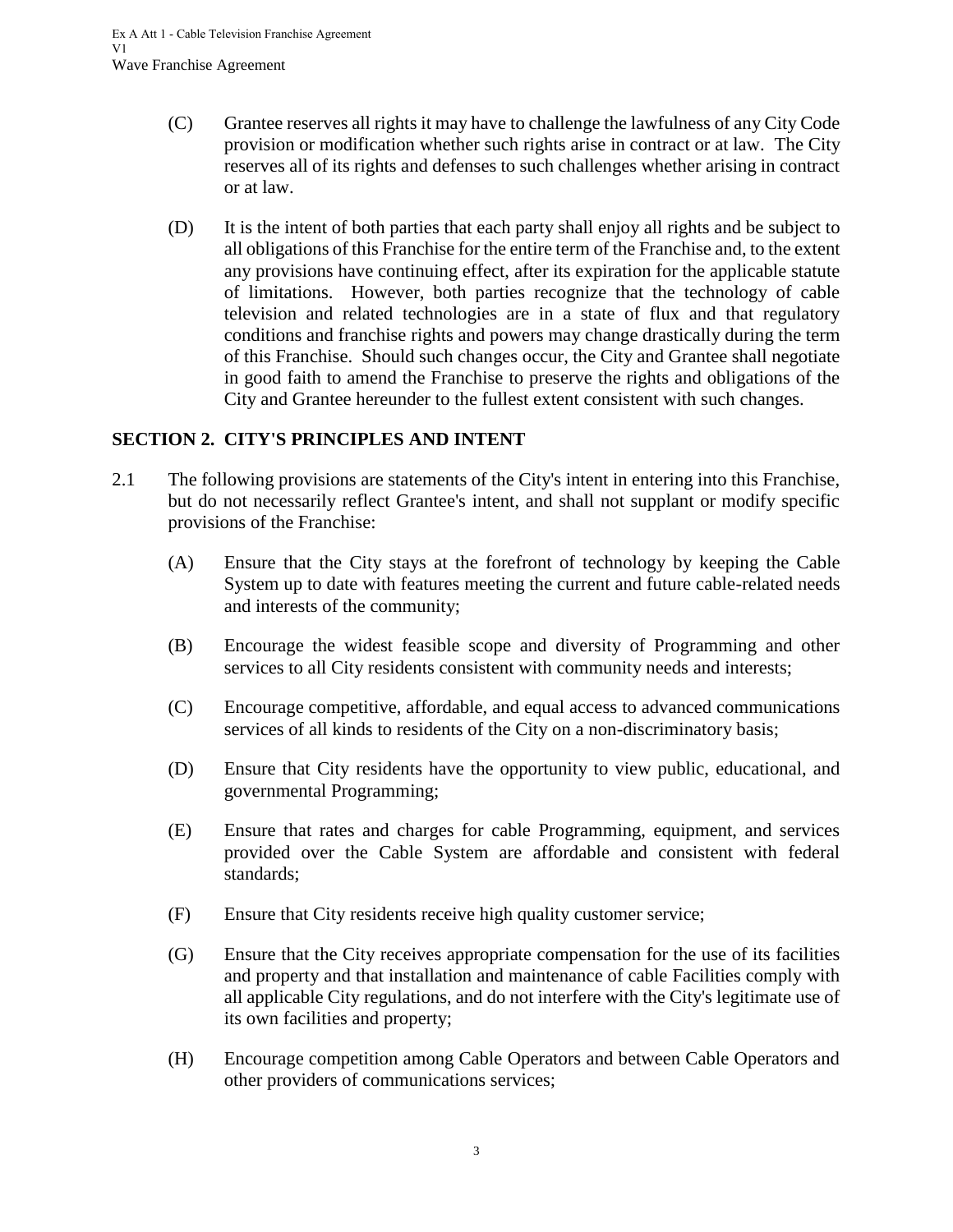- (C) Grantee reserves all rights it may have to challenge the lawfulness of any City Code provision or modification whether such rights arise in contract or at law. The City reserves all of its rights and defenses to such challenges whether arising in contract or at law.
- (D) It is the intent of both parties that each party shall enjoy all rights and be subject to all obligations of this Franchise for the entire term of the Franchise and, to the extent any provisions have continuing effect, after its expiration for the applicable statute of limitations. However, both parties recognize that the technology of cable television and related technologies are in a state of flux and that regulatory conditions and franchise rights and powers may change drastically during the term of this Franchise. Should such changes occur, the City and Grantee shall negotiate in good faith to amend the Franchise to preserve the rights and obligations of the City and Grantee hereunder to the fullest extent consistent with such changes.

## <span id="page-6-0"></span>**SECTION 2. CITY'S PRINCIPLES AND INTENT**

- 2.1 The following provisions are statements of the City's intent in entering into this Franchise, but do not necessarily reflect Grantee's intent, and shall not supplant or modify specific provisions of the Franchise:
	- (A) Ensure that the City stays at the forefront of technology by keeping the Cable System up to date with features meeting the current and future cable-related needs and interests of the community;
	- (B) Encourage the widest feasible scope and diversity of Programming and other services to all City residents consistent with community needs and interests;
	- (C) Encourage competitive, affordable, and equal access to advanced communications services of all kinds to residents of the City on a non-discriminatory basis;
	- (D) Ensure that City residents have the opportunity to view public, educational, and governmental Programming;
	- (E) Ensure that rates and charges for cable Programming, equipment, and services provided over the Cable System are affordable and consistent with federal standards;
	- (F) Ensure that City residents receive high quality customer service;
	- (G) Ensure that the City receives appropriate compensation for the use of its facilities and property and that installation and maintenance of cable Facilities comply with all applicable City regulations, and do not interfere with the City's legitimate use of its own facilities and property;
	- (H) Encourage competition among Cable Operators and between Cable Operators and other providers of communications services;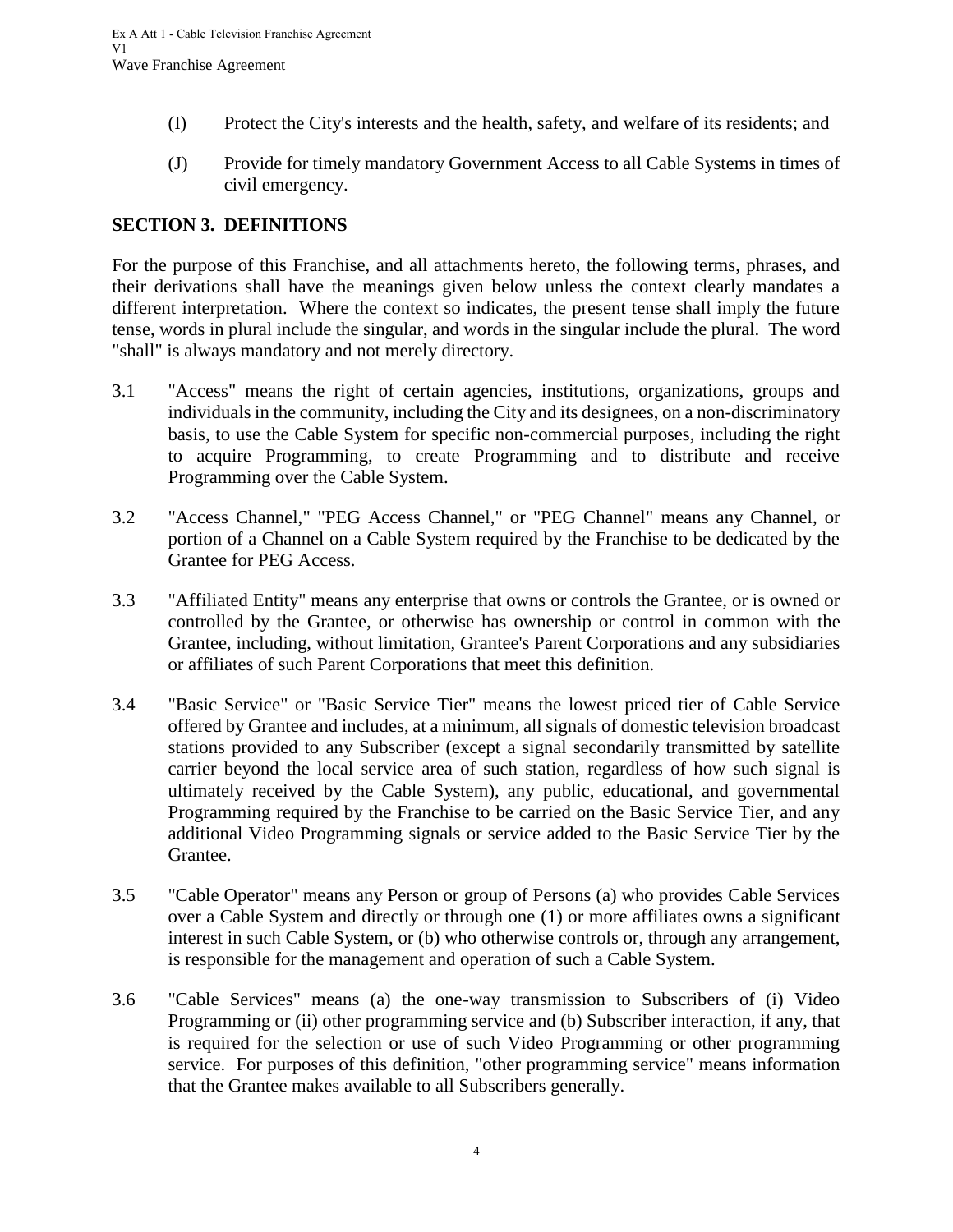- (I) Protect the City's interests and the health, safety, and welfare of its residents; and
- <span id="page-7-0"></span>(J) Provide for timely mandatory Government Access to all Cable Systems in times of civil emergency.

#### **SECTION 3. DEFINITIONS**

For the purpose of this Franchise, and all attachments hereto, the following terms, phrases, and their derivations shall have the meanings given below unless the context clearly mandates a different interpretation. Where the context so indicates, the present tense shall imply the future tense, words in plural include the singular, and words in the singular include the plural. The word "shall" is always mandatory and not merely directory.

- 3.1 "Access" means the right of certain agencies, institutions, organizations, groups and individuals in the community, including the City and its designees, on a non-discriminatory basis, to use the Cable System for specific non-commercial purposes, including the right to acquire Programming, to create Programming and to distribute and receive Programming over the Cable System.
- 3.2 "Access Channel," "PEG Access Channel," or "PEG Channel" means any Channel, or portion of a Channel on a Cable System required by the Franchise to be dedicated by the Grantee for PEG Access.
- 3.3 "Affiliated Entity" means any enterprise that owns or controls the Grantee, or is owned or controlled by the Grantee, or otherwise has ownership or control in common with the Grantee, including, without limitation, Grantee's Parent Corporations and any subsidiaries or affiliates of such Parent Corporations that meet this definition.
- 3.4 "Basic Service" or "Basic Service Tier" means the lowest priced tier of Cable Service offered by Grantee and includes, at a minimum, all signals of domestic television broadcast stations provided to any Subscriber (except a signal secondarily transmitted by satellite carrier beyond the local service area of such station, regardless of how such signal is ultimately received by the Cable System), any public, educational, and governmental Programming required by the Franchise to be carried on the Basic Service Tier, and any additional Video Programming signals or service added to the Basic Service Tier by the Grantee.
- 3.5 "Cable Operator" means any Person or group of Persons (a) who provides Cable Services over a Cable System and directly or through one (1) or more affiliates owns a significant interest in such Cable System, or (b) who otherwise controls or, through any arrangement, is responsible for the management and operation of such a Cable System.
- 3.6 "Cable Services" means (a) the one-way transmission to Subscribers of (i) Video Programming or (ii) other programming service and (b) Subscriber interaction, if any, that is required for the selection or use of such Video Programming or other programming service. For purposes of this definition, "other programming service" means information that the Grantee makes available to all Subscribers generally.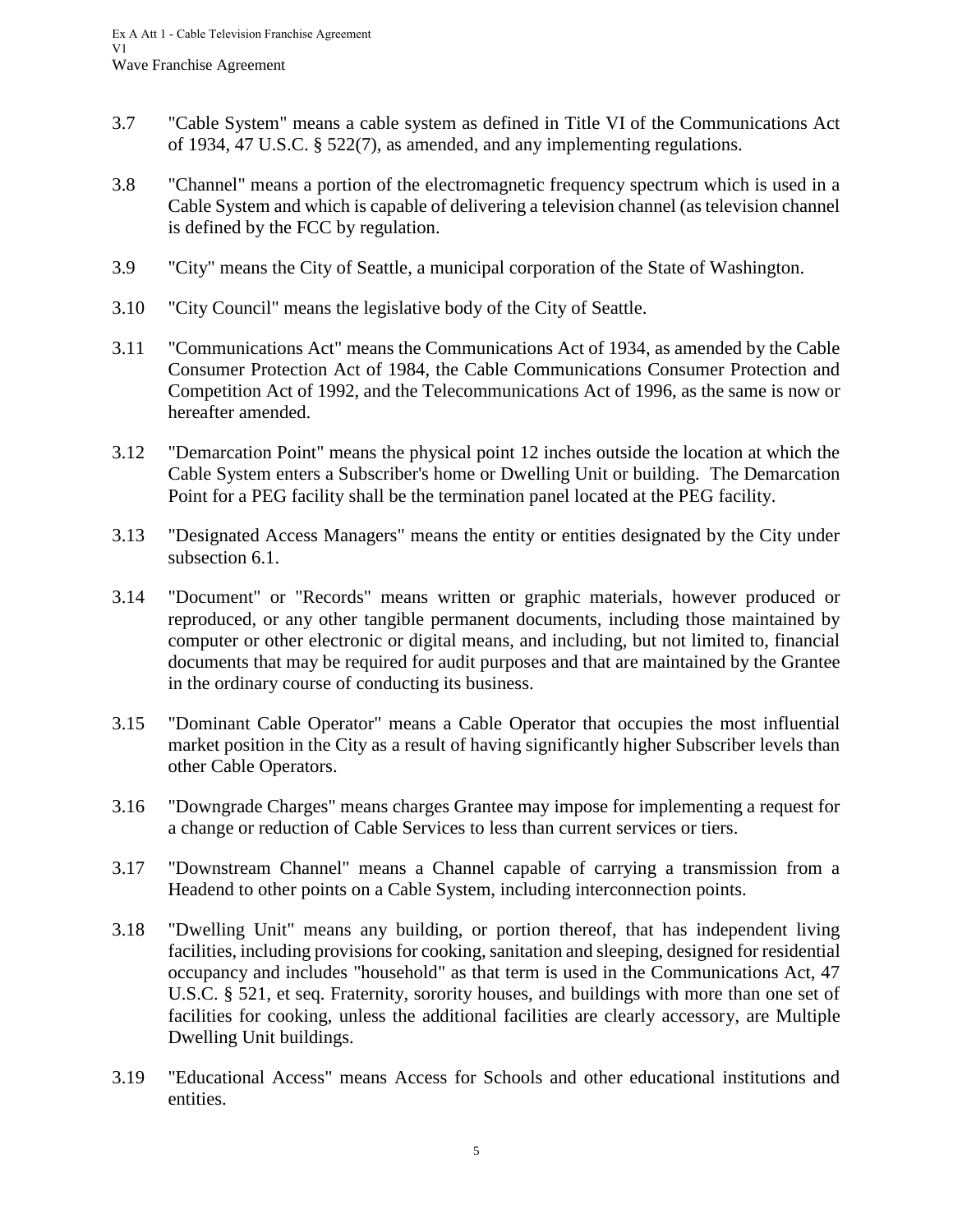- 3.7 "Cable System" means a cable system as defined in Title VI of the Communications Act of 1934, 47 U.S.C. § 522(7), as amended, and any implementing regulations.
- 3.8 "Channel" means a portion of the electromagnetic frequency spectrum which is used in a Cable System and which is capable of delivering a television channel (as television channel is defined by the FCC by regulation.
- 3.9 "City" means the City of Seattle, a municipal corporation of the State of Washington.
- 3.10 "City Council" means the legislative body of the City of Seattle.
- 3.11 "Communications Act" means the Communications Act of 1934, as amended by the Cable Consumer Protection Act of 1984, the Cable Communications Consumer Protection and Competition Act of 1992, and the Telecommunications Act of 1996, as the same is now or hereafter amended.
- 3.12 "Demarcation Point" means the physical point 12 inches outside the location at which the Cable System enters a Subscriber's home or Dwelling Unit or building. The Demarcation Point for a PEG facility shall be the termination panel located at the PEG facility.
- 3.13 "Designated Access Managers" means the entity or entities designated by the City under subsection 6.1.
- 3.14 "Document" or "Records" means written or graphic materials, however produced or reproduced, or any other tangible permanent documents, including those maintained by computer or other electronic or digital means, and including, but not limited to, financial documents that may be required for audit purposes and that are maintained by the Grantee in the ordinary course of conducting its business.
- 3.15 "Dominant Cable Operator" means a Cable Operator that occupies the most influential market position in the City as a result of having significantly higher Subscriber levels than other Cable Operators.
- 3.16 "Downgrade Charges" means charges Grantee may impose for implementing a request for a change or reduction of Cable Services to less than current services or tiers.
- 3.17 "Downstream Channel" means a Channel capable of carrying a transmission from a Headend to other points on a Cable System, including interconnection points.
- 3.18 "Dwelling Unit" means any building, or portion thereof, that has independent living facilities, including provisions for cooking, sanitation and sleeping, designed for residential occupancy and includes "household" as that term is used in the Communications Act, 47 U.S.C. § 521, et seq. Fraternity, sorority houses, and buildings with more than one set of facilities for cooking, unless the additional facilities are clearly accessory, are Multiple Dwelling Unit buildings.
- 3.19 "Educational Access" means Access for Schools and other educational institutions and entities.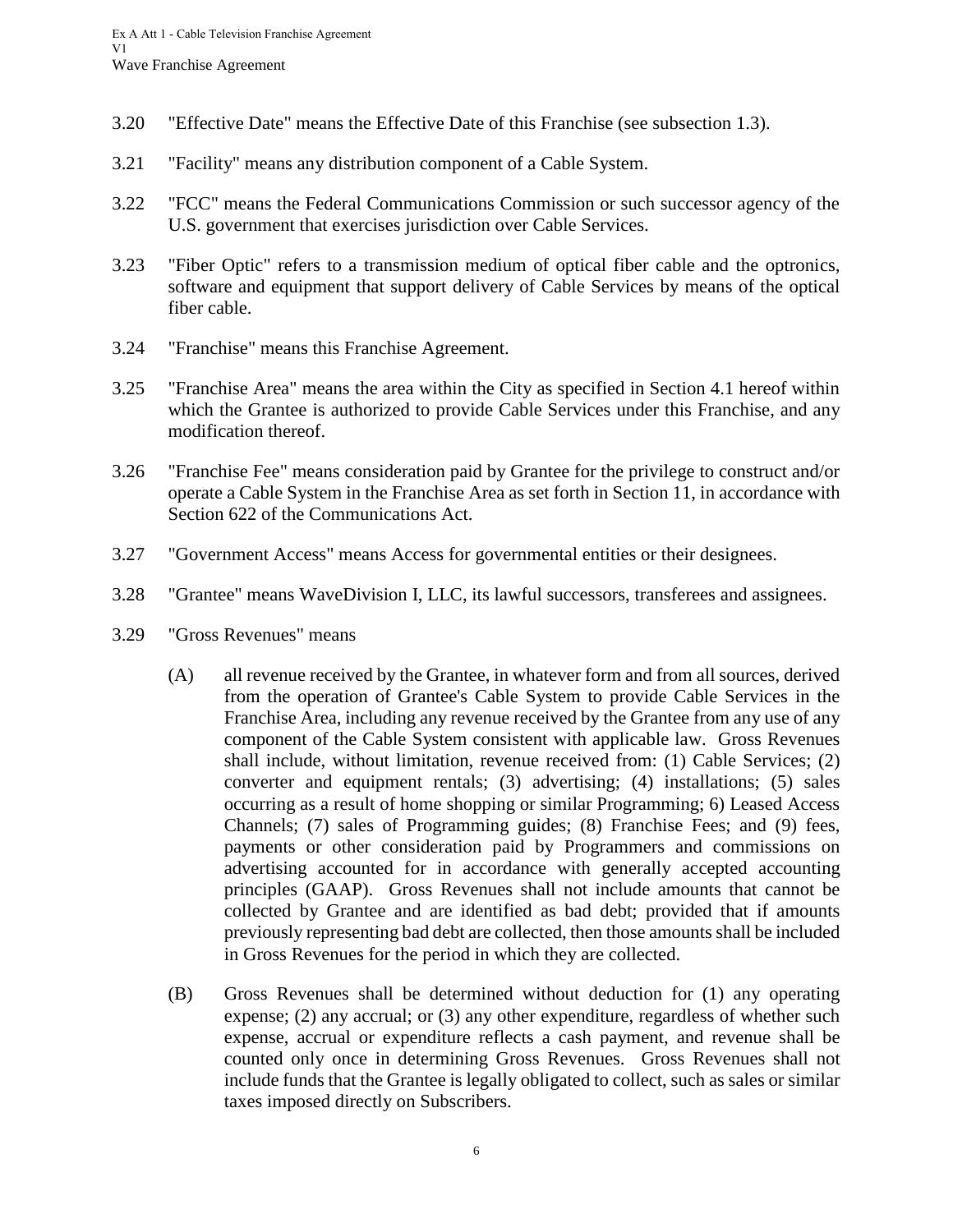- 3.20 "Effective Date" means the Effective Date of this Franchise (see subsection 1.3).
- 3.21 "Facility" means any distribution component of a Cable System.
- 3.22 "FCC" means the Federal Communications Commission or such successor agency of the U.S. government that exercises jurisdiction over Cable Services.
- 3.23 "Fiber Optic" refers to a transmission medium of optical fiber cable and the optronics, software and equipment that support delivery of Cable Services by means of the optical fiber cable.
- 3.24 "Franchise" means this Franchise Agreement.
- 3.25 "Franchise Area" means the area within the City as specified in Section 4.1 hereof within which the Grantee is authorized to provide Cable Services under this Franchise, and any modification thereof.
- 3.26 "Franchise Fee" means consideration paid by Grantee for the privilege to construct and/or operate a Cable System in the Franchise Area as set forth in Section 11, in accordance with Section 622 of the Communications Act.
- 3.27 "Government Access" means Access for governmental entities or their designees.
- 3.28 "Grantee" means WaveDivision I, LLC, its lawful successors, transferees and assignees.
- 3.29 "Gross Revenues" means
	- (A) all revenue received by the Grantee, in whatever form and from all sources, derived from the operation of Grantee's Cable System to provide Cable Services in the Franchise Area, including any revenue received by the Grantee from any use of any component of the Cable System consistent with applicable law. Gross Revenues shall include, without limitation, revenue received from: (1) Cable Services; (2) converter and equipment rentals; (3) advertising; (4) installations; (5) sales occurring as a result of home shopping or similar Programming; 6) Leased Access Channels; (7) sales of Programming guides; (8) Franchise Fees; and (9) fees, payments or other consideration paid by Programmers and commissions on advertising accounted for in accordance with generally accepted accounting principles (GAAP). Gross Revenues shall not include amounts that cannot be collected by Grantee and are identified as bad debt; provided that if amounts previously representing bad debt are collected, then those amounts shall be included in Gross Revenues for the period in which they are collected.
	- (B) Gross Revenues shall be determined without deduction for (1) any operating expense; (2) any accrual; or (3) any other expenditure, regardless of whether such expense, accrual or expenditure reflects a cash payment, and revenue shall be counted only once in determining Gross Revenues. Gross Revenues shall not include funds that the Grantee is legally obligated to collect, such as sales or similar taxes imposed directly on Subscribers.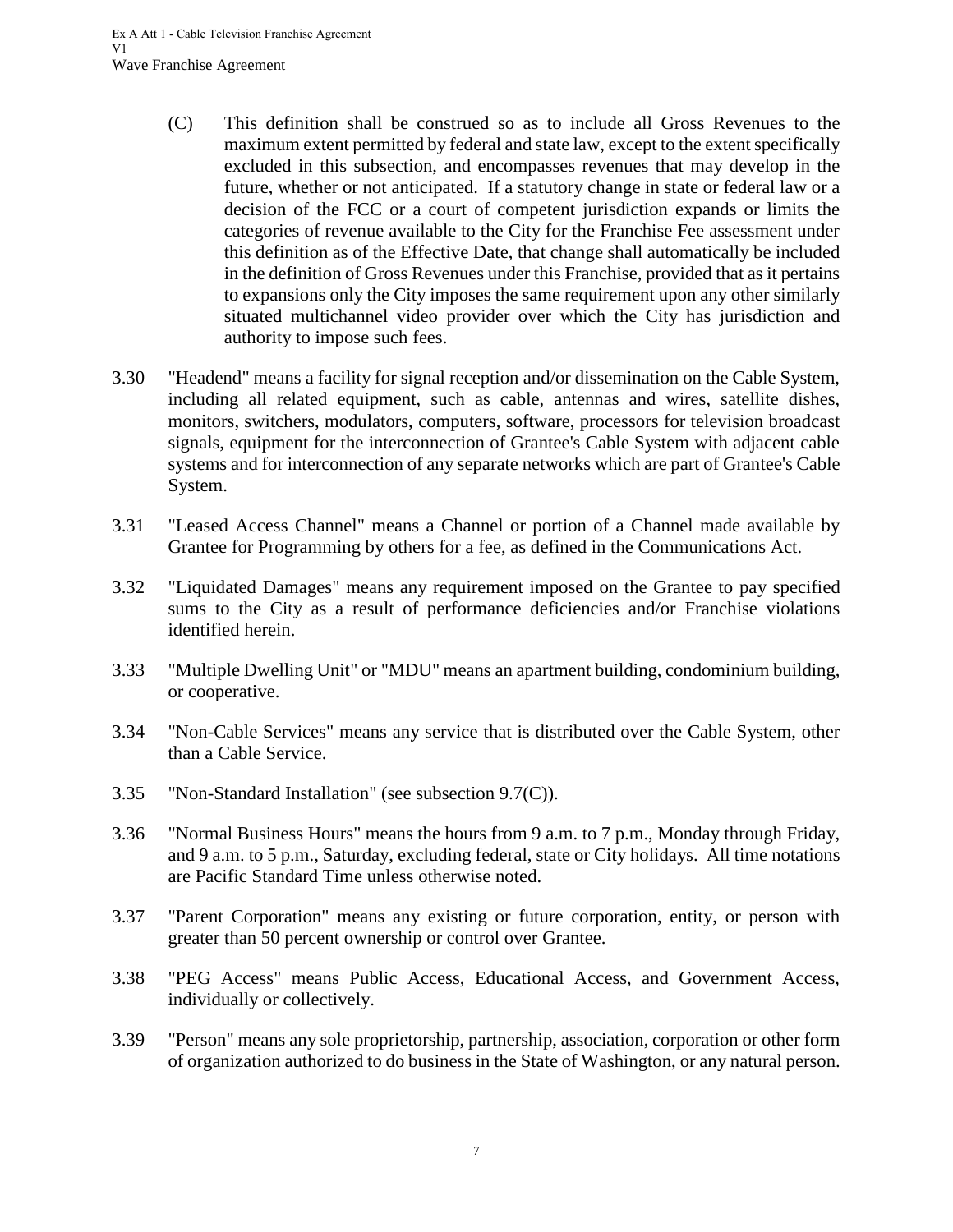- (C) This definition shall be construed so as to include all Gross Revenues to the maximum extent permitted by federal and state law, except to the extent specifically excluded in this subsection, and encompasses revenues that may develop in the future, whether or not anticipated. If a statutory change in state or federal law or a decision of the FCC or a court of competent jurisdiction expands or limits the categories of revenue available to the City for the Franchise Fee assessment under this definition as of the Effective Date, that change shall automatically be included in the definition of Gross Revenues under this Franchise, provided that as it pertains to expansions only the City imposes the same requirement upon any other similarly situated multichannel video provider over which the City has jurisdiction and authority to impose such fees.
- 3.30 "Headend" means a facility for signal reception and/or dissemination on the Cable System, including all related equipment, such as cable, antennas and wires, satellite dishes, monitors, switchers, modulators, computers, software, processors for television broadcast signals, equipment for the interconnection of Grantee's Cable System with adjacent cable systems and for interconnection of any separate networks which are part of Grantee's Cable System.
- 3.31 "Leased Access Channel" means a Channel or portion of a Channel made available by Grantee for Programming by others for a fee, as defined in the Communications Act.
- 3.32 "Liquidated Damages" means any requirement imposed on the Grantee to pay specified sums to the City as a result of performance deficiencies and/or Franchise violations identified herein.
- 3.33 "Multiple Dwelling Unit" or "MDU" means an apartment building, condominium building, or cooperative.
- 3.34 "Non-Cable Services" means any service that is distributed over the Cable System, other than a Cable Service.
- 3.35 "Non-Standard Installation" (see subsection 9.7(C)).
- 3.36 "Normal Business Hours" means the hours from 9 a.m. to 7 p.m., Monday through Friday, and 9 a.m. to 5 p.m., Saturday, excluding federal, state or City holidays. All time notations are Pacific Standard Time unless otherwise noted.
- 3.37 "Parent Corporation" means any existing or future corporation, entity, or person with greater than 50 percent ownership or control over Grantee.
- 3.38 "PEG Access" means Public Access, Educational Access, and Government Access, individually or collectively.
- 3.39 "Person" means any sole proprietorship, partnership, association, corporation or other form of organization authorized to do business in the State of Washington, or any natural person.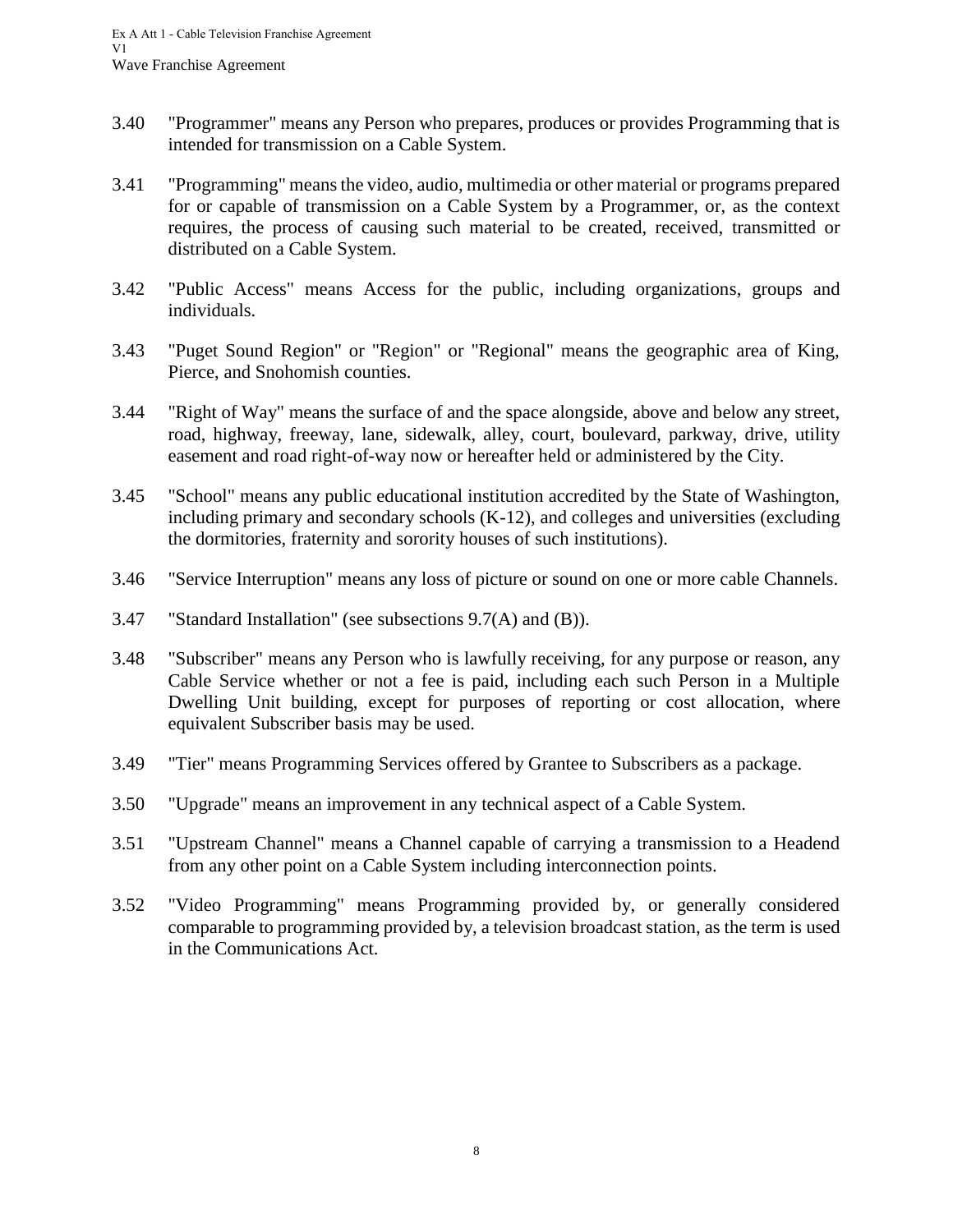- 3.40 "Programmer" means any Person who prepares, produces or provides Programming that is intended for transmission on a Cable System.
- 3.41 "Programming" means the video, audio, multimedia or other material or programs prepared for or capable of transmission on a Cable System by a Programmer, or, as the context requires, the process of causing such material to be created, received, transmitted or distributed on a Cable System.
- 3.42 "Public Access" means Access for the public, including organizations, groups and individuals.
- 3.43 "Puget Sound Region" or "Region" or "Regional" means the geographic area of King, Pierce, and Snohomish counties.
- 3.44 "Right of Way" means the surface of and the space alongside, above and below any street, road, highway, freeway, lane, sidewalk, alley, court, boulevard, parkway, drive, utility easement and road right-of-way now or hereafter held or administered by the City.
- 3.45 "School" means any public educational institution accredited by the State of Washington, including primary and secondary schools (K-12), and colleges and universities (excluding the dormitories, fraternity and sorority houses of such institutions).
- 3.46 "Service Interruption" means any loss of picture or sound on one or more cable Channels.
- 3.47 "Standard Installation" (see subsections 9.7(A) and (B)).
- 3.48 "Subscriber" means any Person who is lawfully receiving, for any purpose or reason, any Cable Service whether or not a fee is paid, including each such Person in a Multiple Dwelling Unit building, except for purposes of reporting or cost allocation, where equivalent Subscriber basis may be used.
- 3.49 "Tier" means Programming Services offered by Grantee to Subscribers as a package.
- 3.50 "Upgrade" means an improvement in any technical aspect of a Cable System.
- 3.51 "Upstream Channel" means a Channel capable of carrying a transmission to a Headend from any other point on a Cable System including interconnection points.
- 3.52 "Video Programming" means Programming provided by, or generally considered comparable to programming provided by, a television broadcast station, as the term is used in the Communications Act.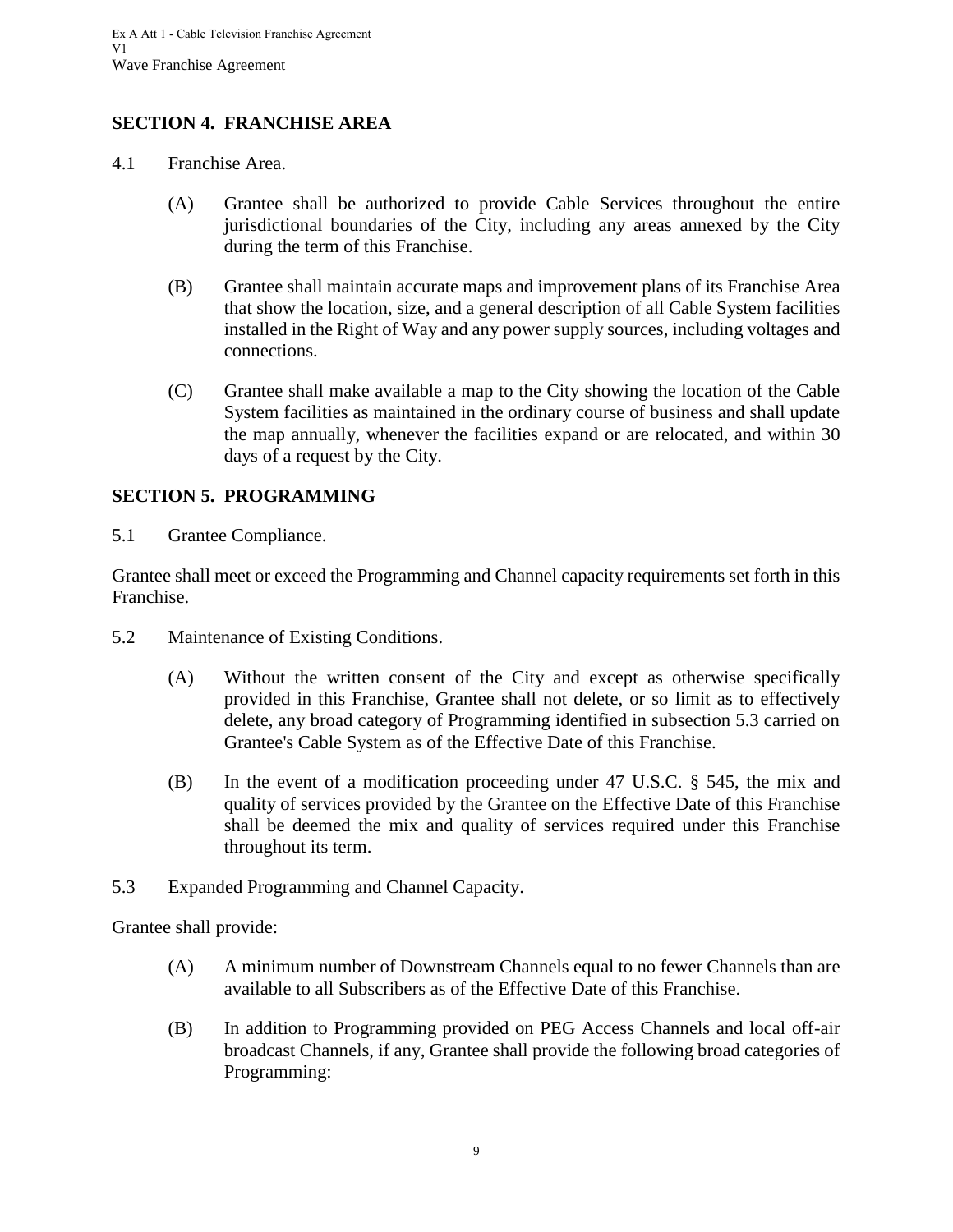#### <span id="page-12-0"></span>**SECTION 4. FRANCHISE AREA**

- <span id="page-12-1"></span>4.1 Franchise Area.
	- (A) Grantee shall be authorized to provide Cable Services throughout the entire jurisdictional boundaries of the City, including any areas annexed by the City during the term of this Franchise.
	- (B) Grantee shall maintain accurate maps and improvement plans of its Franchise Area that show the location, size, and a general description of all Cable System facilities installed in the Right of Way and any power supply sources, including voltages and connections.
	- (C) Grantee shall make available a map to the City showing the location of the Cable System facilities as maintained in the ordinary course of business and shall update the map annually, whenever the facilities expand or are relocated, and within 30 days of a request by the City.

#### <span id="page-12-2"></span>**SECTION 5. PROGRAMMING**

<span id="page-12-3"></span>5.1 Grantee Compliance.

Grantee shall meet or exceed the Programming and Channel capacity requirements set forth in this Franchise.

- <span id="page-12-4"></span>5.2 Maintenance of Existing Conditions.
	- (A) Without the written consent of the City and except as otherwise specifically provided in this Franchise, Grantee shall not delete, or so limit as to effectively delete, any broad category of Programming identified in subsection 5.3 carried on Grantee's Cable System as of the Effective Date of this Franchise.
	- (B) In the event of a modification proceeding under 47 U.S.C. § 545, the mix and quality of services provided by the Grantee on the Effective Date of this Franchise shall be deemed the mix and quality of services required under this Franchise throughout its term.
- <span id="page-12-5"></span>5.3 Expanded Programming and Channel Capacity.

Grantee shall provide:

- (A) A minimum number of Downstream Channels equal to no fewer Channels than are available to all Subscribers as of the Effective Date of this Franchise.
- (B) In addition to Programming provided on PEG Access Channels and local off-air broadcast Channels, if any, Grantee shall provide the following broad categories of Programming: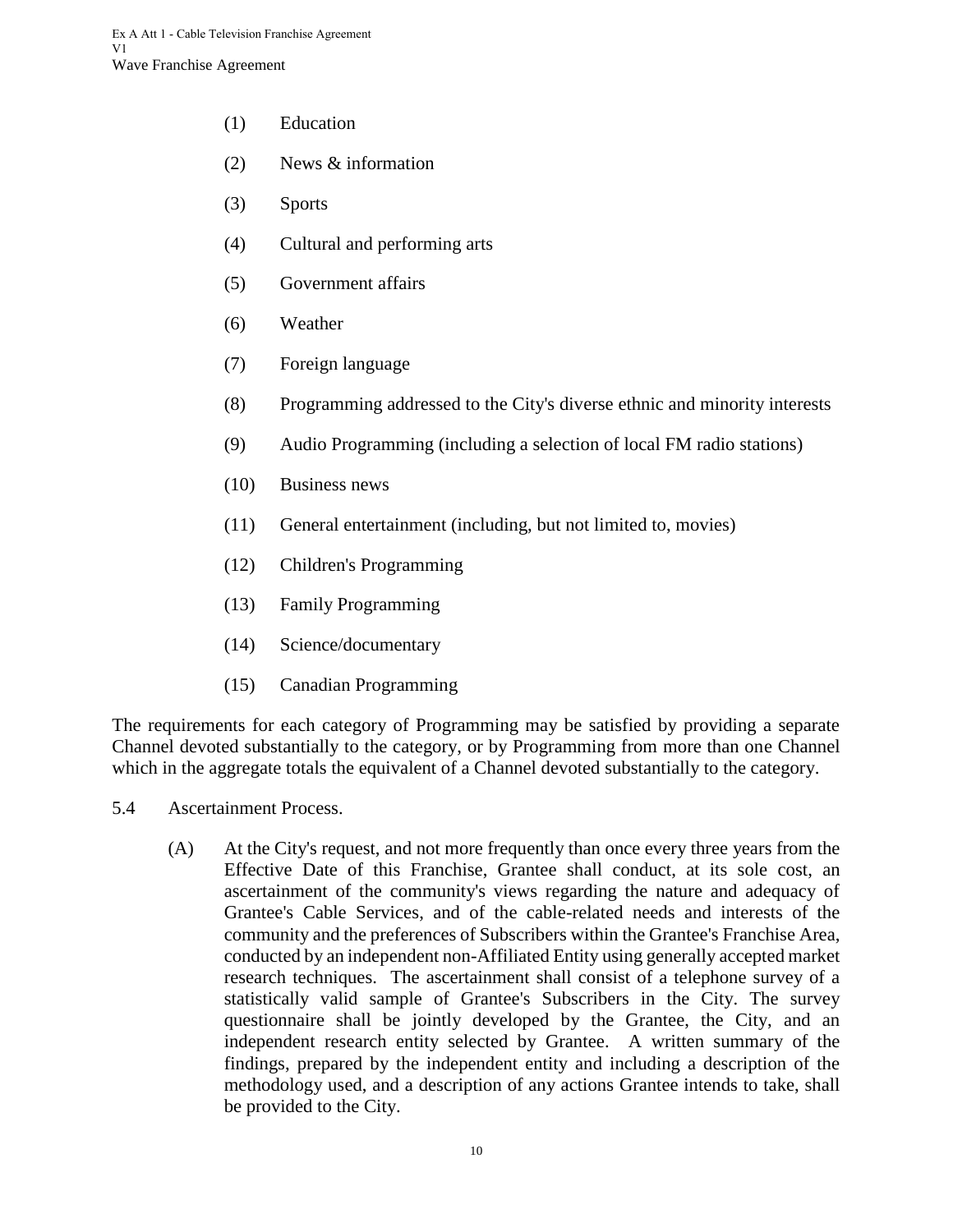- (1) Education
- (2) News & information
- (3) Sports
- (4) Cultural and performing arts
- (5) Government affairs
- (6) Weather
- (7) Foreign language
- (8) Programming addressed to the City's diverse ethnic and minority interests
- (9) Audio Programming (including a selection of local FM radio stations)
- (10) Business news
- (11) General entertainment (including, but not limited to, movies)
- (12) Children's Programming
- (13) Family Programming
- (14) Science/documentary
- (15) Canadian Programming

The requirements for each category of Programming may be satisfied by providing a separate Channel devoted substantially to the category, or by Programming from more than one Channel which in the aggregate totals the equivalent of a Channel devoted substantially to the category.

- <span id="page-13-0"></span>5.4 Ascertainment Process.
	- (A) At the City's request, and not more frequently than once every three years from the Effective Date of this Franchise, Grantee shall conduct, at its sole cost, an ascertainment of the community's views regarding the nature and adequacy of Grantee's Cable Services, and of the cable-related needs and interests of the community and the preferences of Subscribers within the Grantee's Franchise Area, conducted by an independent non-Affiliated Entity using generally accepted market research techniques. The ascertainment shall consist of a telephone survey of a statistically valid sample of Grantee's Subscribers in the City. The survey questionnaire shall be jointly developed by the Grantee, the City, and an independent research entity selected by Grantee. A written summary of the findings, prepared by the independent entity and including a description of the methodology used, and a description of any actions Grantee intends to take, shall be provided to the City.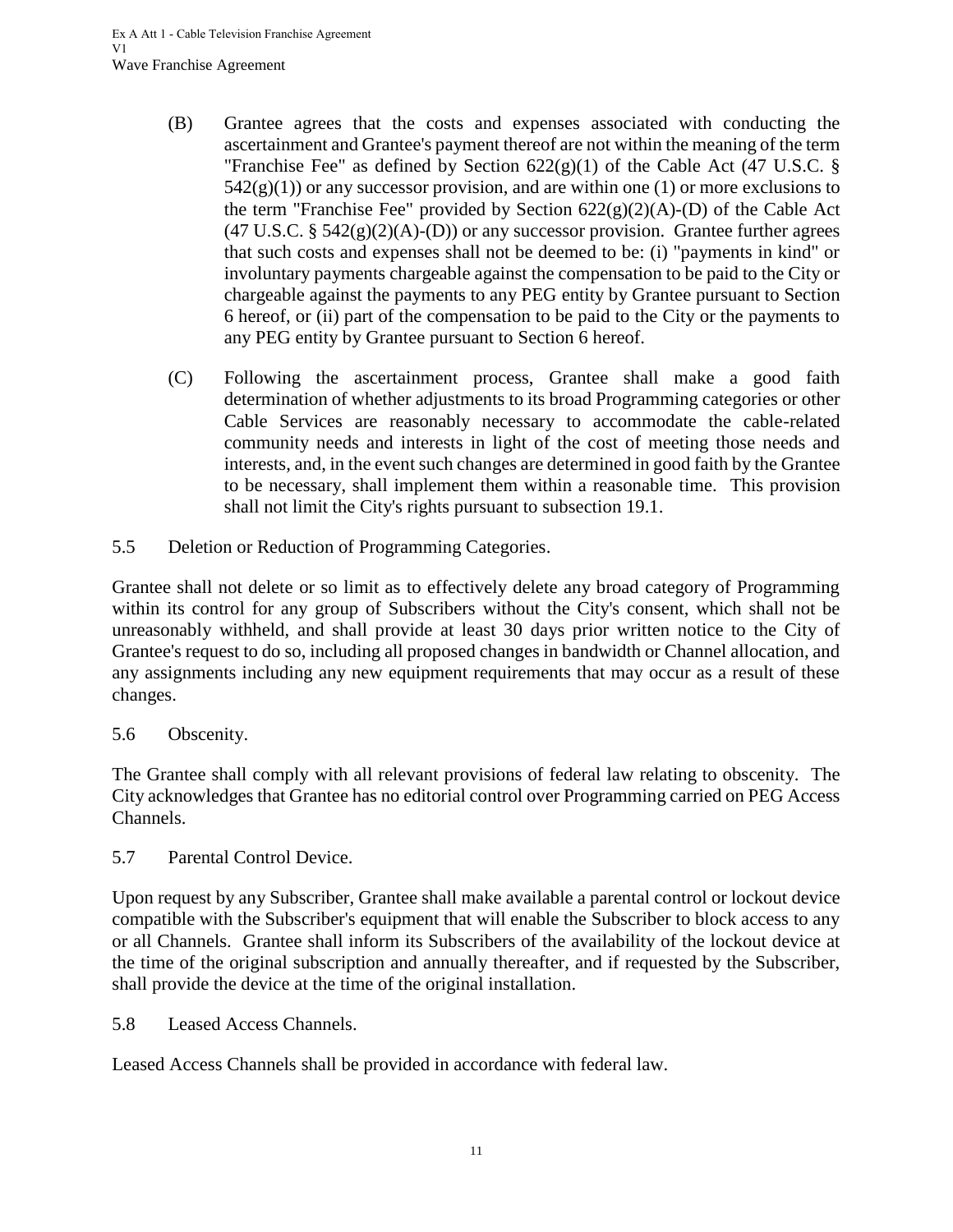- (B) Grantee agrees that the costs and expenses associated with conducting the ascertainment and Grantee's payment thereof are not within the meaning of the term "Franchise Fee" as defined by Section  $622(g)(1)$  of the Cable Act (47 U.S.C. §  $542(g)(1)$ ) or any successor provision, and are within one (1) or more exclusions to the term "Franchise Fee" provided by Section  $622(g)(2)(A)$ -(D) of the Cable Act  $(47 \text{ U.S.C. } § 542(g)(2)(A) - (D))$  or any successor provision. Grantee further agrees that such costs and expenses shall not be deemed to be: (i) "payments in kind" or involuntary payments chargeable against the compensation to be paid to the City or chargeable against the payments to any PEG entity by Grantee pursuant to Section 6 hereof, or (ii) part of the compensation to be paid to the City or the payments to any PEG entity by Grantee pursuant to Section 6 hereof.
- (C) Following the ascertainment process, Grantee shall make a good faith determination of whether adjustments to its broad Programming categories or other Cable Services are reasonably necessary to accommodate the cable-related community needs and interests in light of the cost of meeting those needs and interests, and, in the event such changes are determined in good faith by the Grantee to be necessary, shall implement them within a reasonable time. This provision shall not limit the City's rights pursuant to subsection 19.1.
- <span id="page-14-0"></span>5.5 Deletion or Reduction of Programming Categories.

Grantee shall not delete or so limit as to effectively delete any broad category of Programming within its control for any group of Subscribers without the City's consent, which shall not be unreasonably withheld, and shall provide at least 30 days prior written notice to the City of Grantee's request to do so, including all proposed changes in bandwidth or Channel allocation, and any assignments including any new equipment requirements that may occur as a result of these changes.

## <span id="page-14-1"></span>5.6 Obscenity.

The Grantee shall comply with all relevant provisions of federal law relating to obscenity. The City acknowledges that Grantee has no editorial control over Programming carried on PEG Access Channels.

<span id="page-14-2"></span>5.7 Parental Control Device.

Upon request by any Subscriber, Grantee shall make available a parental control or lockout device compatible with the Subscriber's equipment that will enable the Subscriber to block access to any or all Channels. Grantee shall inform its Subscribers of the availability of the lockout device at the time of the original subscription and annually thereafter, and if requested by the Subscriber, shall provide the device at the time of the original installation.

<span id="page-14-3"></span>5.8 Leased Access Channels.

Leased Access Channels shall be provided in accordance with federal law.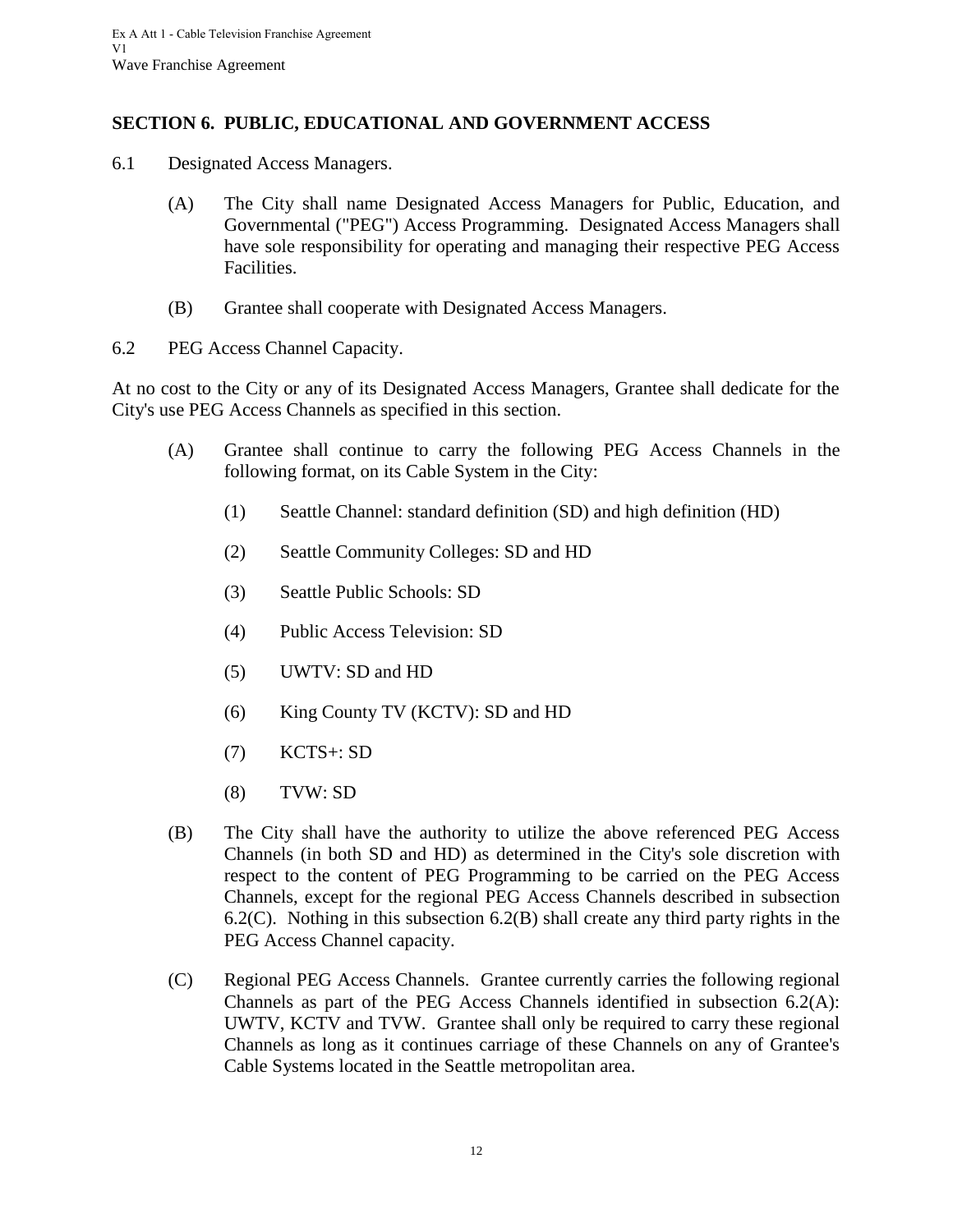#### <span id="page-15-0"></span>**SECTION 6. PUBLIC, EDUCATIONAL AND GOVERNMENT ACCESS**

- <span id="page-15-1"></span>6.1 Designated Access Managers.
	- (A) The City shall name Designated Access Managers for Public, Education, and Governmental ("PEG") Access Programming. Designated Access Managers shall have sole responsibility for operating and managing their respective PEG Access Facilities.
	- (B) Grantee shall cooperate with Designated Access Managers.
- <span id="page-15-2"></span>6.2 PEG Access Channel Capacity.

At no cost to the City or any of its Designated Access Managers, Grantee shall dedicate for the City's use PEG Access Channels as specified in this section.

- (A) Grantee shall continue to carry the following PEG Access Channels in the following format, on its Cable System in the City:
	- (1) Seattle Channel: standard definition (SD) and high definition (HD)
	- (2) Seattle Community Colleges: SD and HD
	- (3) Seattle Public Schools: SD
	- (4) Public Access Television: SD
	- (5) UWTV: SD and HD
	- (6) King County TV (KCTV): SD and HD
	- (7) KCTS+: SD
	- (8) TVW: SD
- (B) The City shall have the authority to utilize the above referenced PEG Access Channels (in both SD and HD) as determined in the City's sole discretion with respect to the content of PEG Programming to be carried on the PEG Access Channels, except for the regional PEG Access Channels described in subsection 6.2(C). Nothing in this subsection 6.2(B) shall create any third party rights in the PEG Access Channel capacity.
- (C) Regional PEG Access Channels. Grantee currently carries the following regional Channels as part of the PEG Access Channels identified in subsection 6.2(A): UWTV, KCTV and TVW. Grantee shall only be required to carry these regional Channels as long as it continues carriage of these Channels on any of Grantee's Cable Systems located in the Seattle metropolitan area.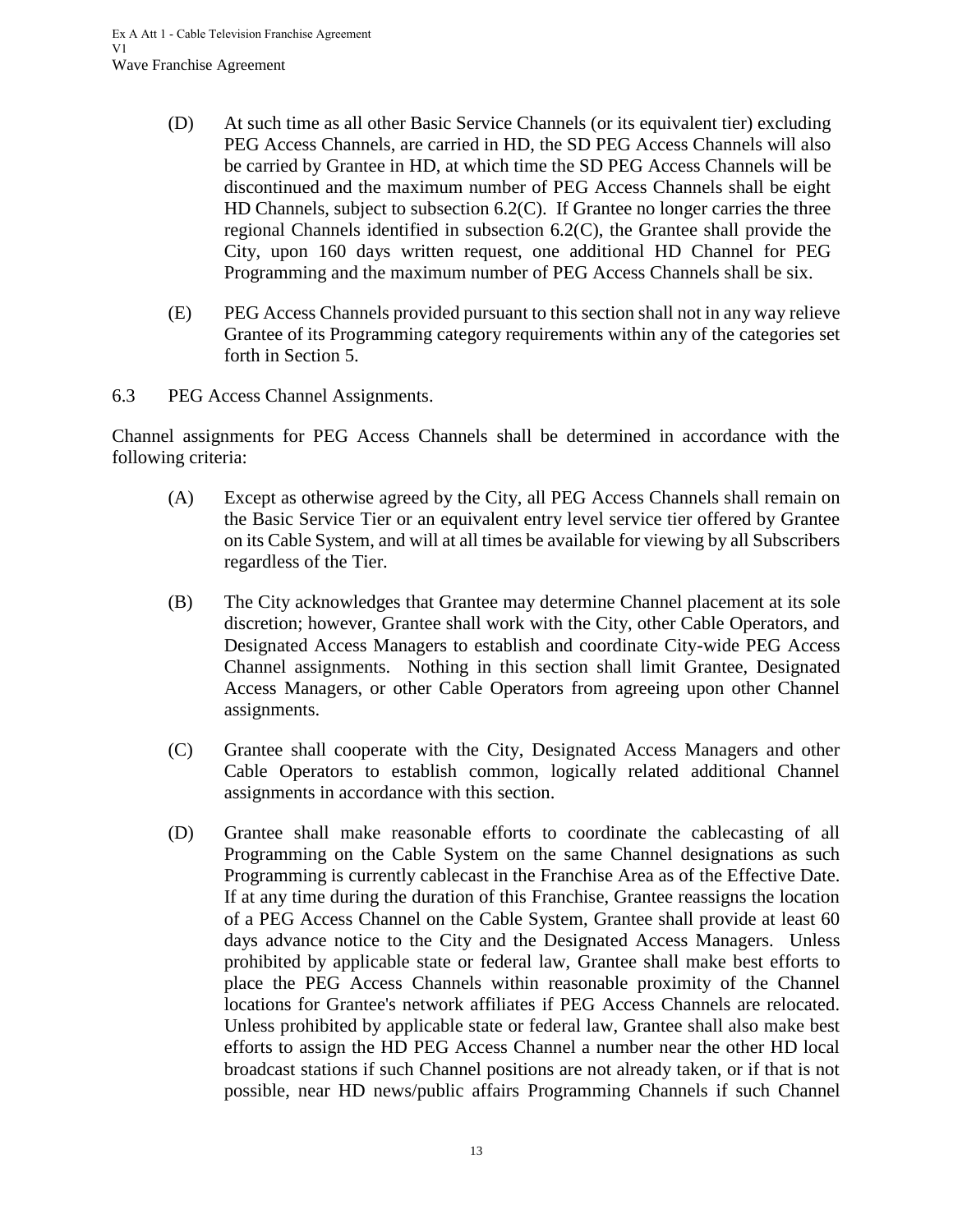- (D) At such time as all other Basic Service Channels (or its equivalent tier) excluding PEG Access Channels, are carried in HD, the SD PEG Access Channels will also be carried by Grantee in HD, at which time the SD PEG Access Channels will be discontinued and the maximum number of PEG Access Channels shall be eight HD Channels, subject to subsection 6.2(C). If Grantee no longer carries the three regional Channels identified in subsection 6.2(C), the Grantee shall provide the City, upon 160 days written request, one additional HD Channel for PEG Programming and the maximum number of PEG Access Channels shall be six.
- (E) PEG Access Channels provided pursuant to this section shall not in any way relieve Grantee of its Programming category requirements within any of the categories set forth in Section 5.
- <span id="page-16-0"></span>6.3 PEG Access Channel Assignments.

Channel assignments for PEG Access Channels shall be determined in accordance with the following criteria:

- (A) Except as otherwise agreed by the City, all PEG Access Channels shall remain on the Basic Service Tier or an equivalent entry level service tier offered by Grantee on its Cable System, and will at all times be available for viewing by all Subscribers regardless of the Tier.
- (B) The City acknowledges that Grantee may determine Channel placement at its sole discretion; however, Grantee shall work with the City, other Cable Operators, and Designated Access Managers to establish and coordinate City-wide PEG Access Channel assignments. Nothing in this section shall limit Grantee, Designated Access Managers, or other Cable Operators from agreeing upon other Channel assignments.
- (C) Grantee shall cooperate with the City, Designated Access Managers and other Cable Operators to establish common, logically related additional Channel assignments in accordance with this section.
- (D) Grantee shall make reasonable efforts to coordinate the cablecasting of all Programming on the Cable System on the same Channel designations as such Programming is currently cablecast in the Franchise Area as of the Effective Date. If at any time during the duration of this Franchise, Grantee reassigns the location of a PEG Access Channel on the Cable System, Grantee shall provide at least 60 days advance notice to the City and the Designated Access Managers. Unless prohibited by applicable state or federal law, Grantee shall make best efforts to place the PEG Access Channels within reasonable proximity of the Channel locations for Grantee's network affiliates if PEG Access Channels are relocated. Unless prohibited by applicable state or federal law, Grantee shall also make best efforts to assign the HD PEG Access Channel a number near the other HD local broadcast stations if such Channel positions are not already taken, or if that is not possible, near HD news/public affairs Programming Channels if such Channel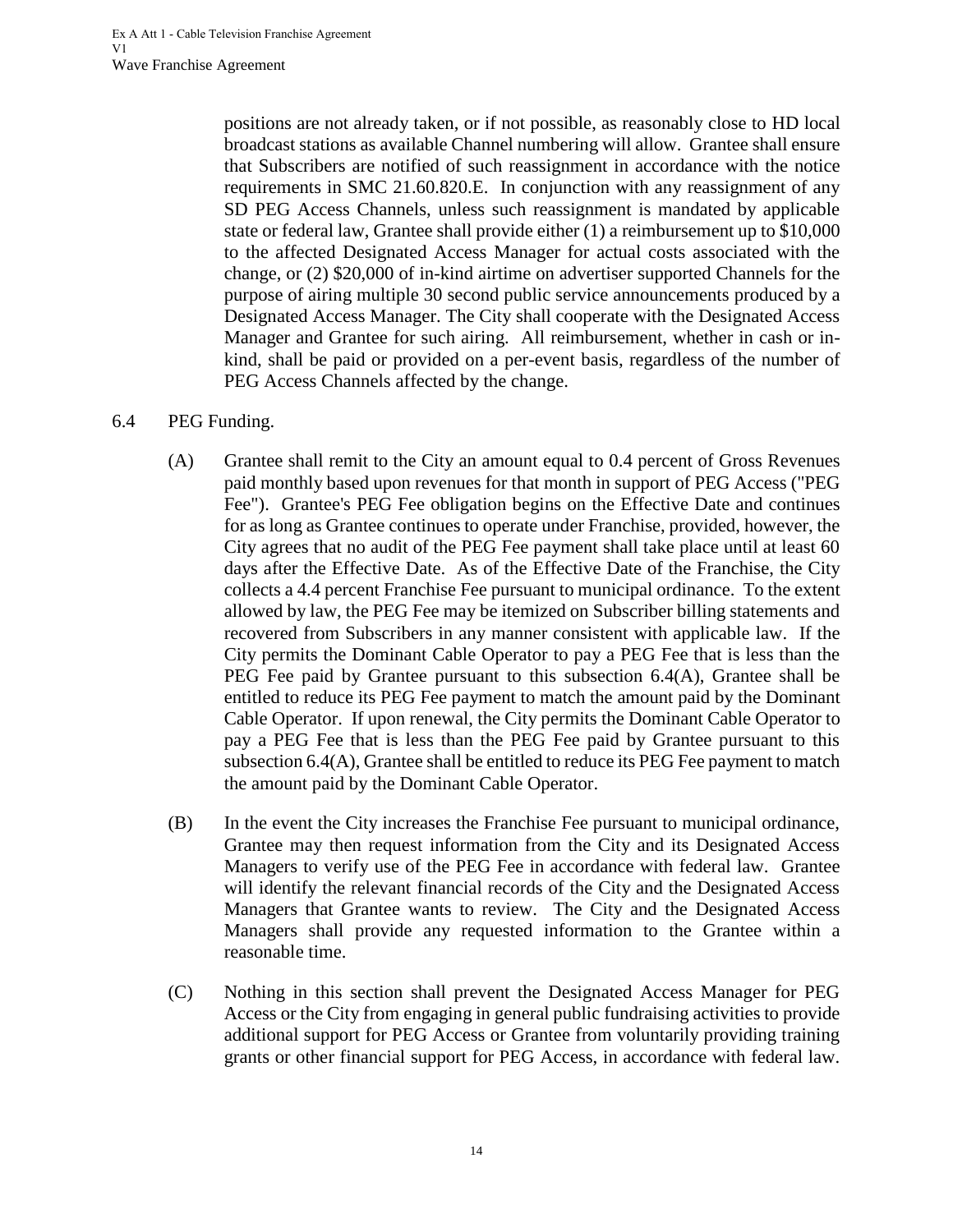positions are not already taken, or if not possible, as reasonably close to HD local broadcast stations as available Channel numbering will allow. Grantee shall ensure that Subscribers are notified of such reassignment in accordance with the notice requirements in SMC 21.60.820.E. In conjunction with any reassignment of any SD PEG Access Channels, unless such reassignment is mandated by applicable state or federal law, Grantee shall provide either (1) a reimbursement up to \$10,000 to the affected Designated Access Manager for actual costs associated with the change, or (2) \$20,000 of in-kind airtime on advertiser supported Channels for the purpose of airing multiple 30 second public service announcements produced by a Designated Access Manager. The City shall cooperate with the Designated Access Manager and Grantee for such airing. All reimbursement, whether in cash or inkind, shall be paid or provided on a per-event basis, regardless of the number of PEG Access Channels affected by the change.

#### <span id="page-17-0"></span>6.4 PEG Funding.

- (A) Grantee shall remit to the City an amount equal to 0.4 percent of Gross Revenues paid monthly based upon revenues for that month in support of PEG Access ("PEG Fee"). Grantee's PEG Fee obligation begins on the Effective Date and continues for as long as Grantee continues to operate under Franchise, provided, however, the City agrees that no audit of the PEG Fee payment shall take place until at least 60 days after the Effective Date. As of the Effective Date of the Franchise, the City collects a 4.4 percent Franchise Fee pursuant to municipal ordinance. To the extent allowed by law, the PEG Fee may be itemized on Subscriber billing statements and recovered from Subscribers in any manner consistent with applicable law. If the City permits the Dominant Cable Operator to pay a PEG Fee that is less than the PEG Fee paid by Grantee pursuant to this subsection 6.4(A), Grantee shall be entitled to reduce its PEG Fee payment to match the amount paid by the Dominant Cable Operator. If upon renewal, the City permits the Dominant Cable Operator to pay a PEG Fee that is less than the PEG Fee paid by Grantee pursuant to this subsection 6.4(A), Grantee shall be entitled to reduce its PEG Fee payment to match the amount paid by the Dominant Cable Operator.
- (B) In the event the City increases the Franchise Fee pursuant to municipal ordinance, Grantee may then request information from the City and its Designated Access Managers to verify use of the PEG Fee in accordance with federal law. Grantee will identify the relevant financial records of the City and the Designated Access Managers that Grantee wants to review. The City and the Designated Access Managers shall provide any requested information to the Grantee within a reasonable time.
- (C) Nothing in this section shall prevent the Designated Access Manager for PEG Access or the City from engaging in general public fundraising activities to provide additional support for PEG Access or Grantee from voluntarily providing training grants or other financial support for PEG Access, in accordance with federal law.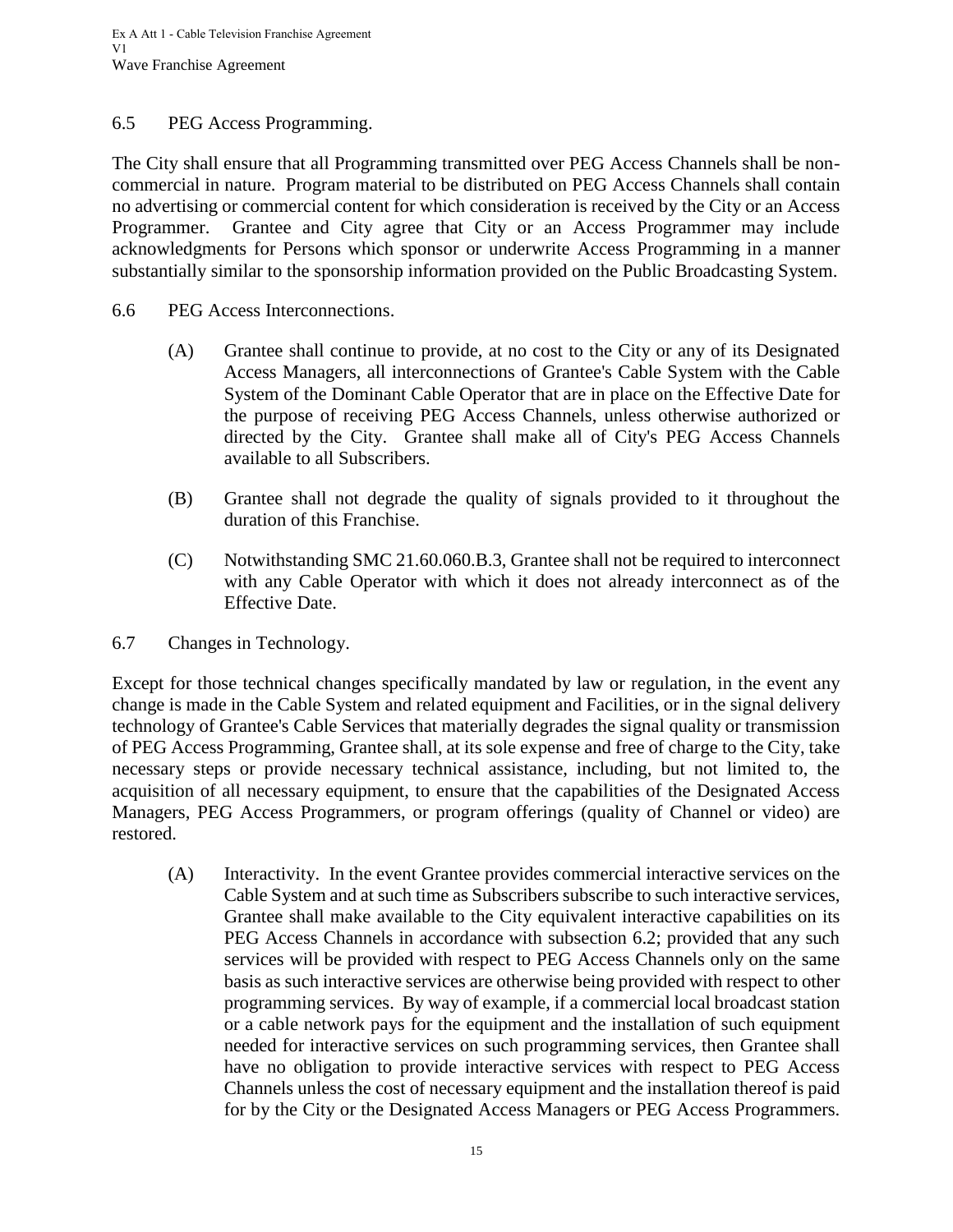#### <span id="page-18-0"></span>6.5 PEG Access Programming.

The City shall ensure that all Programming transmitted over PEG Access Channels shall be noncommercial in nature. Program material to be distributed on PEG Access Channels shall contain no advertising or commercial content for which consideration is received by the City or an Access Programmer. Grantee and City agree that City or an Access Programmer may include acknowledgments for Persons which sponsor or underwrite Access Programming in a manner substantially similar to the sponsorship information provided on the Public Broadcasting System.

- <span id="page-18-1"></span>6.6 PEG Access Interconnections.
	- (A) Grantee shall continue to provide, at no cost to the City or any of its Designated Access Managers, all interconnections of Grantee's Cable System with the Cable System of the Dominant Cable Operator that are in place on the Effective Date for the purpose of receiving PEG Access Channels, unless otherwise authorized or directed by the City. Grantee shall make all of City's PEG Access Channels available to all Subscribers.
	- (B) Grantee shall not degrade the quality of signals provided to it throughout the duration of this Franchise.
	- (C) Notwithstanding SMC 21.60.060.B.3, Grantee shall not be required to interconnect with any Cable Operator with which it does not already interconnect as of the Effective Date.
- <span id="page-18-2"></span>6.7 Changes in Technology.

Except for those technical changes specifically mandated by law or regulation, in the event any change is made in the Cable System and related equipment and Facilities, or in the signal delivery technology of Grantee's Cable Services that materially degrades the signal quality or transmission of PEG Access Programming, Grantee shall, at its sole expense and free of charge to the City, take necessary steps or provide necessary technical assistance, including, but not limited to, the acquisition of all necessary equipment, to ensure that the capabilities of the Designated Access Managers, PEG Access Programmers, or program offerings (quality of Channel or video) are restored.

(A) Interactivity. In the event Grantee provides commercial interactive services on the Cable System and at such time as Subscribers subscribe to such interactive services, Grantee shall make available to the City equivalent interactive capabilities on its PEG Access Channels in accordance with subsection 6.2; provided that any such services will be provided with respect to PEG Access Channels only on the same basis as such interactive services are otherwise being provided with respect to other programming services. By way of example, if a commercial local broadcast station or a cable network pays for the equipment and the installation of such equipment needed for interactive services on such programming services, then Grantee shall have no obligation to provide interactive services with respect to PEG Access Channels unless the cost of necessary equipment and the installation thereof is paid for by the City or the Designated Access Managers or PEG Access Programmers.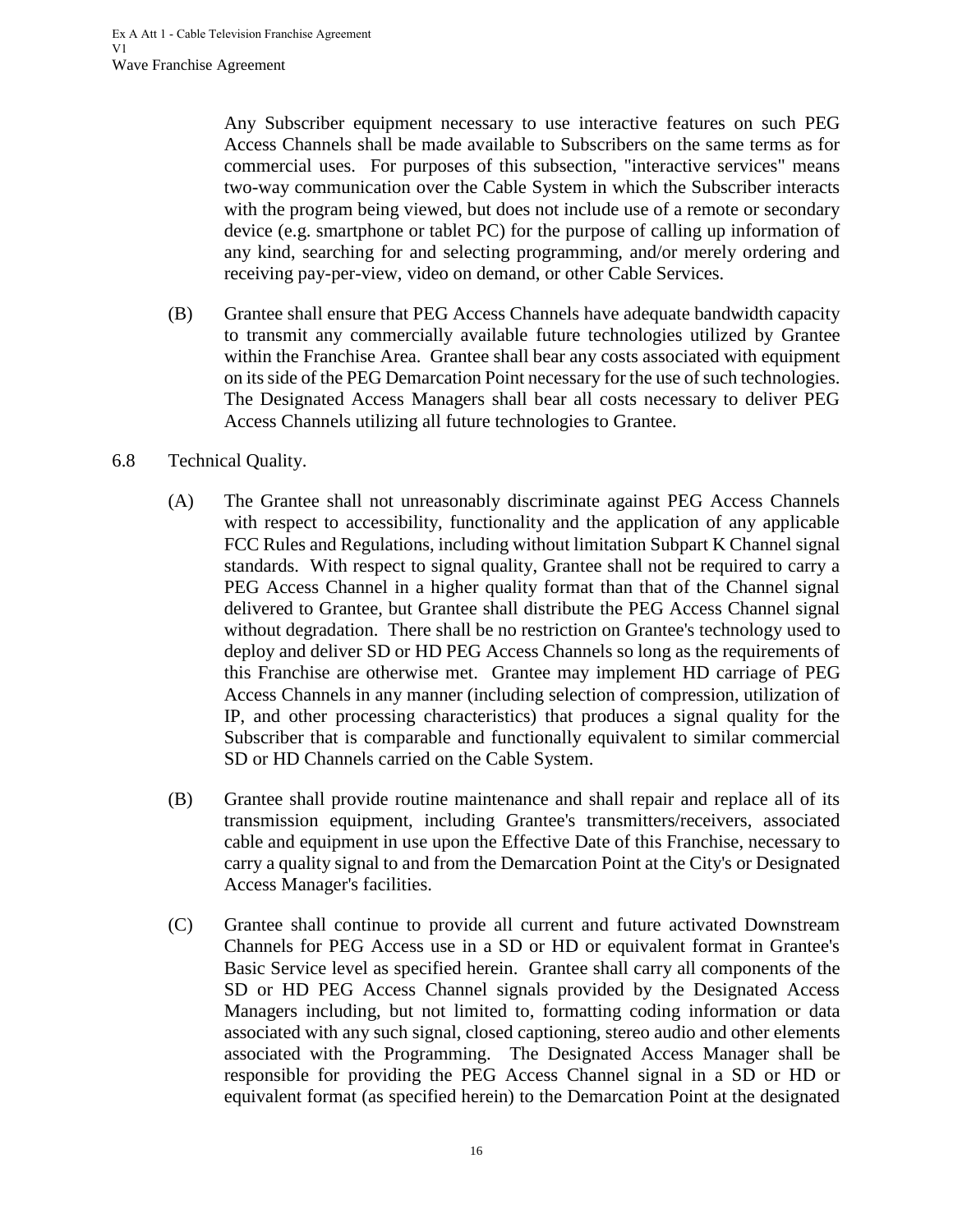Any Subscriber equipment necessary to use interactive features on such PEG Access Channels shall be made available to Subscribers on the same terms as for commercial uses. For purposes of this subsection, "interactive services" means two-way communication over the Cable System in which the Subscriber interacts with the program being viewed, but does not include use of a remote or secondary device (e.g. smartphone or tablet PC) for the purpose of calling up information of any kind, searching for and selecting programming, and/or merely ordering and receiving pay-per-view, video on demand, or other Cable Services.

- (B) Grantee shall ensure that PEG Access Channels have adequate bandwidth capacity to transmit any commercially available future technologies utilized by Grantee within the Franchise Area. Grantee shall bear any costs associated with equipment on its side of the PEG Demarcation Point necessary for the use of such technologies. The Designated Access Managers shall bear all costs necessary to deliver PEG Access Channels utilizing all future technologies to Grantee.
- <span id="page-19-0"></span>6.8 Technical Quality.
	- (A) The Grantee shall not unreasonably discriminate against PEG Access Channels with respect to accessibility, functionality and the application of any applicable FCC Rules and Regulations, including without limitation Subpart K Channel signal standards. With respect to signal quality, Grantee shall not be required to carry a PEG Access Channel in a higher quality format than that of the Channel signal delivered to Grantee, but Grantee shall distribute the PEG Access Channel signal without degradation. There shall be no restriction on Grantee's technology used to deploy and deliver SD or HD PEG Access Channels so long as the requirements of this Franchise are otherwise met. Grantee may implement HD carriage of PEG Access Channels in any manner (including selection of compression, utilization of IP, and other processing characteristics) that produces a signal quality for the Subscriber that is comparable and functionally equivalent to similar commercial SD or HD Channels carried on the Cable System.
	- (B) Grantee shall provide routine maintenance and shall repair and replace all of its transmission equipment, including Grantee's transmitters/receivers, associated cable and equipment in use upon the Effective Date of this Franchise, necessary to carry a quality signal to and from the Demarcation Point at the City's or Designated Access Manager's facilities.
	- (C) Grantee shall continue to provide all current and future activated Downstream Channels for PEG Access use in a SD or HD or equivalent format in Grantee's Basic Service level as specified herein. Grantee shall carry all components of the SD or HD PEG Access Channel signals provided by the Designated Access Managers including, but not limited to, formatting coding information or data associated with any such signal, closed captioning, stereo audio and other elements associated with the Programming. The Designated Access Manager shall be responsible for providing the PEG Access Channel signal in a SD or HD or equivalent format (as specified herein) to the Demarcation Point at the designated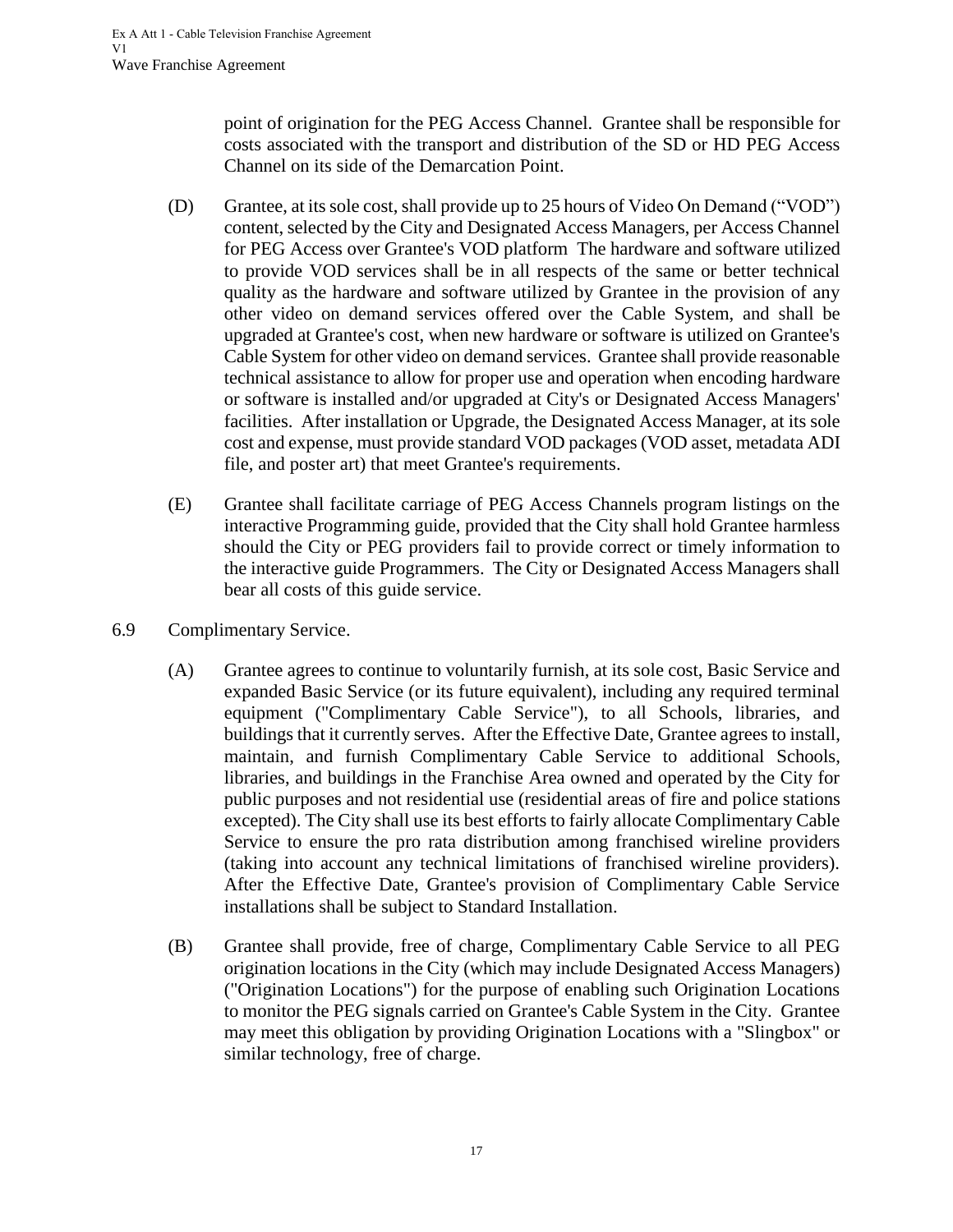point of origination for the PEG Access Channel. Grantee shall be responsible for costs associated with the transport and distribution of the SD or HD PEG Access Channel on its side of the Demarcation Point.

- (D) Grantee, at its sole cost, shall provide up to 25 hours of Video On Demand ("VOD") content, selected by the City and Designated Access Managers, per Access Channel for PEG Access over Grantee's VOD platform The hardware and software utilized to provide VOD services shall be in all respects of the same or better technical quality as the hardware and software utilized by Grantee in the provision of any other video on demand services offered over the Cable System, and shall be upgraded at Grantee's cost, when new hardware or software is utilized on Grantee's Cable System for other video on demand services. Grantee shall provide reasonable technical assistance to allow for proper use and operation when encoding hardware or software is installed and/or upgraded at City's or Designated Access Managers' facilities. After installation or Upgrade, the Designated Access Manager, at its sole cost and expense, must provide standard VOD packages (VOD asset, metadata ADI file, and poster art) that meet Grantee's requirements.
- (E) Grantee shall facilitate carriage of PEG Access Channels program listings on the interactive Programming guide, provided that the City shall hold Grantee harmless should the City or PEG providers fail to provide correct or timely information to the interactive guide Programmers. The City or Designated Access Managers shall bear all costs of this guide service.
- <span id="page-20-0"></span>6.9 Complimentary Service.
	- (A) Grantee agrees to continue to voluntarily furnish, at its sole cost, Basic Service and expanded Basic Service (or its future equivalent), including any required terminal equipment ("Complimentary Cable Service"), to all Schools, libraries, and buildings that it currently serves. After the Effective Date, Grantee agrees to install, maintain, and furnish Complimentary Cable Service to additional Schools, libraries, and buildings in the Franchise Area owned and operated by the City for public purposes and not residential use (residential areas of fire and police stations excepted). The City shall use its best efforts to fairly allocate Complimentary Cable Service to ensure the pro rata distribution among franchised wireline providers (taking into account any technical limitations of franchised wireline providers). After the Effective Date, Grantee's provision of Complimentary Cable Service installations shall be subject to Standard Installation.
	- (B) Grantee shall provide, free of charge, Complimentary Cable Service to all PEG origination locations in the City (which may include Designated Access Managers) ("Origination Locations") for the purpose of enabling such Origination Locations to monitor the PEG signals carried on Grantee's Cable System in the City. Grantee may meet this obligation by providing Origination Locations with a "Slingbox" or similar technology, free of charge.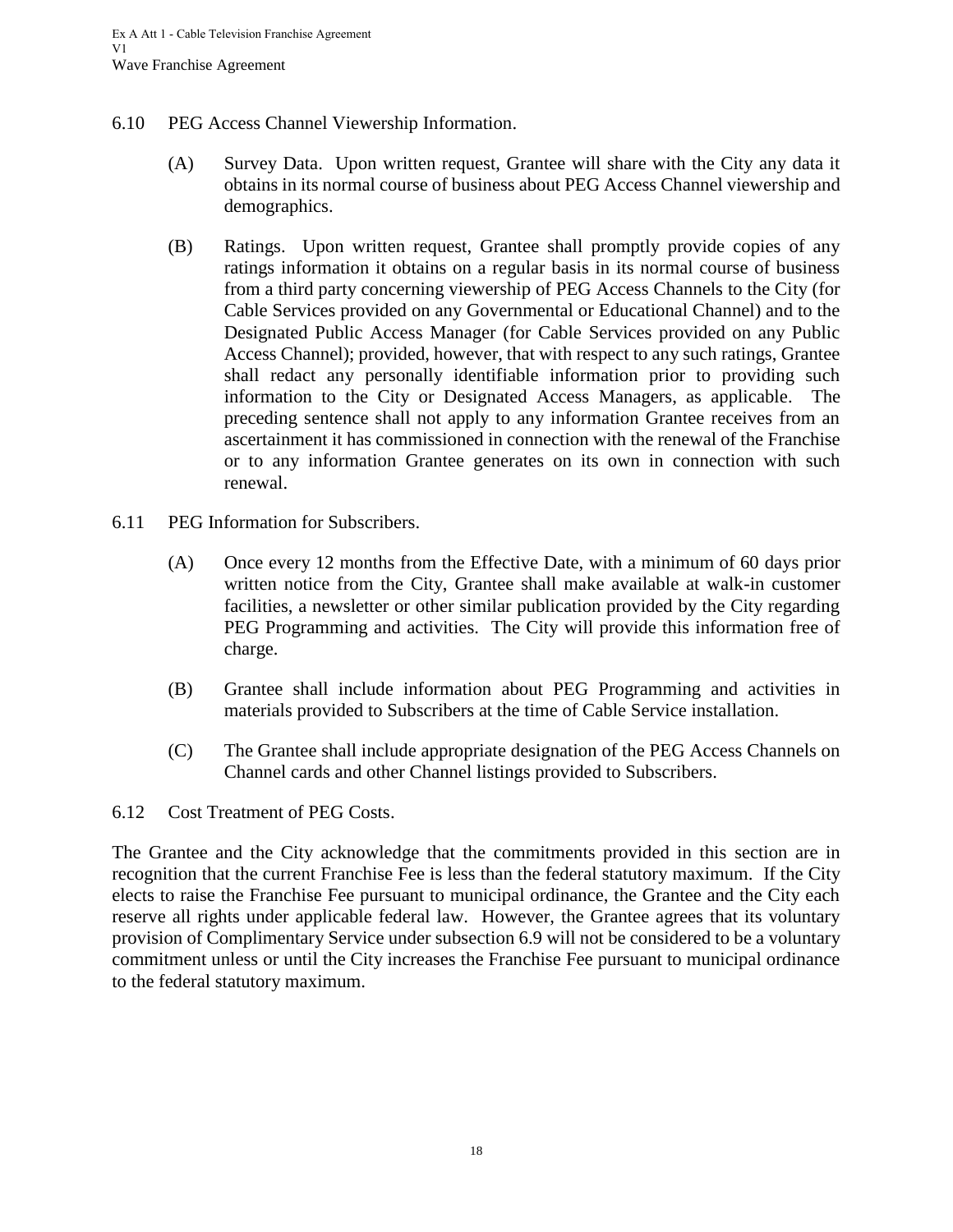- <span id="page-21-0"></span>6.10 PEG Access Channel Viewership Information.
	- (A) Survey Data. Upon written request, Grantee will share with the City any data it obtains in its normal course of business about PEG Access Channel viewership and demographics.
	- (B) Ratings. Upon written request, Grantee shall promptly provide copies of any ratings information it obtains on a regular basis in its normal course of business from a third party concerning viewership of PEG Access Channels to the City (for Cable Services provided on any Governmental or Educational Channel) and to the Designated Public Access Manager (for Cable Services provided on any Public Access Channel); provided, however, that with respect to any such ratings, Grantee shall redact any personally identifiable information prior to providing such information to the City or Designated Access Managers, as applicable. The preceding sentence shall not apply to any information Grantee receives from an ascertainment it has commissioned in connection with the renewal of the Franchise or to any information Grantee generates on its own in connection with such renewal.
- <span id="page-21-1"></span>6.11 PEG Information for Subscribers.
	- (A) Once every 12 months from the Effective Date, with a minimum of 60 days prior written notice from the City, Grantee shall make available at walk-in customer facilities, a newsletter or other similar publication provided by the City regarding PEG Programming and activities. The City will provide this information free of charge.
	- (B) Grantee shall include information about PEG Programming and activities in materials provided to Subscribers at the time of Cable Service installation.
	- (C) The Grantee shall include appropriate designation of the PEG Access Channels on Channel cards and other Channel listings provided to Subscribers.
- <span id="page-21-2"></span>6.12 Cost Treatment of PEG Costs.

The Grantee and the City acknowledge that the commitments provided in this section are in recognition that the current Franchise Fee is less than the federal statutory maximum. If the City elects to raise the Franchise Fee pursuant to municipal ordinance, the Grantee and the City each reserve all rights under applicable federal law. However, the Grantee agrees that its voluntary provision of Complimentary Service under subsection 6.9 will not be considered to be a voluntary commitment unless or until the City increases the Franchise Fee pursuant to municipal ordinance to the federal statutory maximum.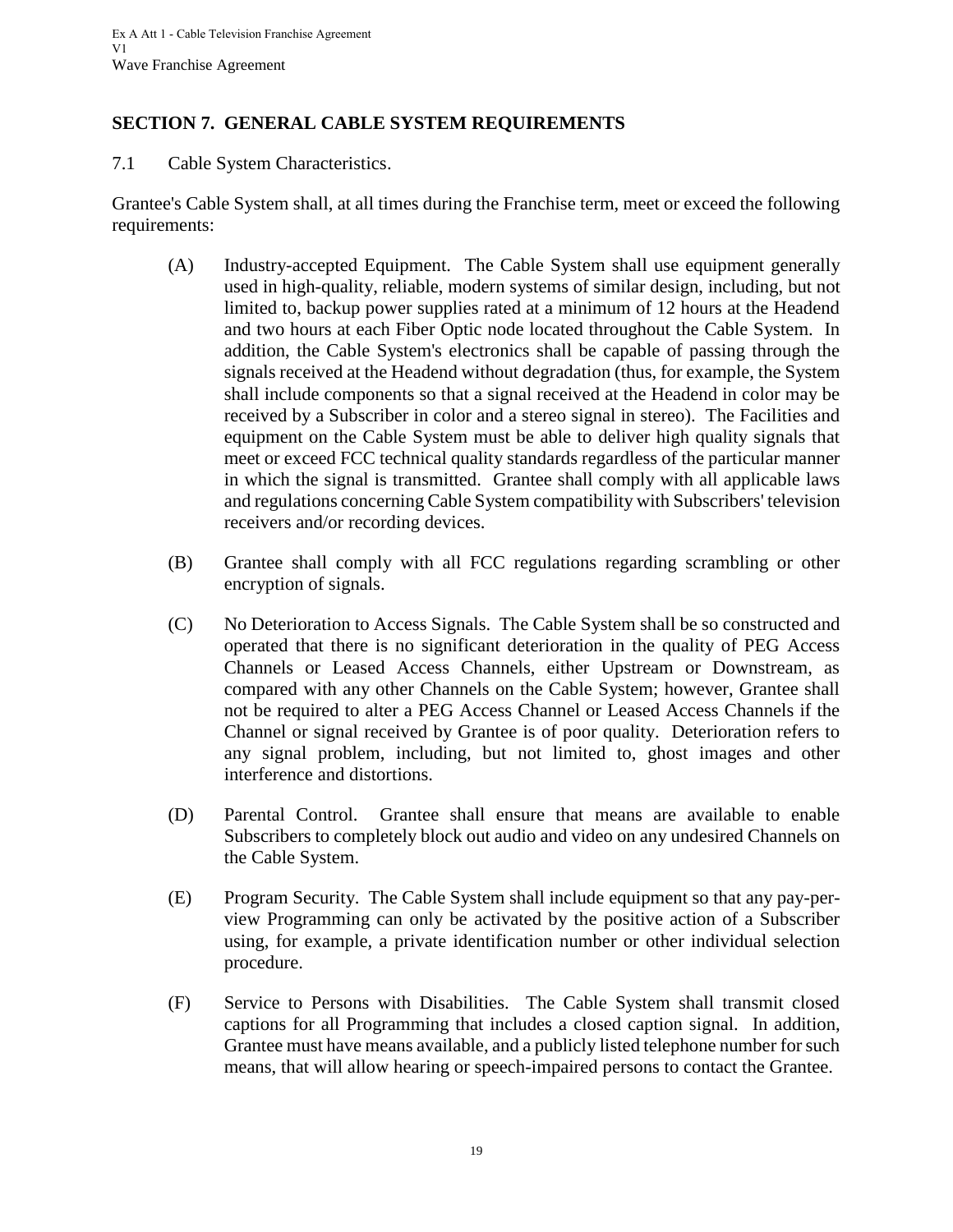# <span id="page-22-0"></span>**SECTION 7. GENERAL CABLE SYSTEM REQUIREMENTS**

<span id="page-22-1"></span>7.1 Cable System Characteristics.

Grantee's Cable System shall, at all times during the Franchise term, meet or exceed the following requirements:

- (A) Industry-accepted Equipment. The Cable System shall use equipment generally used in high-quality, reliable, modern systems of similar design, including, but not limited to, backup power supplies rated at a minimum of 12 hours at the Headend and two hours at each Fiber Optic node located throughout the Cable System. In addition, the Cable System's electronics shall be capable of passing through the signals received at the Headend without degradation (thus, for example, the System shall include components so that a signal received at the Headend in color may be received by a Subscriber in color and a stereo signal in stereo). The Facilities and equipment on the Cable System must be able to deliver high quality signals that meet or exceed FCC technical quality standards regardless of the particular manner in which the signal is transmitted. Grantee shall comply with all applicable laws and regulations concerning Cable System compatibility with Subscribers' television receivers and/or recording devices.
- (B) Grantee shall comply with all FCC regulations regarding scrambling or other encryption of signals.
- (C) No Deterioration to Access Signals. The Cable System shall be so constructed and operated that there is no significant deterioration in the quality of PEG Access Channels or Leased Access Channels, either Upstream or Downstream, as compared with any other Channels on the Cable System; however, Grantee shall not be required to alter a PEG Access Channel or Leased Access Channels if the Channel or signal received by Grantee is of poor quality. Deterioration refers to any signal problem, including, but not limited to, ghost images and other interference and distortions.
- (D) Parental Control. Grantee shall ensure that means are available to enable Subscribers to completely block out audio and video on any undesired Channels on the Cable System.
- (E) Program Security. The Cable System shall include equipment so that any pay-perview Programming can only be activated by the positive action of a Subscriber using, for example, a private identification number or other individual selection procedure.
- (F) Service to Persons with Disabilities. The Cable System shall transmit closed captions for all Programming that includes a closed caption signal. In addition, Grantee must have means available, and a publicly listed telephone number for such means, that will allow hearing or speech-impaired persons to contact the Grantee.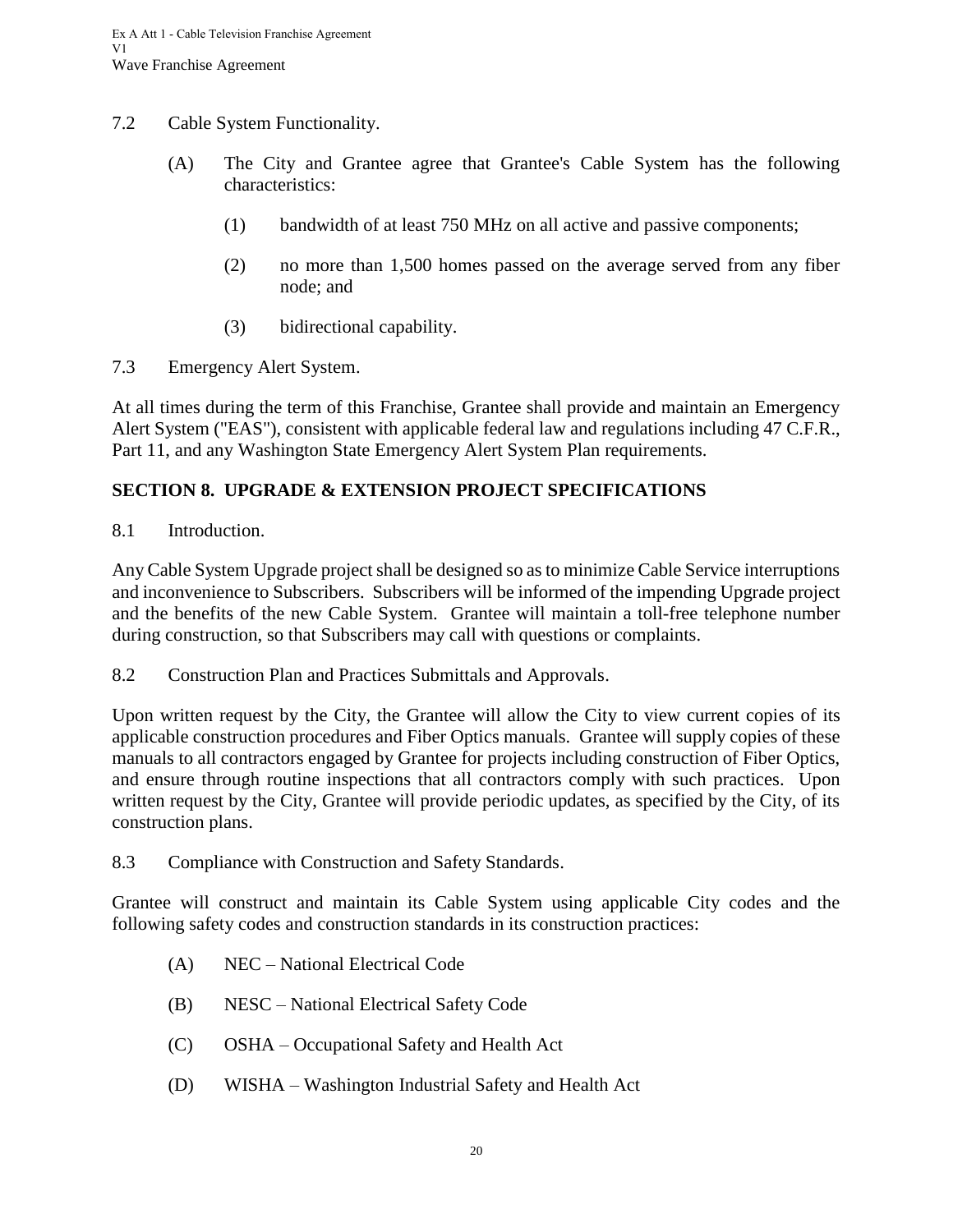- <span id="page-23-0"></span>7.2 Cable System Functionality.
	- (A) The City and Grantee agree that Grantee's Cable System has the following characteristics:
		- (1) bandwidth of at least 750 MHz on all active and passive components;
		- (2) no more than 1,500 homes passed on the average served from any fiber node; and
		- (3) bidirectional capability.
- <span id="page-23-1"></span>7.3 Emergency Alert System.

At all times during the term of this Franchise, Grantee shall provide and maintain an Emergency Alert System ("EAS"), consistent with applicable federal law and regulations including 47 C.F.R., Part 11, and any Washington State Emergency Alert System Plan requirements.

## <span id="page-23-2"></span>**SECTION 8. UPGRADE & EXTENSION PROJECT SPECIFICATIONS**

<span id="page-23-3"></span>8.1 Introduction.

Any Cable System Upgrade project shall be designed so as to minimize Cable Service interruptions and inconvenience to Subscribers. Subscribers will be informed of the impending Upgrade project and the benefits of the new Cable System. Grantee will maintain a toll-free telephone number during construction, so that Subscribers may call with questions or complaints.

<span id="page-23-4"></span>8.2 Construction Plan and Practices Submittals and Approvals.

Upon written request by the City, the Grantee will allow the City to view current copies of its applicable construction procedures and Fiber Optics manuals. Grantee will supply copies of these manuals to all contractors engaged by Grantee for projects including construction of Fiber Optics, and ensure through routine inspections that all contractors comply with such practices. Upon written request by the City, Grantee will provide periodic updates, as specified by the City, of its construction plans.

<span id="page-23-5"></span>8.3 Compliance with Construction and Safety Standards.

Grantee will construct and maintain its Cable System using applicable City codes and the following safety codes and construction standards in its construction practices:

- (A) NEC National Electrical Code
- (B) NESC National Electrical Safety Code
- (C) OSHA Occupational Safety and Health Act
- (D) WISHA Washington Industrial Safety and Health Act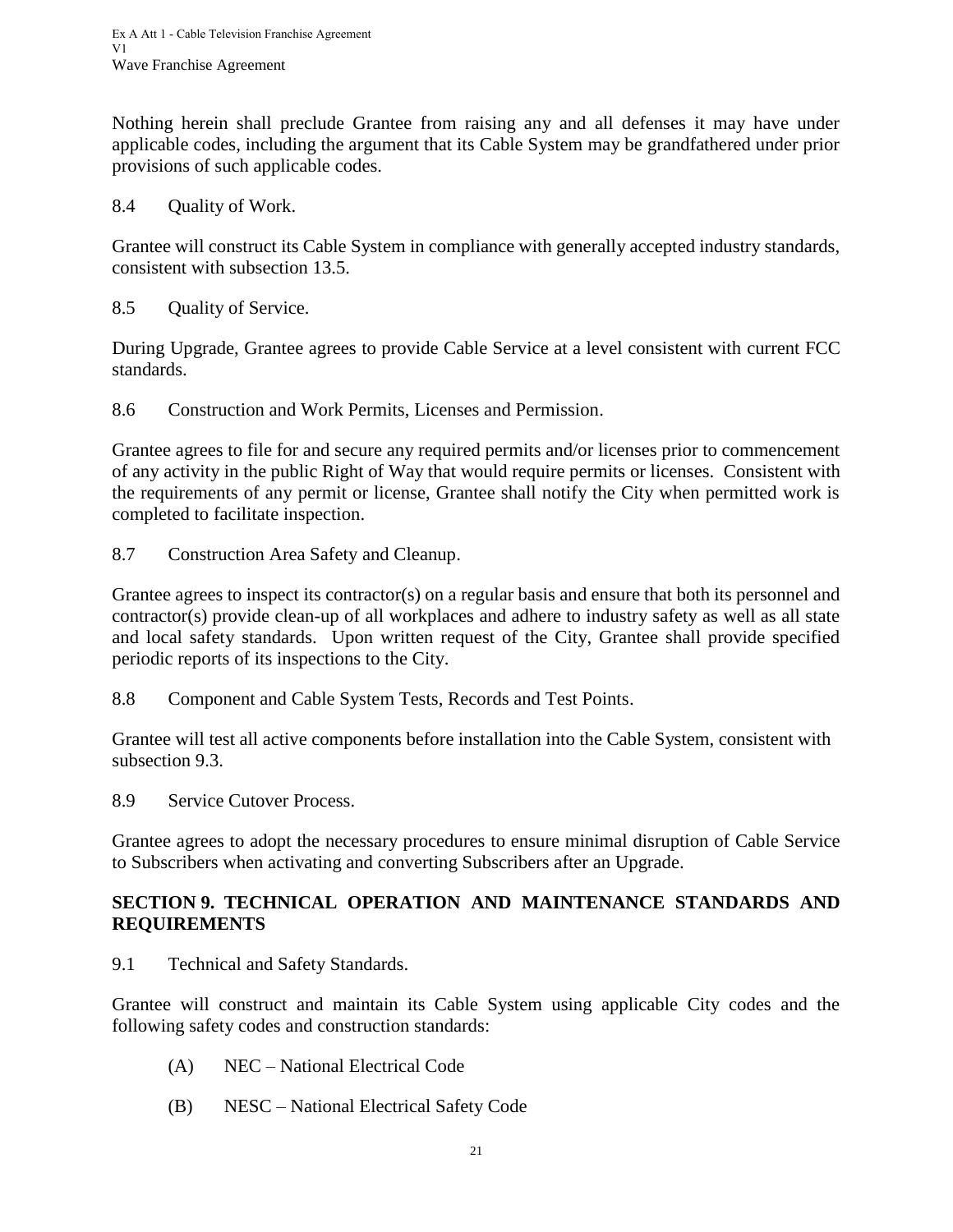Nothing herein shall preclude Grantee from raising any and all defenses it may have under applicable codes, including the argument that its Cable System may be grandfathered under prior provisions of such applicable codes.

<span id="page-24-0"></span>8.4 Quality of Work.

Grantee will construct its Cable System in compliance with generally accepted industry standards, consistent with subsection 13.5.

<span id="page-24-1"></span>8.5 Quality of Service.

During Upgrade, Grantee agrees to provide Cable Service at a level consistent with current FCC standards.

<span id="page-24-2"></span>8.6 Construction and Work Permits, Licenses and Permission.

Grantee agrees to file for and secure any required permits and/or licenses prior to commencement of any activity in the public Right of Way that would require permits or licenses. Consistent with the requirements of any permit or license, Grantee shall notify the City when permitted work is completed to facilitate inspection.

<span id="page-24-3"></span>8.7 Construction Area Safety and Cleanup.

Grantee agrees to inspect its contractor(s) on a regular basis and ensure that both its personnel and contractor(s) provide clean-up of all workplaces and adhere to industry safety as well as all state and local safety standards. Upon written request of the City, Grantee shall provide specified periodic reports of its inspections to the City.

<span id="page-24-4"></span>8.8 Component and Cable System Tests, Records and Test Points.

Grantee will test all active components before installation into the Cable System, consistent with subsection 9.3.

<span id="page-24-5"></span>8.9 Service Cutover Process.

Grantee agrees to adopt the necessary procedures to ensure minimal disruption of Cable Service to Subscribers when activating and converting Subscribers after an Upgrade.

#### <span id="page-24-6"></span>**SECTION 9. TECHNICAL OPERATION AND MAINTENANCE STANDARDS AND REQUIREMENTS**

<span id="page-24-7"></span>9.1 Technical and Safety Standards.

Grantee will construct and maintain its Cable System using applicable City codes and the following safety codes and construction standards:

- (A) NEC National Electrical Code
- (B) NESC National Electrical Safety Code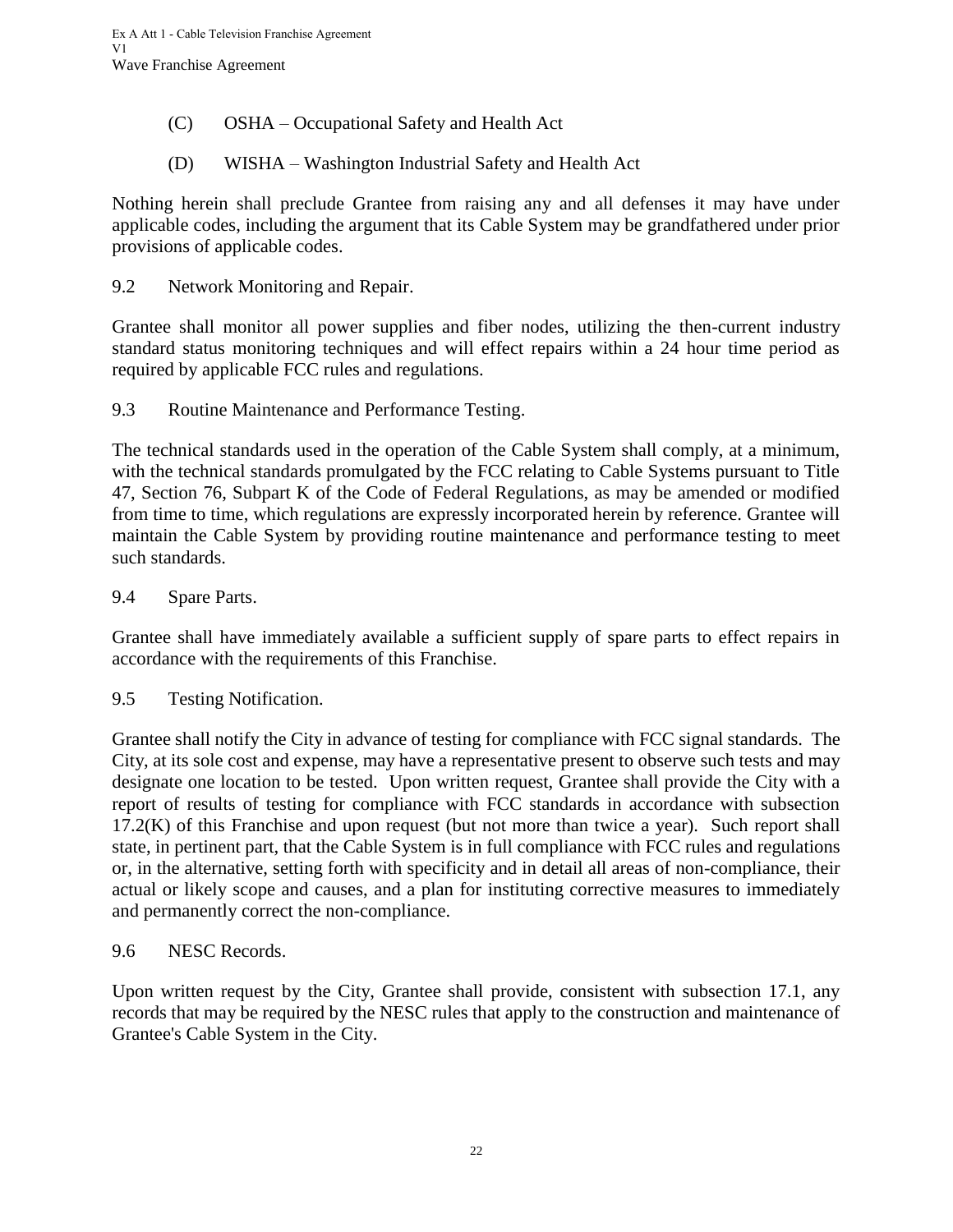- (C) OSHA Occupational Safety and Health Act
- (D) WISHA Washington Industrial Safety and Health Act

Nothing herein shall preclude Grantee from raising any and all defenses it may have under applicable codes, including the argument that its Cable System may be grandfathered under prior provisions of applicable codes.

<span id="page-25-0"></span>9.2 Network Monitoring and Repair.

Grantee shall monitor all power supplies and fiber nodes, utilizing the then-current industry standard status monitoring techniques and will effect repairs within a 24 hour time period as required by applicable FCC rules and regulations.

<span id="page-25-1"></span>9.3 Routine Maintenance and Performance Testing.

The technical standards used in the operation of the Cable System shall comply, at a minimum, with the technical standards promulgated by the FCC relating to Cable Systems pursuant to Title 47, Section 76, Subpart K of the Code of Federal Regulations, as may be amended or modified from time to time, which regulations are expressly incorporated herein by reference. Grantee will maintain the Cable System by providing routine maintenance and performance testing to meet such standards.

<span id="page-25-2"></span>9.4 Spare Parts.

Grantee shall have immediately available a sufficient supply of spare parts to effect repairs in accordance with the requirements of this Franchise.

<span id="page-25-3"></span>9.5 Testing Notification.

Grantee shall notify the City in advance of testing for compliance with FCC signal standards. The City, at its sole cost and expense, may have a representative present to observe such tests and may designate one location to be tested. Upon written request, Grantee shall provide the City with a report of results of testing for compliance with FCC standards in accordance with subsection  $17.2(K)$  of this Franchise and upon request (but not more than twice a year). Such report shall state, in pertinent part, that the Cable System is in full compliance with FCC rules and regulations or, in the alternative, setting forth with specificity and in detail all areas of non-compliance, their actual or likely scope and causes, and a plan for instituting corrective measures to immediately and permanently correct the non-compliance.

<span id="page-25-4"></span>9.6 NESC Records.

Upon written request by the City, Grantee shall provide, consistent with subsection 17.1, any records that may be required by the NESC rules that apply to the construction and maintenance of Grantee's Cable System in the City.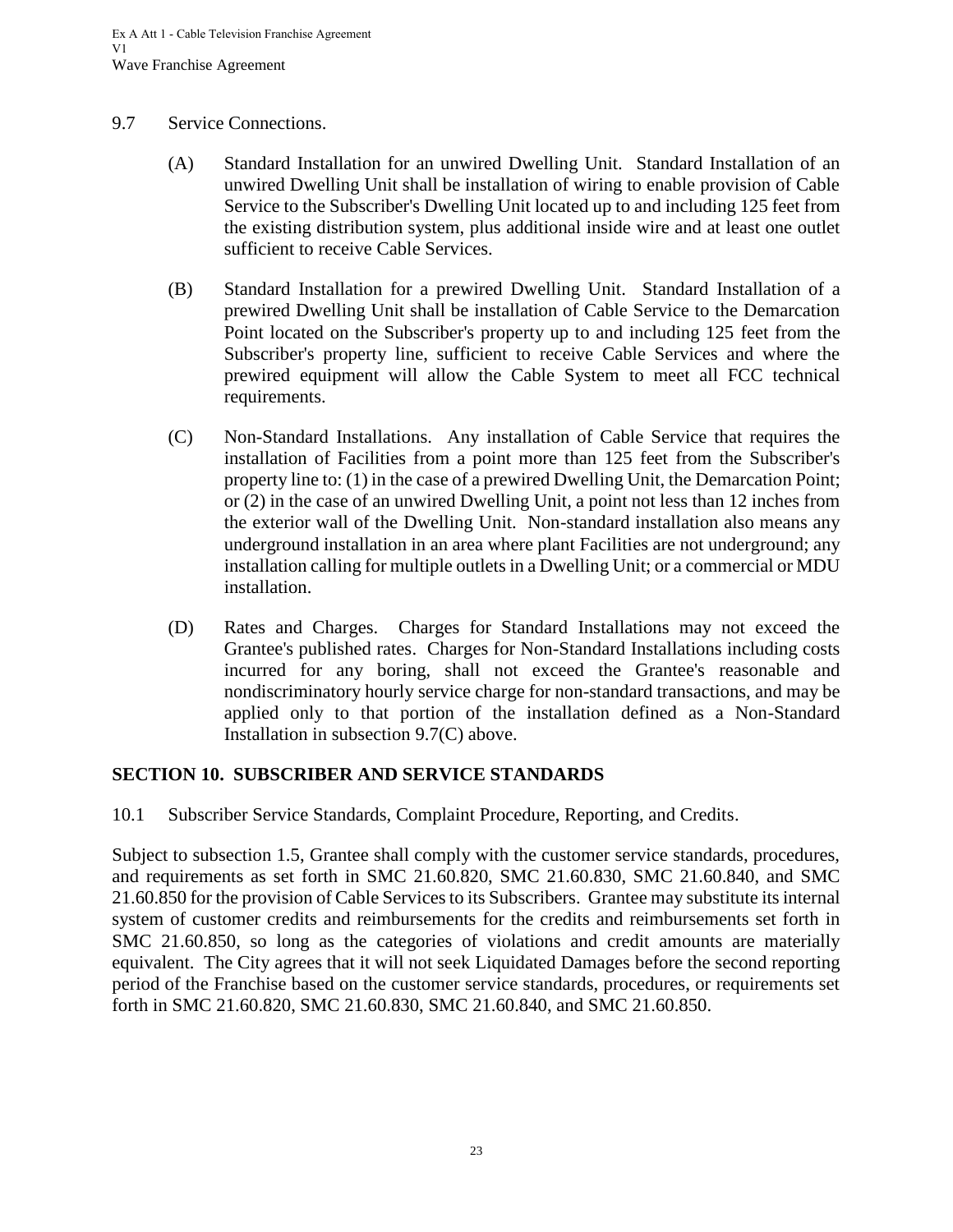#### <span id="page-26-0"></span>9.7 Service Connections.

- (A) Standard Installation for an unwired Dwelling Unit. Standard Installation of an unwired Dwelling Unit shall be installation of wiring to enable provision of Cable Service to the Subscriber's Dwelling Unit located up to and including 125 feet from the existing distribution system, plus additional inside wire and at least one outlet sufficient to receive Cable Services.
- (B) Standard Installation for a prewired Dwelling Unit. Standard Installation of a prewired Dwelling Unit shall be installation of Cable Service to the Demarcation Point located on the Subscriber's property up to and including 125 feet from the Subscriber's property line, sufficient to receive Cable Services and where the prewired equipment will allow the Cable System to meet all FCC technical requirements.
- (C) Non-Standard Installations. Any installation of Cable Service that requires the installation of Facilities from a point more than 125 feet from the Subscriber's property line to: (1) in the case of a prewired Dwelling Unit, the Demarcation Point; or (2) in the case of an unwired Dwelling Unit, a point not less than 12 inches from the exterior wall of the Dwelling Unit. Non-standard installation also means any underground installation in an area where plant Facilities are not underground; any installation calling for multiple outlets in a Dwelling Unit; or a commercial or MDU installation.
- (D) Rates and Charges. Charges for Standard Installations may not exceed the Grantee's published rates. Charges for Non-Standard Installations including costs incurred for any boring, shall not exceed the Grantee's reasonable and nondiscriminatory hourly service charge for non-standard transactions, and may be applied only to that portion of the installation defined as a Non-Standard Installation in subsection 9.7(C) above.

#### <span id="page-26-1"></span>**SECTION 10. SUBSCRIBER AND SERVICE STANDARDS**

<span id="page-26-2"></span>10.1 Subscriber Service Standards, Complaint Procedure, Reporting, and Credits.

Subject to subsection 1.5, Grantee shall comply with the customer service standards, procedures, and requirements as set forth in SMC 21.60.820, SMC 21.60.830, SMC 21.60.840, and SMC 21.60.850 for the provision of Cable Services to its Subscribers. Grantee may substitute its internal system of customer credits and reimbursements for the credits and reimbursements set forth in SMC 21.60.850, so long as the categories of violations and credit amounts are materially equivalent. The City agrees that it will not seek Liquidated Damages before the second reporting period of the Franchise based on the customer service standards, procedures, or requirements set forth in SMC 21.60.820, SMC 21.60.830, SMC 21.60.840, and SMC 21.60.850.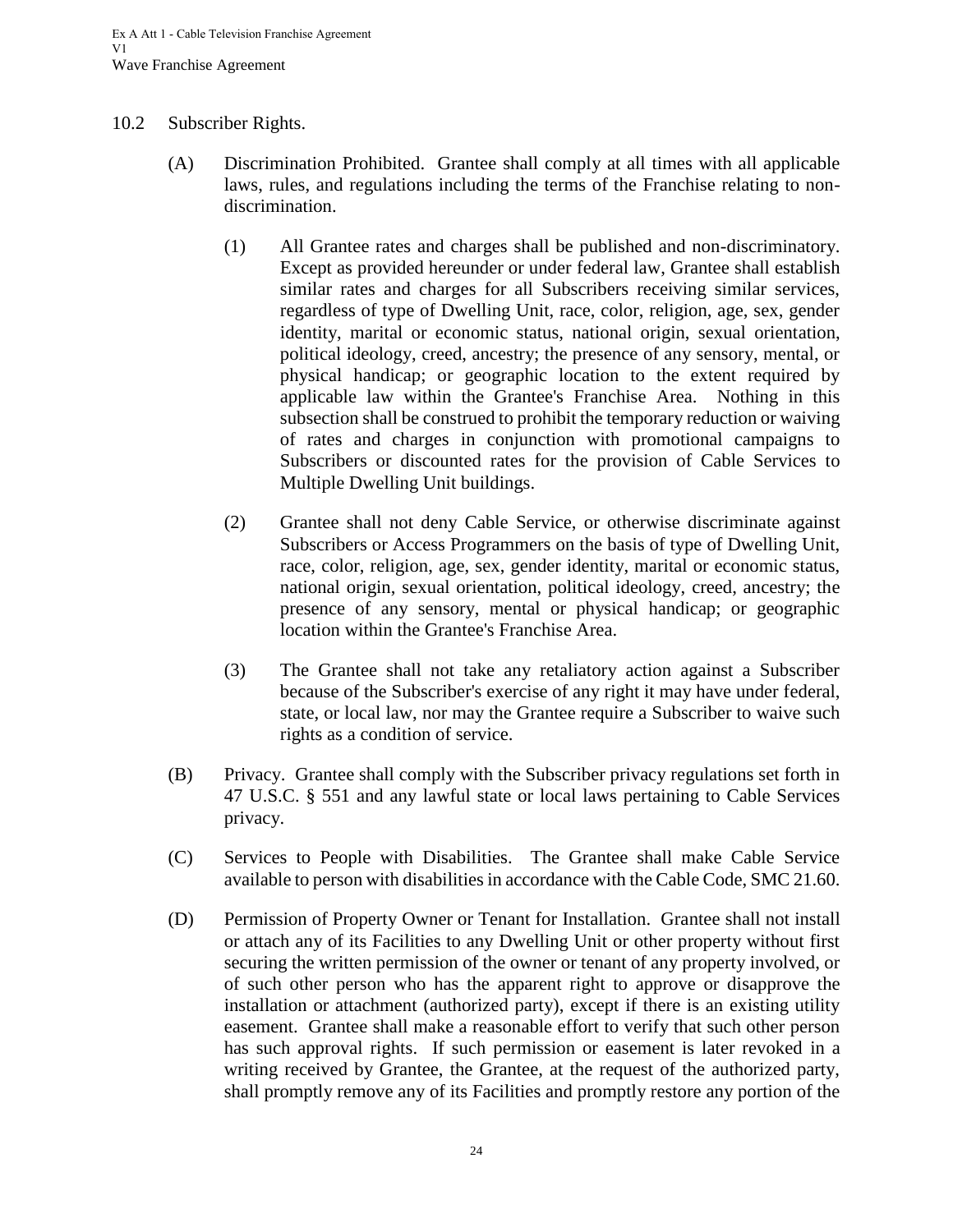#### <span id="page-27-0"></span>10.2 Subscriber Rights.

- (A) Discrimination Prohibited. Grantee shall comply at all times with all applicable laws, rules, and regulations including the terms of the Franchise relating to nondiscrimination.
	- (1) All Grantee rates and charges shall be published and non-discriminatory. Except as provided hereunder or under federal law, Grantee shall establish similar rates and charges for all Subscribers receiving similar services, regardless of type of Dwelling Unit, race, color, religion, age, sex, gender identity, marital or economic status, national origin, sexual orientation, political ideology, creed, ancestry; the presence of any sensory, mental, or physical handicap; or geographic location to the extent required by applicable law within the Grantee's Franchise Area. Nothing in this subsection shall be construed to prohibit the temporary reduction or waiving of rates and charges in conjunction with promotional campaigns to Subscribers or discounted rates for the provision of Cable Services to Multiple Dwelling Unit buildings.
	- (2) Grantee shall not deny Cable Service, or otherwise discriminate against Subscribers or Access Programmers on the basis of type of Dwelling Unit, race, color, religion, age, sex, gender identity, marital or economic status, national origin, sexual orientation, political ideology, creed, ancestry; the presence of any sensory, mental or physical handicap; or geographic location within the Grantee's Franchise Area.
	- (3) The Grantee shall not take any retaliatory action against a Subscriber because of the Subscriber's exercise of any right it may have under federal, state, or local law, nor may the Grantee require a Subscriber to waive such rights as a condition of service.
- (B) Privacy. Grantee shall comply with the Subscriber privacy regulations set forth in 47 U.S.C. § 551 and any lawful state or local laws pertaining to Cable Services privacy.
- (C) Services to People with Disabilities. The Grantee shall make Cable Service available to person with disabilities in accordance with the Cable Code, SMC 21.60.
- (D) Permission of Property Owner or Tenant for Installation. Grantee shall not install or attach any of its Facilities to any Dwelling Unit or other property without first securing the written permission of the owner or tenant of any property involved, or of such other person who has the apparent right to approve or disapprove the installation or attachment (authorized party), except if there is an existing utility easement. Grantee shall make a reasonable effort to verify that such other person has such approval rights. If such permission or easement is later revoked in a writing received by Grantee, the Grantee, at the request of the authorized party, shall promptly remove any of its Facilities and promptly restore any portion of the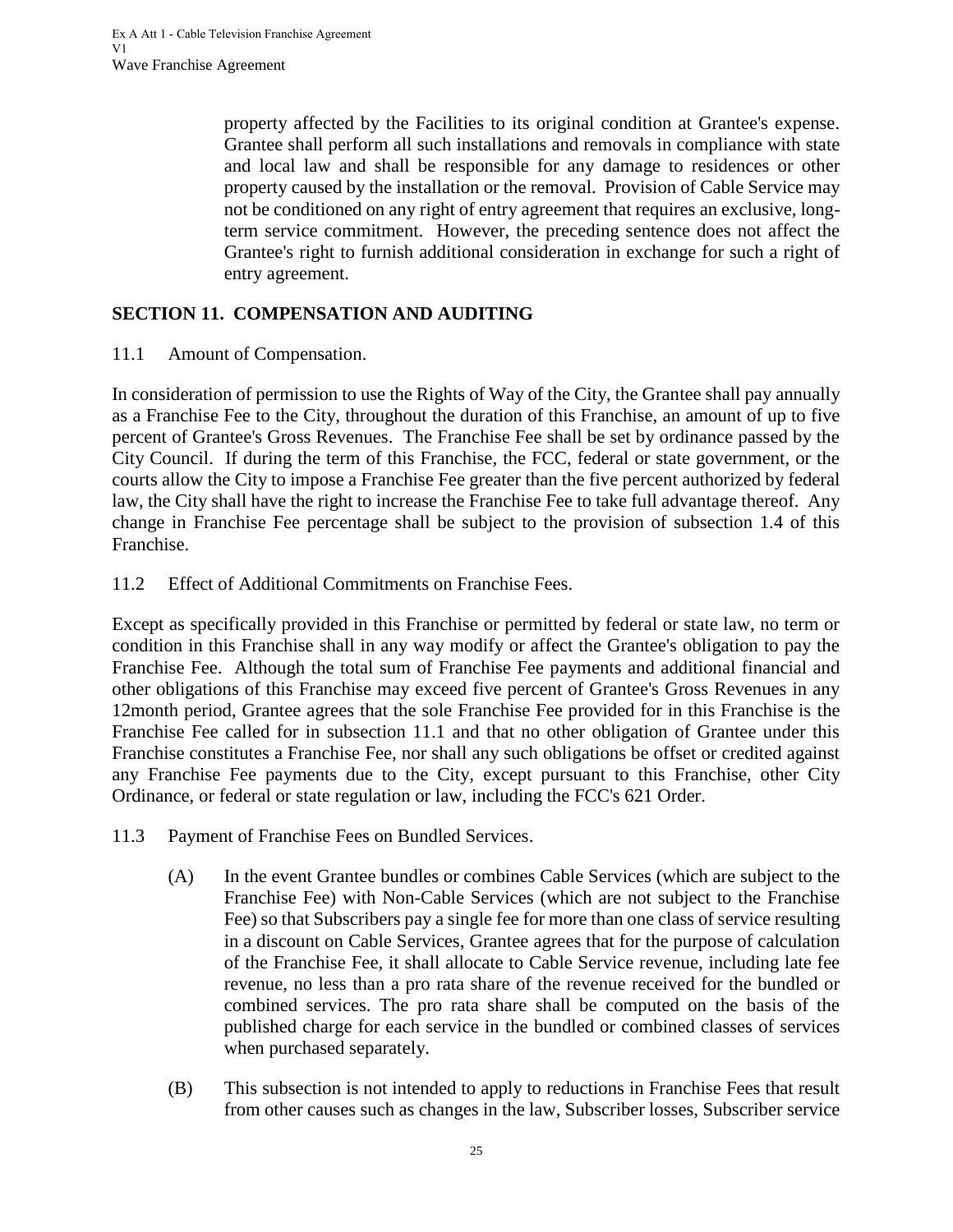property affected by the Facilities to its original condition at Grantee's expense. Grantee shall perform all such installations and removals in compliance with state and local law and shall be responsible for any damage to residences or other property caused by the installation or the removal. Provision of Cable Service may not be conditioned on any right of entry agreement that requires an exclusive, longterm service commitment. However, the preceding sentence does not affect the Grantee's right to furnish additional consideration in exchange for such a right of entry agreement.

# <span id="page-28-0"></span>**SECTION 11. COMPENSATION AND AUDITING**

<span id="page-28-1"></span>11.1 Amount of Compensation.

In consideration of permission to use the Rights of Way of the City, the Grantee shall pay annually as a Franchise Fee to the City, throughout the duration of this Franchise, an amount of up to five percent of Grantee's Gross Revenues. The Franchise Fee shall be set by ordinance passed by the City Council. If during the term of this Franchise, the FCC, federal or state government, or the courts allow the City to impose a Franchise Fee greater than the five percent authorized by federal law, the City shall have the right to increase the Franchise Fee to take full advantage thereof. Any change in Franchise Fee percentage shall be subject to the provision of subsection 1.4 of this Franchise.

<span id="page-28-2"></span>11.2 Effect of Additional Commitments on Franchise Fees.

Except as specifically provided in this Franchise or permitted by federal or state law, no term or condition in this Franchise shall in any way modify or affect the Grantee's obligation to pay the Franchise Fee. Although the total sum of Franchise Fee payments and additional financial and other obligations of this Franchise may exceed five percent of Grantee's Gross Revenues in any 12month period, Grantee agrees that the sole Franchise Fee provided for in this Franchise is the Franchise Fee called for in subsection 11.1 and that no other obligation of Grantee under this Franchise constitutes a Franchise Fee, nor shall any such obligations be offset or credited against any Franchise Fee payments due to the City, except pursuant to this Franchise, other City Ordinance, or federal or state regulation or law, including the FCC's 621 Order.

- <span id="page-28-3"></span>11.3 Payment of Franchise Fees on Bundled Services.
	- (A) In the event Grantee bundles or combines Cable Services (which are subject to the Franchise Fee) with Non-Cable Services (which are not subject to the Franchise Fee) so that Subscribers pay a single fee for more than one class of service resulting in a discount on Cable Services, Grantee agrees that for the purpose of calculation of the Franchise Fee, it shall allocate to Cable Service revenue, including late fee revenue, no less than a pro rata share of the revenue received for the bundled or combined services. The pro rata share shall be computed on the basis of the published charge for each service in the bundled or combined classes of services when purchased separately.
	- (B) This subsection is not intended to apply to reductions in Franchise Fees that result from other causes such as changes in the law, Subscriber losses, Subscriber service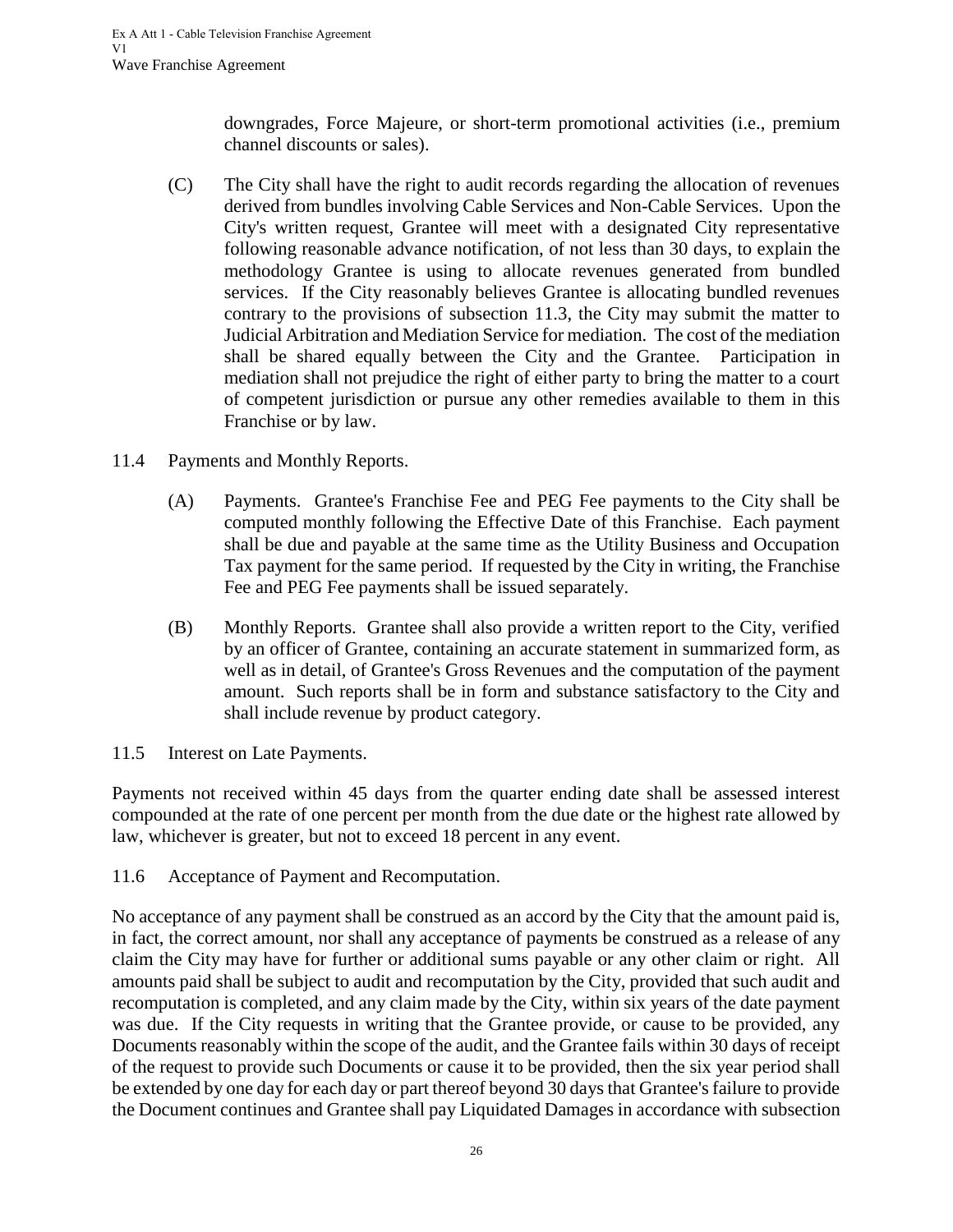downgrades, Force Majeure, or short-term promotional activities (i.e., premium channel discounts or sales).

- (C) The City shall have the right to audit records regarding the allocation of revenues derived from bundles involving Cable Services and Non-Cable Services. Upon the City's written request, Grantee will meet with a designated City representative following reasonable advance notification, of not less than 30 days, to explain the methodology Grantee is using to allocate revenues generated from bundled services. If the City reasonably believes Grantee is allocating bundled revenues contrary to the provisions of subsection 11.3, the City may submit the matter to Judicial Arbitration and Mediation Service for mediation. The cost of the mediation shall be shared equally between the City and the Grantee. Participation in mediation shall not prejudice the right of either party to bring the matter to a court of competent jurisdiction or pursue any other remedies available to them in this Franchise or by law.
- <span id="page-29-0"></span>11.4 Payments and Monthly Reports.
	- (A) Payments. Grantee's Franchise Fee and PEG Fee payments to the City shall be computed monthly following the Effective Date of this Franchise. Each payment shall be due and payable at the same time as the Utility Business and Occupation Tax payment for the same period. If requested by the City in writing, the Franchise Fee and PEG Fee payments shall be issued separately.
	- (B) Monthly Reports. Grantee shall also provide a written report to the City, verified by an officer of Grantee, containing an accurate statement in summarized form, as well as in detail, of Grantee's Gross Revenues and the computation of the payment amount. Such reports shall be in form and substance satisfactory to the City and shall include revenue by product category.
- <span id="page-29-1"></span>11.5 Interest on Late Payments.

Payments not received within 45 days from the quarter ending date shall be assessed interest compounded at the rate of one percent per month from the due date or the highest rate allowed by law, whichever is greater, but not to exceed 18 percent in any event.

<span id="page-29-2"></span>11.6 Acceptance of Payment and Recomputation.

No acceptance of any payment shall be construed as an accord by the City that the amount paid is, in fact, the correct amount, nor shall any acceptance of payments be construed as a release of any claim the City may have for further or additional sums payable or any other claim or right. All amounts paid shall be subject to audit and recomputation by the City, provided that such audit and recomputation is completed, and any claim made by the City, within six years of the date payment was due. If the City requests in writing that the Grantee provide, or cause to be provided, any Documents reasonably within the scope of the audit, and the Grantee fails within 30 days of receipt of the request to provide such Documents or cause it to be provided, then the six year period shall be extended by one day for each day or part thereof beyond 30 days that Grantee's failure to provide the Document continues and Grantee shall pay Liquidated Damages in accordance with subsection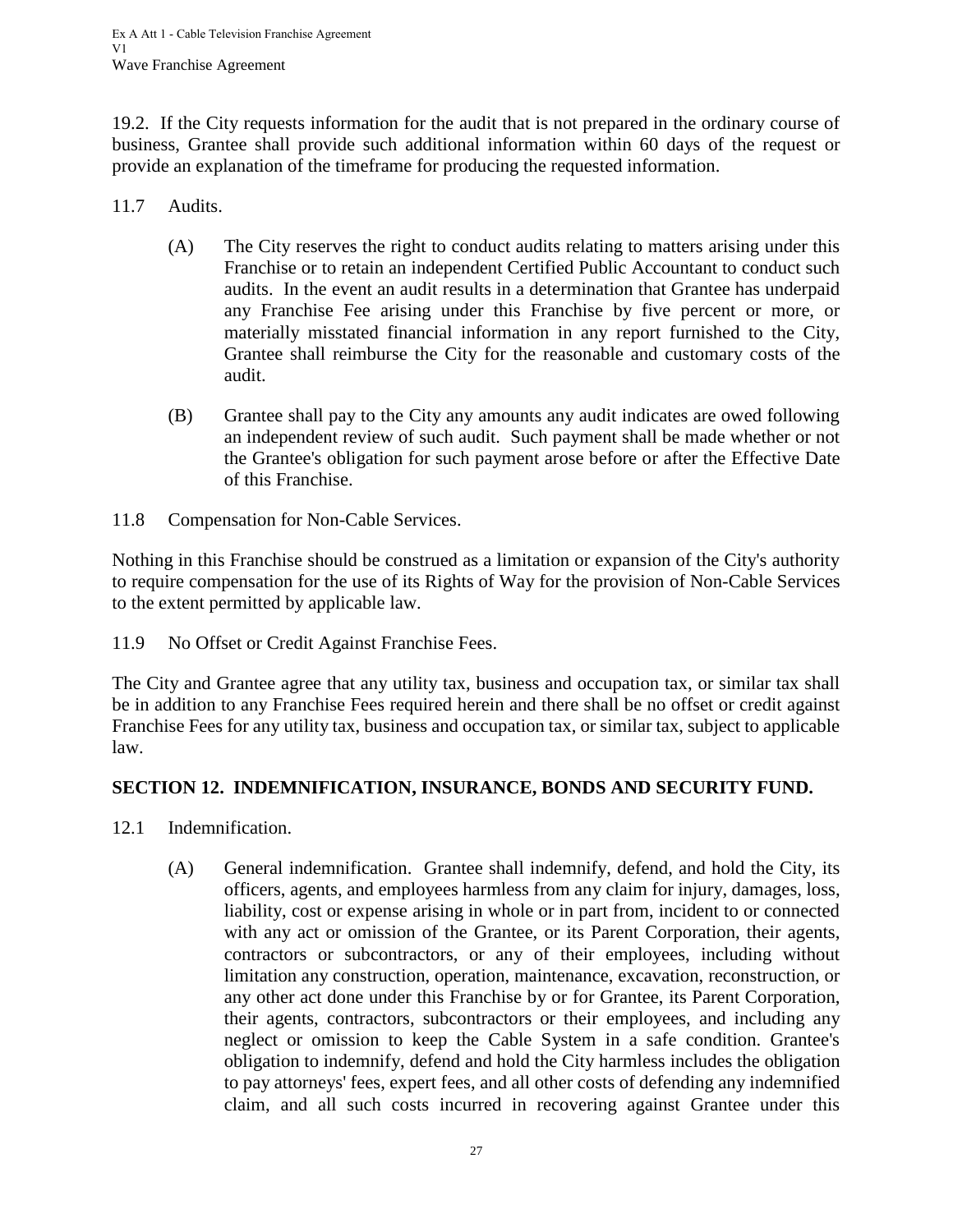19.2. If the City requests information for the audit that is not prepared in the ordinary course of business, Grantee shall provide such additional information within 60 days of the request or provide an explanation of the timeframe for producing the requested information.

- <span id="page-30-0"></span>11.7 Audits.
	- (A) The City reserves the right to conduct audits relating to matters arising under this Franchise or to retain an independent Certified Public Accountant to conduct such audits. In the event an audit results in a determination that Grantee has underpaid any Franchise Fee arising under this Franchise by five percent or more, or materially misstated financial information in any report furnished to the City, Grantee shall reimburse the City for the reasonable and customary costs of the audit.
	- (B) Grantee shall pay to the City any amounts any audit indicates are owed following an independent review of such audit. Such payment shall be made whether or not the Grantee's obligation for such payment arose before or after the Effective Date of this Franchise.
- <span id="page-30-1"></span>11.8 Compensation for Non-Cable Services.

Nothing in this Franchise should be construed as a limitation or expansion of the City's authority to require compensation for the use of its Rights of Way for the provision of Non-Cable Services to the extent permitted by applicable law.

<span id="page-30-2"></span>11.9 No Offset or Credit Against Franchise Fees.

The City and Grantee agree that any utility tax, business and occupation tax, or similar tax shall be in addition to any Franchise Fees required herein and there shall be no offset or credit against Franchise Fees for any utility tax, business and occupation tax, or similar tax, subject to applicable law.

## <span id="page-30-3"></span>**SECTION 12. INDEMNIFICATION, INSURANCE, BONDS AND SECURITY FUND.**

- <span id="page-30-4"></span>12.1 Indemnification.
	- (A) General indemnification. Grantee shall indemnify, defend, and hold the City, its officers, agents, and employees harmless from any claim for injury, damages, loss, liability, cost or expense arising in whole or in part from, incident to or connected with any act or omission of the Grantee, or its Parent Corporation, their agents, contractors or subcontractors, or any of their employees, including without limitation any construction, operation, maintenance, excavation, reconstruction, or any other act done under this Franchise by or for Grantee, its Parent Corporation, their agents, contractors, subcontractors or their employees, and including any neglect or omission to keep the Cable System in a safe condition. Grantee's obligation to indemnify, defend and hold the City harmless includes the obligation to pay attorneys' fees, expert fees, and all other costs of defending any indemnified claim, and all such costs incurred in recovering against Grantee under this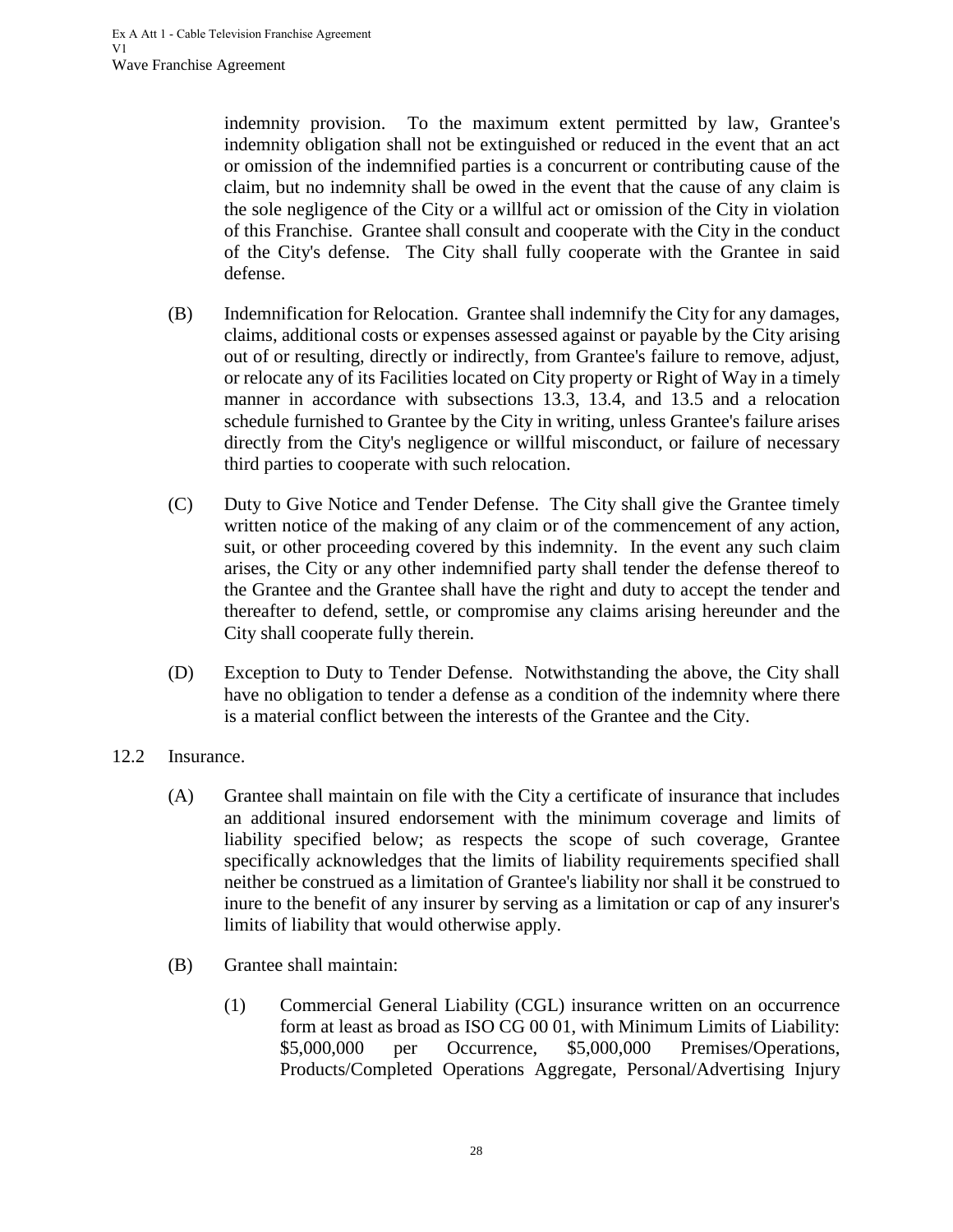indemnity provision. To the maximum extent permitted by law, Grantee's indemnity obligation shall not be extinguished or reduced in the event that an act or omission of the indemnified parties is a concurrent or contributing cause of the claim, but no indemnity shall be owed in the event that the cause of any claim is the sole negligence of the City or a willful act or omission of the City in violation of this Franchise. Grantee shall consult and cooperate with the City in the conduct of the City's defense. The City shall fully cooperate with the Grantee in said defense.

- (B) Indemnification for Relocation. Grantee shall indemnify the City for any damages, claims, additional costs or expenses assessed against or payable by the City arising out of or resulting, directly or indirectly, from Grantee's failure to remove, adjust, or relocate any of its Facilities located on City property or Right of Way in a timely manner in accordance with subsections 13.3, 13.4, and 13.5 and a relocation schedule furnished to Grantee by the City in writing, unless Grantee's failure arises directly from the City's negligence or willful misconduct, or failure of necessary third parties to cooperate with such relocation.
- (C) Duty to Give Notice and Tender Defense. The City shall give the Grantee timely written notice of the making of any claim or of the commencement of any action, suit, or other proceeding covered by this indemnity. In the event any such claim arises, the City or any other indemnified party shall tender the defense thereof to the Grantee and the Grantee shall have the right and duty to accept the tender and thereafter to defend, settle, or compromise any claims arising hereunder and the City shall cooperate fully therein.
- (D) Exception to Duty to Tender Defense. Notwithstanding the above, the City shall have no obligation to tender a defense as a condition of the indemnity where there is a material conflict between the interests of the Grantee and the City.
- <span id="page-31-0"></span>12.2 Insurance.
	- (A) Grantee shall maintain on file with the City a certificate of insurance that includes an additional insured endorsement with the minimum coverage and limits of liability specified below; as respects the scope of such coverage, Grantee specifically acknowledges that the limits of liability requirements specified shall neither be construed as a limitation of Grantee's liability nor shall it be construed to inure to the benefit of any insurer by serving as a limitation or cap of any insurer's limits of liability that would otherwise apply.
	- (B) Grantee shall maintain:
		- (1) Commercial General Liability (CGL) insurance written on an occurrence form at least as broad as ISO CG 00 01, with Minimum Limits of Liability: \$5,000,000 per Occurrence, \$5,000,000 Premises/Operations, Products/Completed Operations Aggregate, Personal/Advertising Injury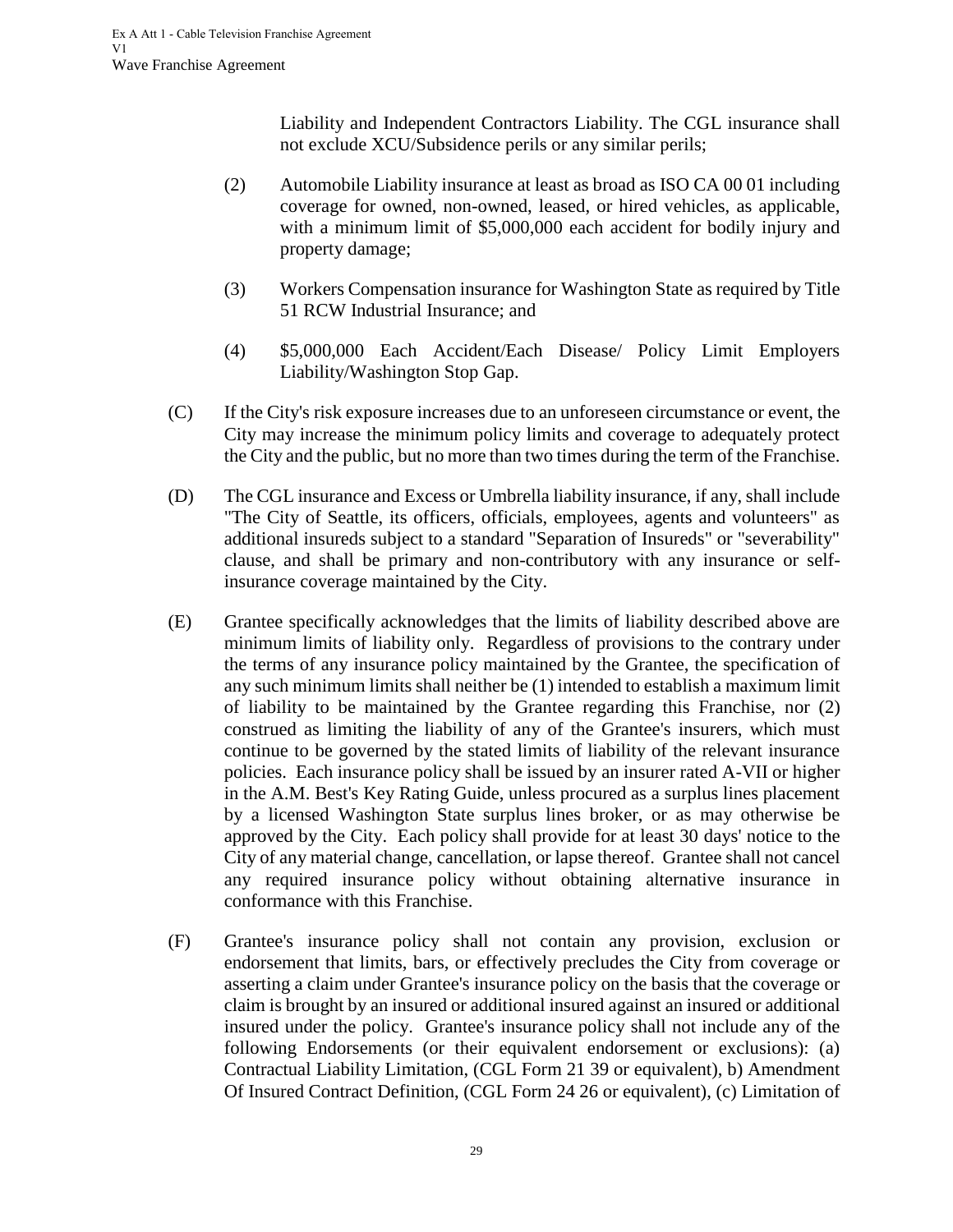Liability and Independent Contractors Liability. The CGL insurance shall not exclude XCU/Subsidence perils or any similar perils;

- (2) Automobile Liability insurance at least as broad as ISO CA 00 01 including coverage for owned, non-owned, leased, or hired vehicles, as applicable, with a minimum limit of \$5,000,000 each accident for bodily injury and property damage;
- (3) Workers Compensation insurance for Washington State as required by Title 51 RCW Industrial Insurance; and
- (4) \$5,000,000 Each Accident/Each Disease/ Policy Limit Employers Liability/Washington Stop Gap.
- (C) If the City's risk exposure increases due to an unforeseen circumstance or event, the City may increase the minimum policy limits and coverage to adequately protect the City and the public, but no more than two times during the term of the Franchise.
- (D) The CGL insurance and Excess or Umbrella liability insurance, if any, shall include "The City of Seattle, its officers, officials, employees, agents and volunteers" as additional insureds subject to a standard "Separation of Insureds" or "severability" clause, and shall be primary and non-contributory with any insurance or selfinsurance coverage maintained by the City.
- (E) Grantee specifically acknowledges that the limits of liability described above are minimum limits of liability only. Regardless of provisions to the contrary under the terms of any insurance policy maintained by the Grantee, the specification of any such minimum limits shall neither be (1) intended to establish a maximum limit of liability to be maintained by the Grantee regarding this Franchise, nor (2) construed as limiting the liability of any of the Grantee's insurers, which must continue to be governed by the stated limits of liability of the relevant insurance policies. Each insurance policy shall be issued by an insurer rated A-VII or higher in the A.M. Best's Key Rating Guide, unless procured as a surplus lines placement by a licensed Washington State surplus lines broker, or as may otherwise be approved by the City. Each policy shall provide for at least 30 days' notice to the City of any material change, cancellation, or lapse thereof. Grantee shall not cancel any required insurance policy without obtaining alternative insurance in conformance with this Franchise.
- (F) Grantee's insurance policy shall not contain any provision, exclusion or endorsement that limits, bars, or effectively precludes the City from coverage or asserting a claim under Grantee's insurance policy on the basis that the coverage or claim is brought by an insured or additional insured against an insured or additional insured under the policy. Grantee's insurance policy shall not include any of the following Endorsements (or their equivalent endorsement or exclusions): (a) Contractual Liability Limitation, (CGL Form 21 39 or equivalent), b) Amendment Of Insured Contract Definition, (CGL Form 24 26 or equivalent), (c) Limitation of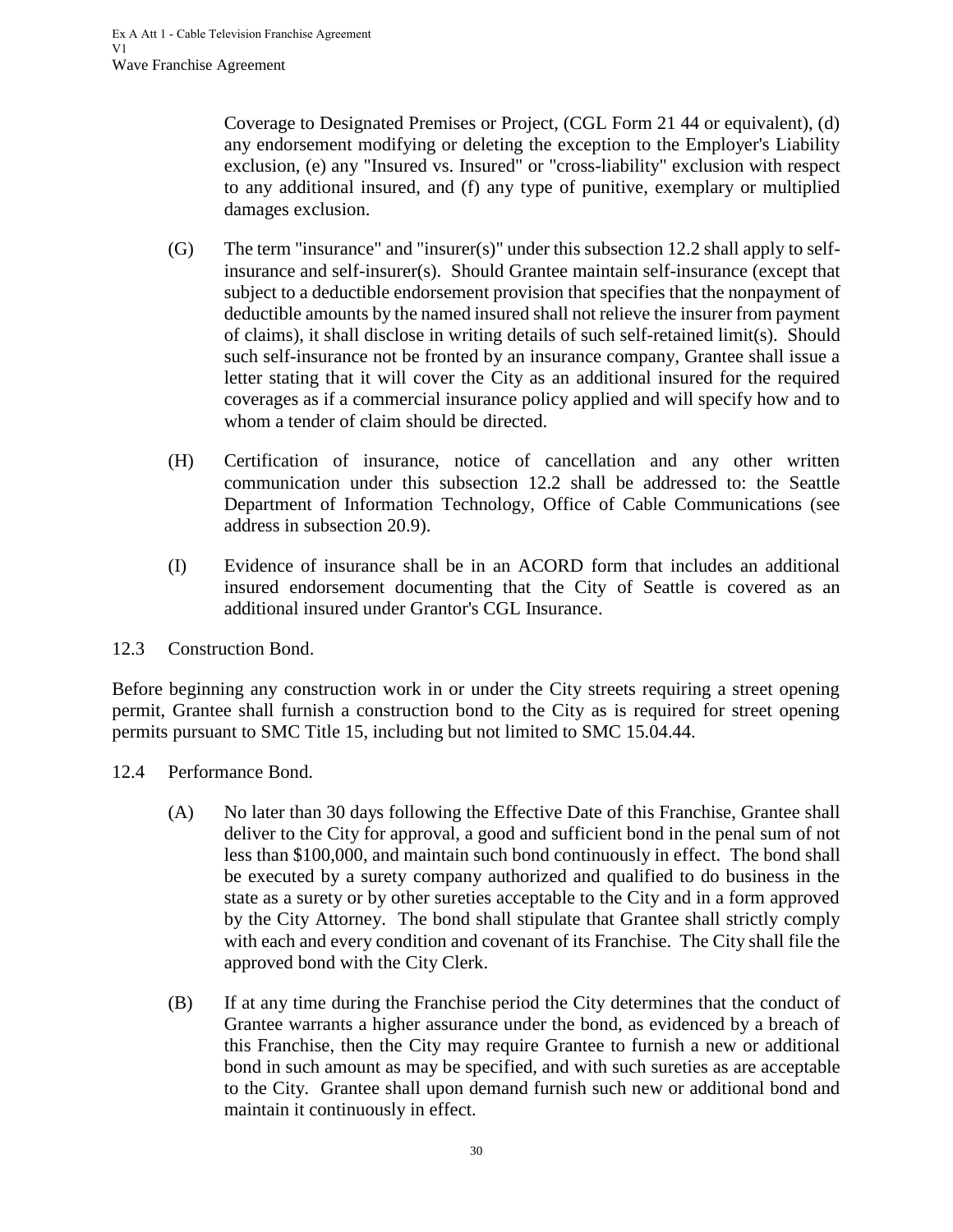Coverage to Designated Premises or Project, (CGL Form 21 44 or equivalent), (d) any endorsement modifying or deleting the exception to the Employer's Liability exclusion, (e) any "Insured vs. Insured" or "cross-liability" exclusion with respect to any additional insured, and (f) any type of punitive, exemplary or multiplied damages exclusion.

- (G) The term "insurance" and "insurer(s)" under this subsection 12.2 shall apply to selfinsurance and self-insurer(s). Should Grantee maintain self-insurance (except that subject to a deductible endorsement provision that specifies that the nonpayment of deductible amounts by the named insured shall not relieve the insurer from payment of claims), it shall disclose in writing details of such self-retained limit(s). Should such self-insurance not be fronted by an insurance company, Grantee shall issue a letter stating that it will cover the City as an additional insured for the required coverages as if a commercial insurance policy applied and will specify how and to whom a tender of claim should be directed.
- (H) Certification of insurance, notice of cancellation and any other written communication under this subsection 12.2 shall be addressed to: the Seattle Department of Information Technology, Office of Cable Communications (see address in subsection 20.9).
- (I) Evidence of insurance shall be in an ACORD form that includes an additional insured endorsement documenting that the City of Seattle is covered as an additional insured under Grantor's CGL Insurance.

<span id="page-33-0"></span>12.3 Construction Bond.

Before beginning any construction work in or under the City streets requiring a street opening permit, Grantee shall furnish a construction bond to the City as is required for street opening permits pursuant to SMC Title 15, including but not limited to SMC 15.04.44.

- <span id="page-33-1"></span>12.4 Performance Bond.
	- (A) No later than 30 days following the Effective Date of this Franchise, Grantee shall deliver to the City for approval, a good and sufficient bond in the penal sum of not less than \$100,000, and maintain such bond continuously in effect. The bond shall be executed by a surety company authorized and qualified to do business in the state as a surety or by other sureties acceptable to the City and in a form approved by the City Attorney. The bond shall stipulate that Grantee shall strictly comply with each and every condition and covenant of its Franchise. The City shall file the approved bond with the City Clerk.
	- (B) If at any time during the Franchise period the City determines that the conduct of Grantee warrants a higher assurance under the bond, as evidenced by a breach of this Franchise, then the City may require Grantee to furnish a new or additional bond in such amount as may be specified, and with such sureties as are acceptable to the City. Grantee shall upon demand furnish such new or additional bond and maintain it continuously in effect.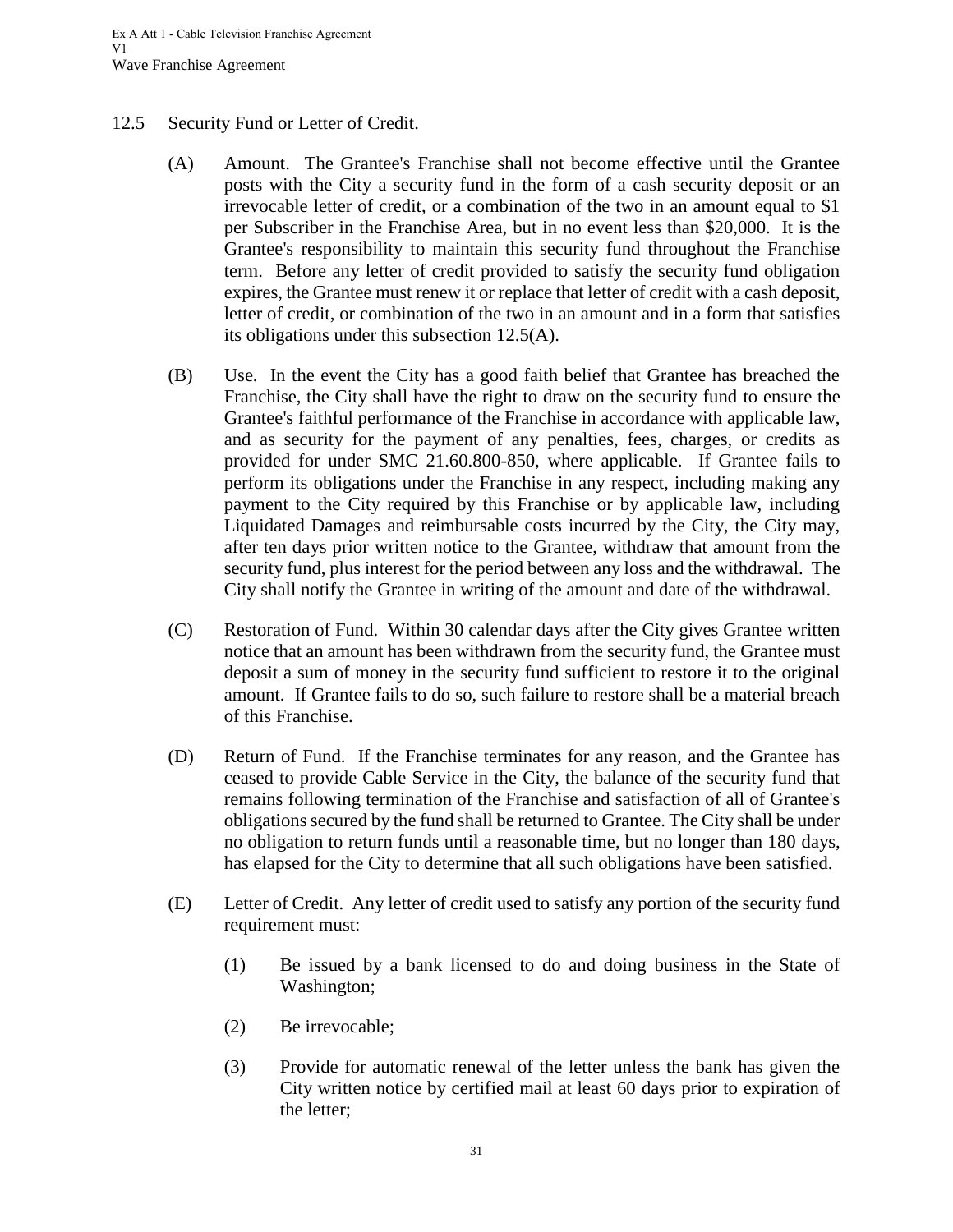#### <span id="page-34-0"></span>12.5 Security Fund or Letter of Credit.

- (A) Amount. The Grantee's Franchise shall not become effective until the Grantee posts with the City a security fund in the form of a cash security deposit or an irrevocable letter of credit, or a combination of the two in an amount equal to \$1 per Subscriber in the Franchise Area, but in no event less than \$20,000. It is the Grantee's responsibility to maintain this security fund throughout the Franchise term. Before any letter of credit provided to satisfy the security fund obligation expires, the Grantee must renew it or replace that letter of credit with a cash deposit, letter of credit, or combination of the two in an amount and in a form that satisfies its obligations under this subsection 12.5(A).
- (B) Use. In the event the City has a good faith belief that Grantee has breached the Franchise, the City shall have the right to draw on the security fund to ensure the Grantee's faithful performance of the Franchise in accordance with applicable law, and as security for the payment of any penalties, fees, charges, or credits as provided for under SMC 21.60.800-850, where applicable. If Grantee fails to perform its obligations under the Franchise in any respect, including making any payment to the City required by this Franchise or by applicable law, including Liquidated Damages and reimbursable costs incurred by the City, the City may, after ten days prior written notice to the Grantee, withdraw that amount from the security fund, plus interest for the period between any loss and the withdrawal. The City shall notify the Grantee in writing of the amount and date of the withdrawal.
- (C) Restoration of Fund. Within 30 calendar days after the City gives Grantee written notice that an amount has been withdrawn from the security fund, the Grantee must deposit a sum of money in the security fund sufficient to restore it to the original amount. If Grantee fails to do so, such failure to restore shall be a material breach of this Franchise.
- (D) Return of Fund. If the Franchise terminates for any reason, and the Grantee has ceased to provide Cable Service in the City, the balance of the security fund that remains following termination of the Franchise and satisfaction of all of Grantee's obligations secured by the fund shall be returned to Grantee. The City shall be under no obligation to return funds until a reasonable time, but no longer than 180 days, has elapsed for the City to determine that all such obligations have been satisfied.
- (E) Letter of Credit. Any letter of credit used to satisfy any portion of the security fund requirement must:
	- (1) Be issued by a bank licensed to do and doing business in the State of Washington;
	- (2) Be irrevocable;
	- (3) Provide for automatic renewal of the letter unless the bank has given the City written notice by certified mail at least 60 days prior to expiration of the letter;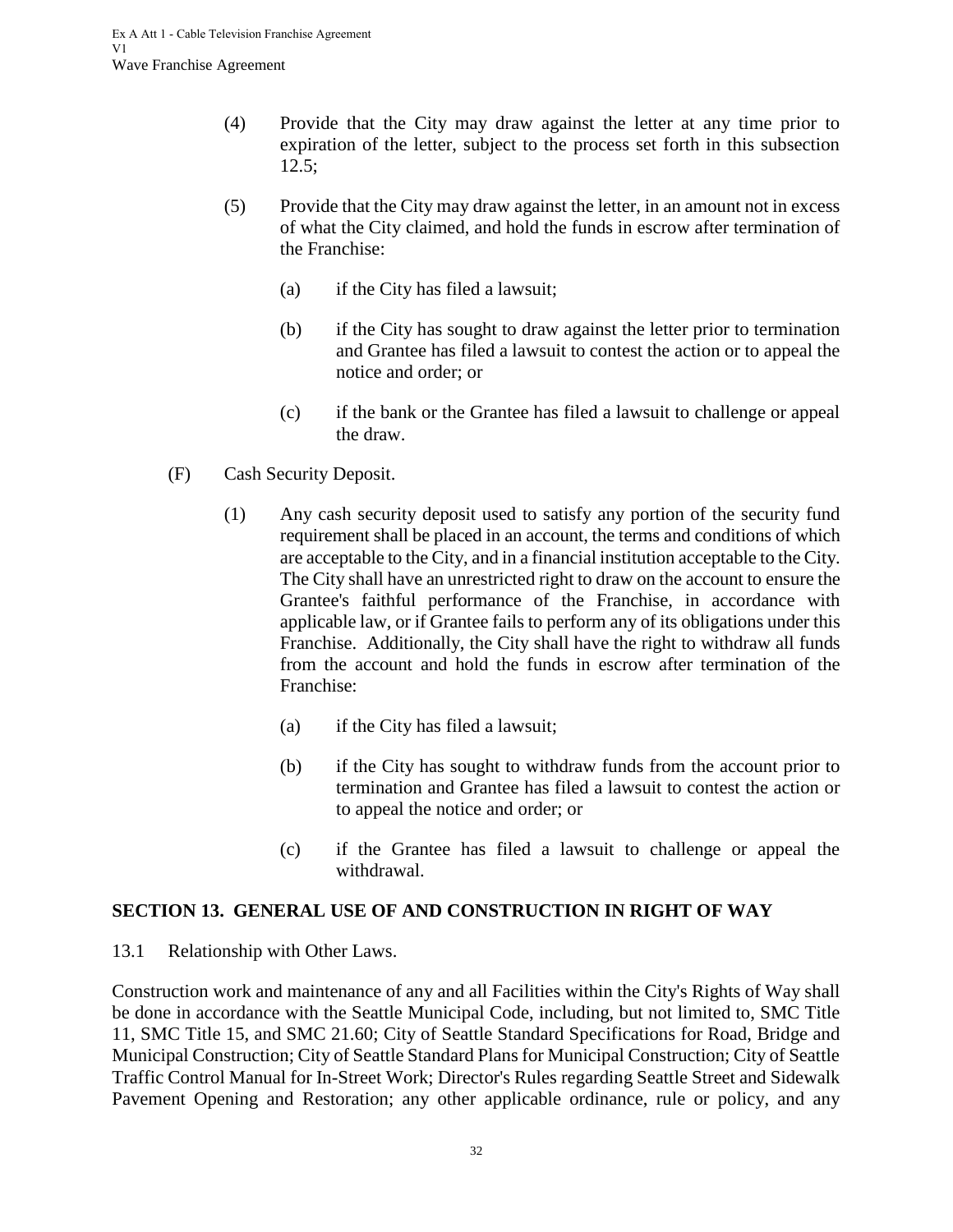- (4) Provide that the City may draw against the letter at any time prior to expiration of the letter, subject to the process set forth in this subsection 12.5;
- (5) Provide that the City may draw against the letter, in an amount not in excess of what the City claimed, and hold the funds in escrow after termination of the Franchise:
	- (a) if the City has filed a lawsuit;
	- (b) if the City has sought to draw against the letter prior to termination and Grantee has filed a lawsuit to contest the action or to appeal the notice and order; or
	- (c) if the bank or the Grantee has filed a lawsuit to challenge or appeal the draw.
- (F) Cash Security Deposit.
	- (1) Any cash security deposit used to satisfy any portion of the security fund requirement shall be placed in an account, the terms and conditions of which are acceptable to the City, and in a financial institution acceptable to the City. The City shall have an unrestricted right to draw on the account to ensure the Grantee's faithful performance of the Franchise, in accordance with applicable law, or if Grantee fails to perform any of its obligations under this Franchise. Additionally, the City shall have the right to withdraw all funds from the account and hold the funds in escrow after termination of the Franchise:
		- (a) if the City has filed a lawsuit;
		- (b) if the City has sought to withdraw funds from the account prior to termination and Grantee has filed a lawsuit to contest the action or to appeal the notice and order; or
		- (c) if the Grantee has filed a lawsuit to challenge or appeal the withdrawal.

## <span id="page-35-0"></span>**SECTION 13. GENERAL USE OF AND CONSTRUCTION IN RIGHT OF WAY**

<span id="page-35-1"></span>13.1 Relationship with Other Laws.

Construction work and maintenance of any and all Facilities within the City's Rights of Way shall be done in accordance with the Seattle Municipal Code, including, but not limited to, SMC Title 11, SMC Title 15, and SMC 21.60; City of Seattle Standard Specifications for Road, Bridge and Municipal Construction; City of Seattle Standard Plans for Municipal Construction; City of Seattle Traffic Control Manual for In-Street Work; Director's Rules regarding Seattle Street and Sidewalk Pavement Opening and Restoration; any other applicable ordinance, rule or policy, and any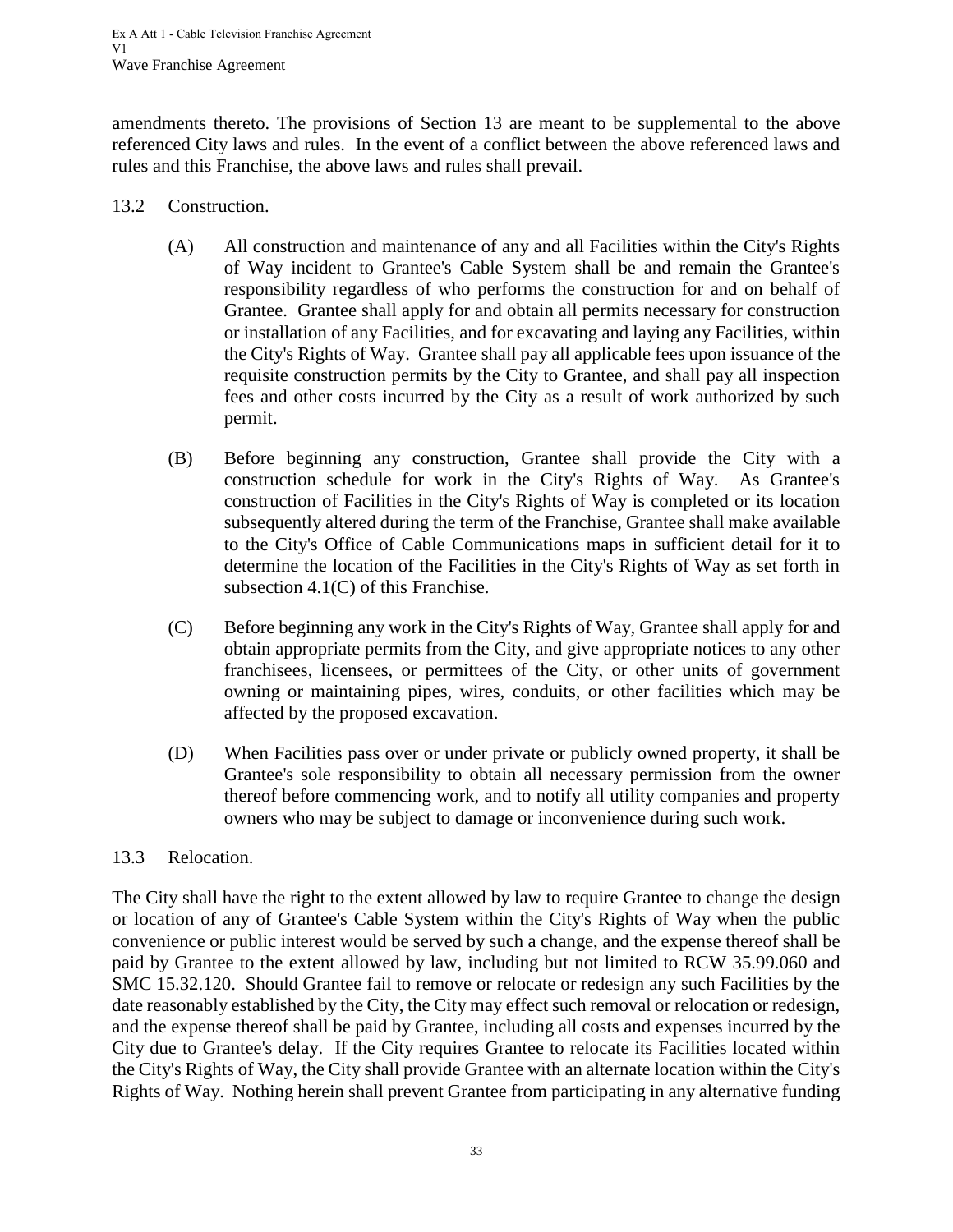amendments thereto. The provisions of Section 13 are meant to be supplemental to the above referenced City laws and rules. In the event of a conflict between the above referenced laws and rules and this Franchise, the above laws and rules shall prevail.

- <span id="page-36-0"></span>13.2 Construction.
	- (A) All construction and maintenance of any and all Facilities within the City's Rights of Way incident to Grantee's Cable System shall be and remain the Grantee's responsibility regardless of who performs the construction for and on behalf of Grantee. Grantee shall apply for and obtain all permits necessary for construction or installation of any Facilities, and for excavating and laying any Facilities, within the City's Rights of Way. Grantee shall pay all applicable fees upon issuance of the requisite construction permits by the City to Grantee, and shall pay all inspection fees and other costs incurred by the City as a result of work authorized by such permit.
	- (B) Before beginning any construction, Grantee shall provide the City with a construction schedule for work in the City's Rights of Way. As Grantee's construction of Facilities in the City's Rights of Way is completed or its location subsequently altered during the term of the Franchise, Grantee shall make available to the City's Office of Cable Communications maps in sufficient detail for it to determine the location of the Facilities in the City's Rights of Way as set forth in subsection 4.1(C) of this Franchise.
	- (C) Before beginning any work in the City's Rights of Way, Grantee shall apply for and obtain appropriate permits from the City, and give appropriate notices to any other franchisees, licensees, or permittees of the City, or other units of government owning or maintaining pipes, wires, conduits, or other facilities which may be affected by the proposed excavation.
	- (D) When Facilities pass over or under private or publicly owned property, it shall be Grantee's sole responsibility to obtain all necessary permission from the owner thereof before commencing work, and to notify all utility companies and property owners who may be subject to damage or inconvenience during such work.

#### <span id="page-36-1"></span>13.3 Relocation.

The City shall have the right to the extent allowed by law to require Grantee to change the design or location of any of Grantee's Cable System within the City's Rights of Way when the public convenience or public interest would be served by such a change, and the expense thereof shall be paid by Grantee to the extent allowed by law, including but not limited to RCW 35.99.060 and SMC 15.32.120. Should Grantee fail to remove or relocate or redesign any such Facilities by the date reasonably established by the City, the City may effect such removal or relocation or redesign, and the expense thereof shall be paid by Grantee, including all costs and expenses incurred by the City due to Grantee's delay. If the City requires Grantee to relocate its Facilities located within the City's Rights of Way, the City shall provide Grantee with an alternate location within the City's Rights of Way. Nothing herein shall prevent Grantee from participating in any alternative funding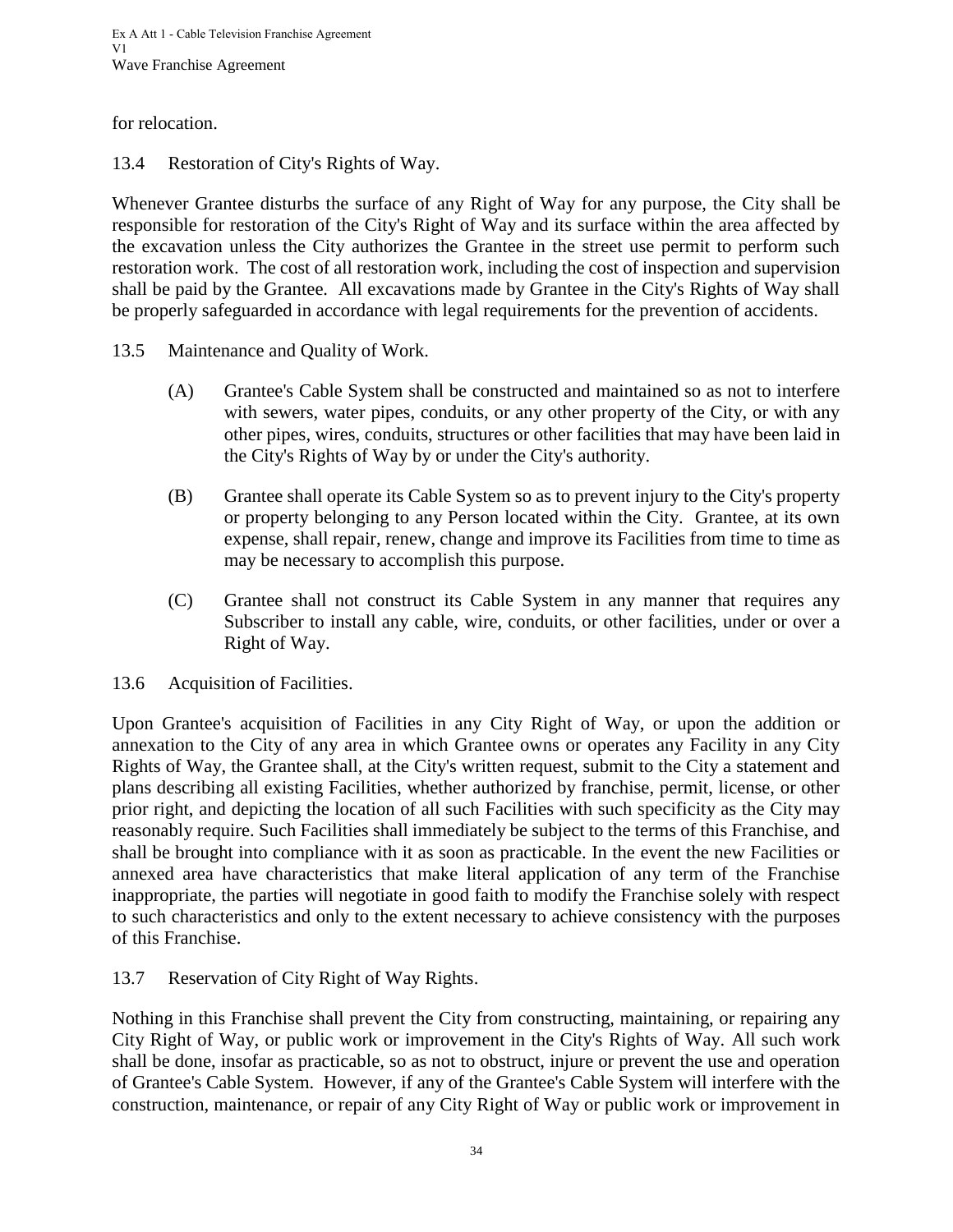for relocation.

<span id="page-37-0"></span>13.4 Restoration of City's Rights of Way.

Whenever Grantee disturbs the surface of any Right of Way for any purpose, the City shall be responsible for restoration of the City's Right of Way and its surface within the area affected by the excavation unless the City authorizes the Grantee in the street use permit to perform such restoration work. The cost of all restoration work, including the cost of inspection and supervision shall be paid by the Grantee. All excavations made by Grantee in the City's Rights of Way shall be properly safeguarded in accordance with legal requirements for the prevention of accidents.

- <span id="page-37-1"></span>13.5 Maintenance and Quality of Work.
	- (A) Grantee's Cable System shall be constructed and maintained so as not to interfere with sewers, water pipes, conduits, or any other property of the City, or with any other pipes, wires, conduits, structures or other facilities that may have been laid in the City's Rights of Way by or under the City's authority.
	- (B) Grantee shall operate its Cable System so as to prevent injury to the City's property or property belonging to any Person located within the City. Grantee, at its own expense, shall repair, renew, change and improve its Facilities from time to time as may be necessary to accomplish this purpose.
	- (C) Grantee shall not construct its Cable System in any manner that requires any Subscriber to install any cable, wire, conduits, or other facilities, under or over a Right of Way.
- <span id="page-37-2"></span>13.6 Acquisition of Facilities.

Upon Grantee's acquisition of Facilities in any City Right of Way, or upon the addition or annexation to the City of any area in which Grantee owns or operates any Facility in any City Rights of Way, the Grantee shall, at the City's written request, submit to the City a statement and plans describing all existing Facilities, whether authorized by franchise, permit, license, or other prior right, and depicting the location of all such Facilities with such specificity as the City may reasonably require. Such Facilities shall immediately be subject to the terms of this Franchise, and shall be brought into compliance with it as soon as practicable. In the event the new Facilities or annexed area have characteristics that make literal application of any term of the Franchise inappropriate, the parties will negotiate in good faith to modify the Franchise solely with respect to such characteristics and only to the extent necessary to achieve consistency with the purposes of this Franchise.

<span id="page-37-3"></span>13.7 Reservation of City Right of Way Rights.

Nothing in this Franchise shall prevent the City from constructing, maintaining, or repairing any City Right of Way, or public work or improvement in the City's Rights of Way. All such work shall be done, insofar as practicable, so as not to obstruct, injure or prevent the use and operation of Grantee's Cable System. However, if any of the Grantee's Cable System will interfere with the construction, maintenance, or repair of any City Right of Way or public work or improvement in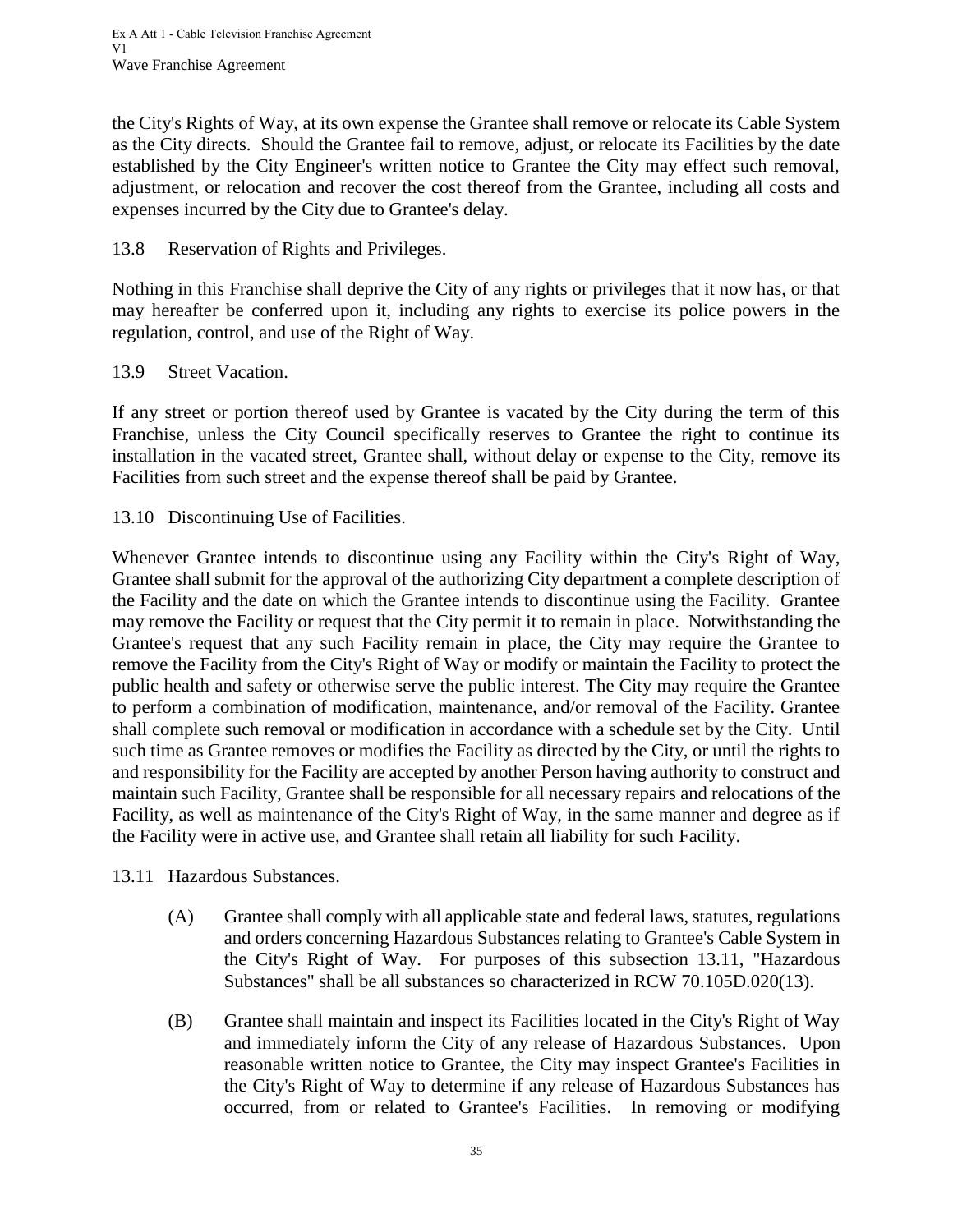the City's Rights of Way, at its own expense the Grantee shall remove or relocate its Cable System as the City directs. Should the Grantee fail to remove, adjust, or relocate its Facilities by the date established by the City Engineer's written notice to Grantee the City may effect such removal, adjustment, or relocation and recover the cost thereof from the Grantee, including all costs and expenses incurred by the City due to Grantee's delay.

#### <span id="page-38-0"></span>13.8 Reservation of Rights and Privileges.

Nothing in this Franchise shall deprive the City of any rights or privileges that it now has, or that may hereafter be conferred upon it, including any rights to exercise its police powers in the regulation, control, and use of the Right of Way.

#### <span id="page-38-1"></span>13.9 Street Vacation.

If any street or portion thereof used by Grantee is vacated by the City during the term of this Franchise, unless the City Council specifically reserves to Grantee the right to continue its installation in the vacated street, Grantee shall, without delay or expense to the City, remove its Facilities from such street and the expense thereof shall be paid by Grantee.

<span id="page-38-2"></span>13.10 Discontinuing Use of Facilities.

Whenever Grantee intends to discontinue using any Facility within the City's Right of Way, Grantee shall submit for the approval of the authorizing City department a complete description of the Facility and the date on which the Grantee intends to discontinue using the Facility. Grantee may remove the Facility or request that the City permit it to remain in place. Notwithstanding the Grantee's request that any such Facility remain in place, the City may require the Grantee to remove the Facility from the City's Right of Way or modify or maintain the Facility to protect the public health and safety or otherwise serve the public interest. The City may require the Grantee to perform a combination of modification, maintenance, and/or removal of the Facility. Grantee shall complete such removal or modification in accordance with a schedule set by the City. Until such time as Grantee removes or modifies the Facility as directed by the City, or until the rights to and responsibility for the Facility are accepted by another Person having authority to construct and maintain such Facility, Grantee shall be responsible for all necessary repairs and relocations of the Facility, as well as maintenance of the City's Right of Way, in the same manner and degree as if the Facility were in active use, and Grantee shall retain all liability for such Facility.

<span id="page-38-3"></span>13.11 Hazardous Substances.

- (A) Grantee shall comply with all applicable state and federal laws, statutes, regulations and orders concerning Hazardous Substances relating to Grantee's Cable System in the City's Right of Way. For purposes of this subsection 13.11, "Hazardous Substances" shall be all substances so characterized in RCW 70.105D.020(13).
- (B) Grantee shall maintain and inspect its Facilities located in the City's Right of Way and immediately inform the City of any release of Hazardous Substances. Upon reasonable written notice to Grantee, the City may inspect Grantee's Facilities in the City's Right of Way to determine if any release of Hazardous Substances has occurred, from or related to Grantee's Facilities. In removing or modifying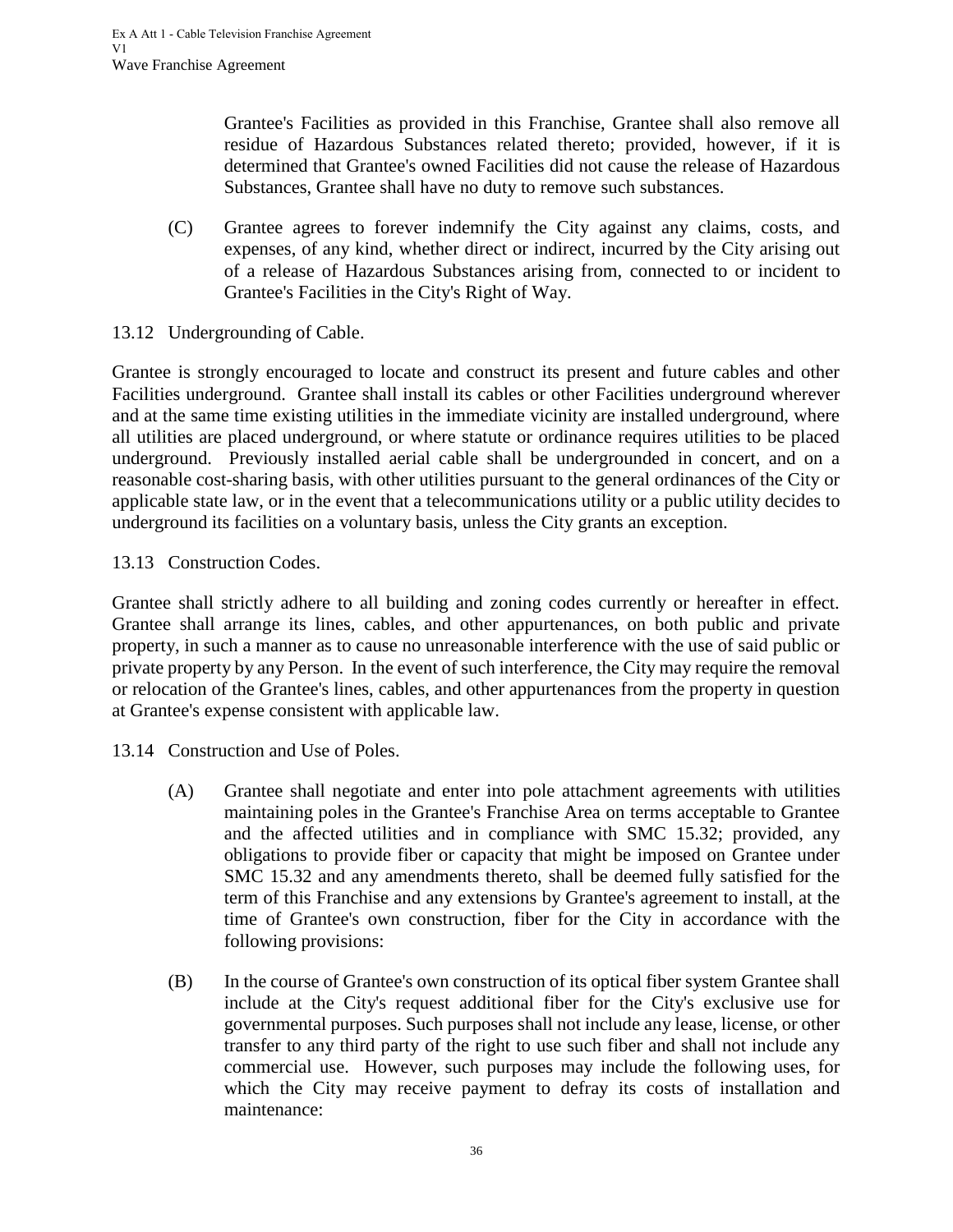Grantee's Facilities as provided in this Franchise, Grantee shall also remove all residue of Hazardous Substances related thereto; provided, however, if it is determined that Grantee's owned Facilities did not cause the release of Hazardous Substances, Grantee shall have no duty to remove such substances.

- (C) Grantee agrees to forever indemnify the City against any claims, costs, and expenses, of any kind, whether direct or indirect, incurred by the City arising out of a release of Hazardous Substances arising from, connected to or incident to Grantee's Facilities in the City's Right of Way.
- <span id="page-39-0"></span>13.12 Undergrounding of Cable.

Grantee is strongly encouraged to locate and construct its present and future cables and other Facilities underground. Grantee shall install its cables or other Facilities underground wherever and at the same time existing utilities in the immediate vicinity are installed underground, where all utilities are placed underground, or where statute or ordinance requires utilities to be placed underground. Previously installed aerial cable shall be undergrounded in concert, and on a reasonable cost-sharing basis, with other utilities pursuant to the general ordinances of the City or applicable state law, or in the event that a telecommunications utility or a public utility decides to underground its facilities on a voluntary basis, unless the City grants an exception.

#### <span id="page-39-1"></span>13.13 Construction Codes.

Grantee shall strictly adhere to all building and zoning codes currently or hereafter in effect. Grantee shall arrange its lines, cables, and other appurtenances, on both public and private property, in such a manner as to cause no unreasonable interference with the use of said public or private property by any Person. In the event of such interference, the City may require the removal or relocation of the Grantee's lines, cables, and other appurtenances from the property in question at Grantee's expense consistent with applicable law.

<span id="page-39-2"></span>13.14 Construction and Use of Poles.

- (A) Grantee shall negotiate and enter into pole attachment agreements with utilities maintaining poles in the Grantee's Franchise Area on terms acceptable to Grantee and the affected utilities and in compliance with SMC 15.32; provided, any obligations to provide fiber or capacity that might be imposed on Grantee under SMC 15.32 and any amendments thereto, shall be deemed fully satisfied for the term of this Franchise and any extensions by Grantee's agreement to install, at the time of Grantee's own construction, fiber for the City in accordance with the following provisions:
- (B) In the course of Grantee's own construction of its optical fiber system Grantee shall include at the City's request additional fiber for the City's exclusive use for governmental purposes. Such purposes shall not include any lease, license, or other transfer to any third party of the right to use such fiber and shall not include any commercial use. However, such purposes may include the following uses, for which the City may receive payment to defray its costs of installation and maintenance: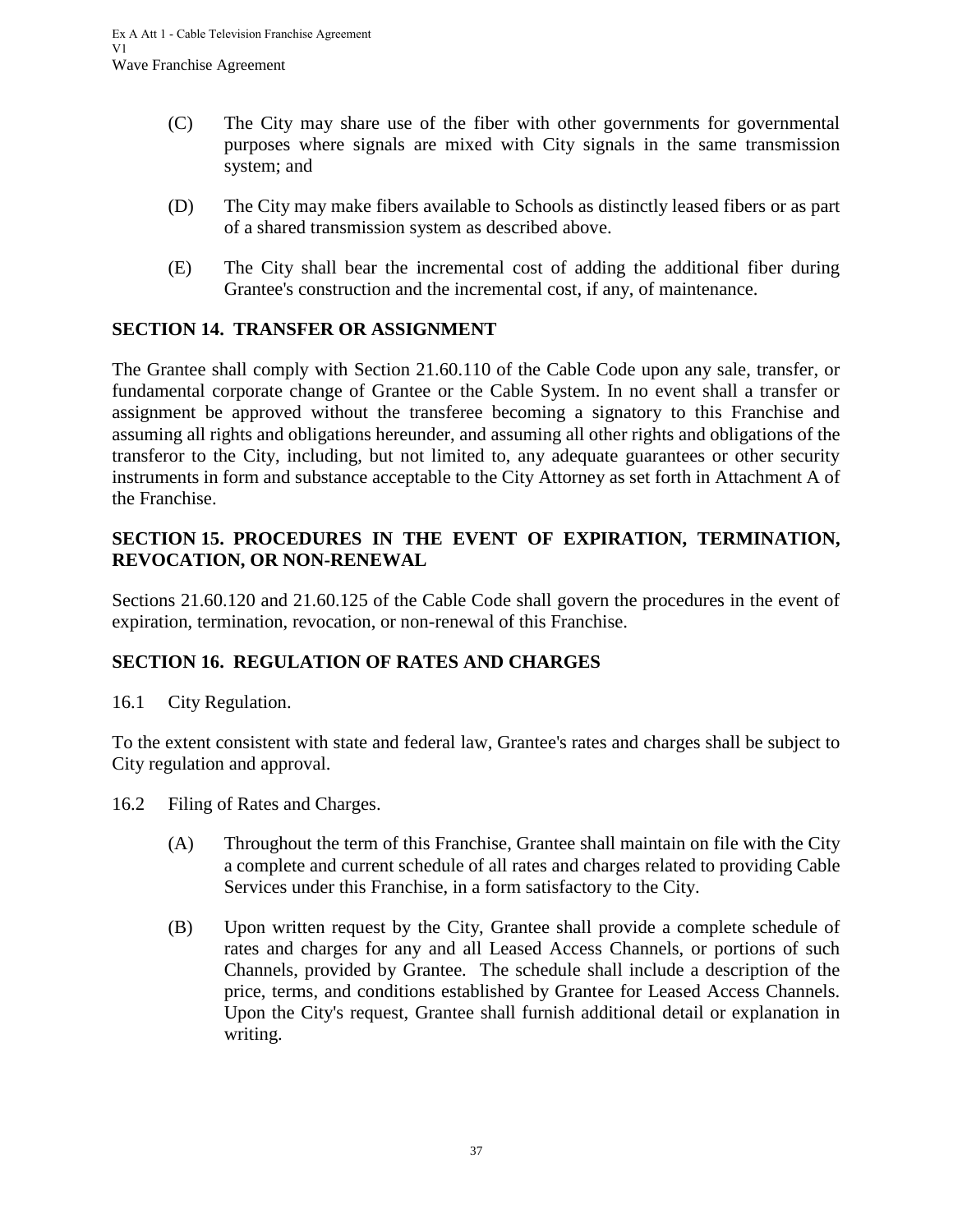- (C) The City may share use of the fiber with other governments for governmental purposes where signals are mixed with City signals in the same transmission system; and
- (D) The City may make fibers available to Schools as distinctly leased fibers or as part of a shared transmission system as described above.
- <span id="page-40-0"></span>(E) The City shall bear the incremental cost of adding the additional fiber during Grantee's construction and the incremental cost, if any, of maintenance.

# **SECTION 14. TRANSFER OR ASSIGNMENT**

The Grantee shall comply with Section 21.60.110 of the Cable Code upon any sale, transfer, or fundamental corporate change of Grantee or the Cable System. In no event shall a transfer or assignment be approved without the transferee becoming a signatory to this Franchise and assuming all rights and obligations hereunder, and assuming all other rights and obligations of the transferor to the City, including, but not limited to, any adequate guarantees or other security instruments in form and substance acceptable to the City Attorney as set forth in Attachment A of the Franchise.

## <span id="page-40-1"></span>**SECTION 15. PROCEDURES IN THE EVENT OF EXPIRATION, TERMINATION, REVOCATION, OR NON-RENEWAL**

Sections 21.60.120 and 21.60.125 of the Cable Code shall govern the procedures in the event of expiration, termination, revocation, or non-renewal of this Franchise.

# <span id="page-40-2"></span>**SECTION 16. REGULATION OF RATES AND CHARGES**

<span id="page-40-3"></span>16.1 City Regulation.

To the extent consistent with state and federal law, Grantee's rates and charges shall be subject to City regulation and approval.

- <span id="page-40-4"></span>16.2 Filing of Rates and Charges.
	- (A) Throughout the term of this Franchise, Grantee shall maintain on file with the City a complete and current schedule of all rates and charges related to providing Cable Services under this Franchise, in a form satisfactory to the City.
	- (B) Upon written request by the City, Grantee shall provide a complete schedule of rates and charges for any and all Leased Access Channels, or portions of such Channels, provided by Grantee. The schedule shall include a description of the price, terms, and conditions established by Grantee for Leased Access Channels. Upon the City's request, Grantee shall furnish additional detail or explanation in writing.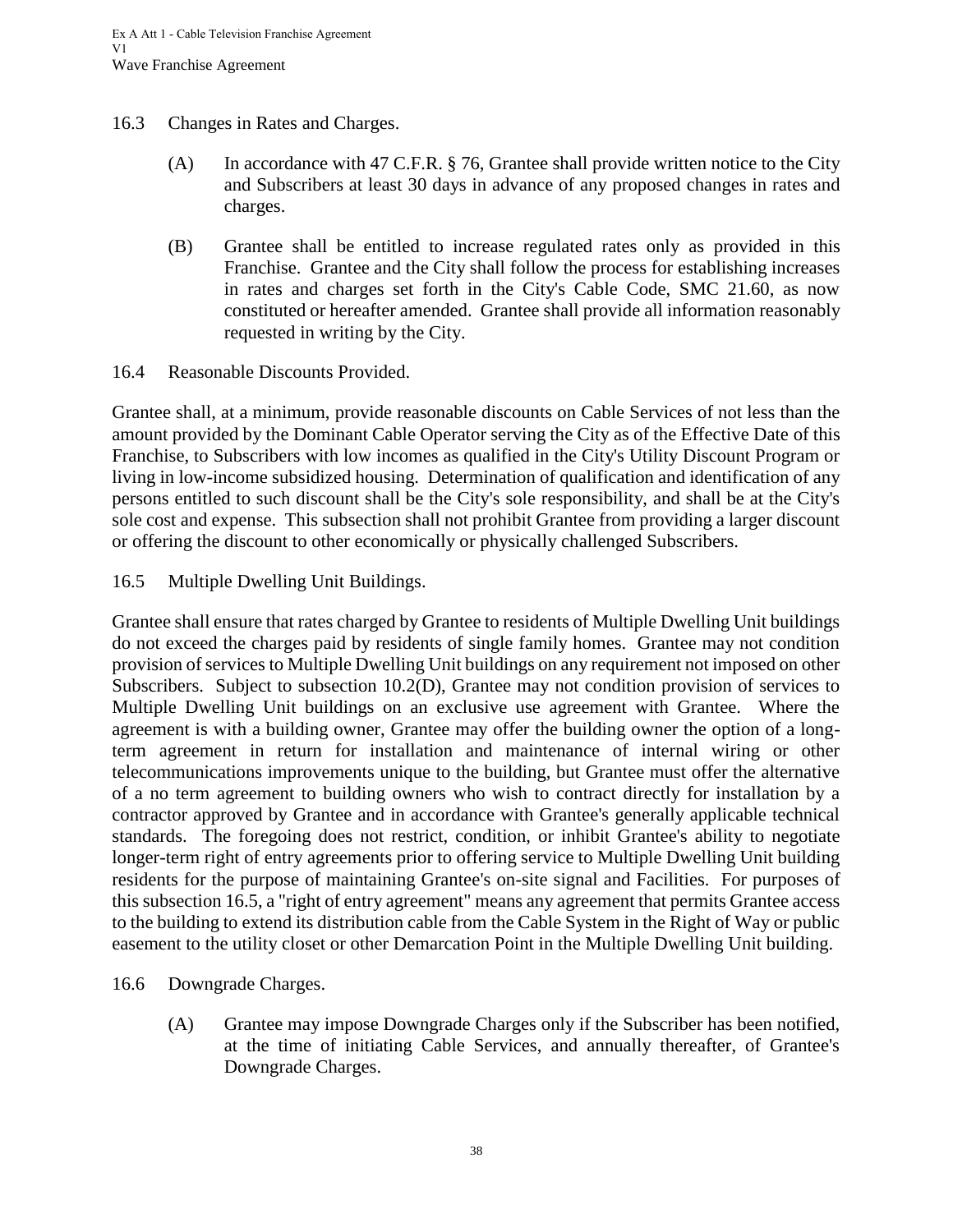- <span id="page-41-0"></span>16.3 Changes in Rates and Charges.
	- (A) In accordance with 47 C.F.R. § 76, Grantee shall provide written notice to the City and Subscribers at least 30 days in advance of any proposed changes in rates and charges.
	- (B) Grantee shall be entitled to increase regulated rates only as provided in this Franchise. Grantee and the City shall follow the process for establishing increases in rates and charges set forth in the City's Cable Code, SMC 21.60, as now constituted or hereafter amended. Grantee shall provide all information reasonably requested in writing by the City.

<span id="page-41-1"></span>16.4 Reasonable Discounts Provided.

Grantee shall, at a minimum, provide reasonable discounts on Cable Services of not less than the amount provided by the Dominant Cable Operator serving the City as of the Effective Date of this Franchise, to Subscribers with low incomes as qualified in the City's Utility Discount Program or living in low-income subsidized housing. Determination of qualification and identification of any persons entitled to such discount shall be the City's sole responsibility, and shall be at the City's sole cost and expense. This subsection shall not prohibit Grantee from providing a larger discount or offering the discount to other economically or physically challenged Subscribers.

<span id="page-41-2"></span>16.5 Multiple Dwelling Unit Buildings.

Grantee shall ensure that rates charged by Grantee to residents of Multiple Dwelling Unit buildings do not exceed the charges paid by residents of single family homes. Grantee may not condition provision of services to Multiple Dwelling Unit buildings on any requirement not imposed on other Subscribers. Subject to subsection 10.2(D), Grantee may not condition provision of services to Multiple Dwelling Unit buildings on an exclusive use agreement with Grantee. Where the agreement is with a building owner, Grantee may offer the building owner the option of a longterm agreement in return for installation and maintenance of internal wiring or other telecommunications improvements unique to the building, but Grantee must offer the alternative of a no term agreement to building owners who wish to contract directly for installation by a contractor approved by Grantee and in accordance with Grantee's generally applicable technical standards. The foregoing does not restrict, condition, or inhibit Grantee's ability to negotiate longer-term right of entry agreements prior to offering service to Multiple Dwelling Unit building residents for the purpose of maintaining Grantee's on-site signal and Facilities. For purposes of this subsection 16.5, a "right of entry agreement" means any agreement that permits Grantee access to the building to extend its distribution cable from the Cable System in the Right of Way or public easement to the utility closet or other Demarcation Point in the Multiple Dwelling Unit building.

- <span id="page-41-3"></span>16.6 Downgrade Charges.
	- (A) Grantee may impose Downgrade Charges only if the Subscriber has been notified, at the time of initiating Cable Services, and annually thereafter, of Grantee's Downgrade Charges.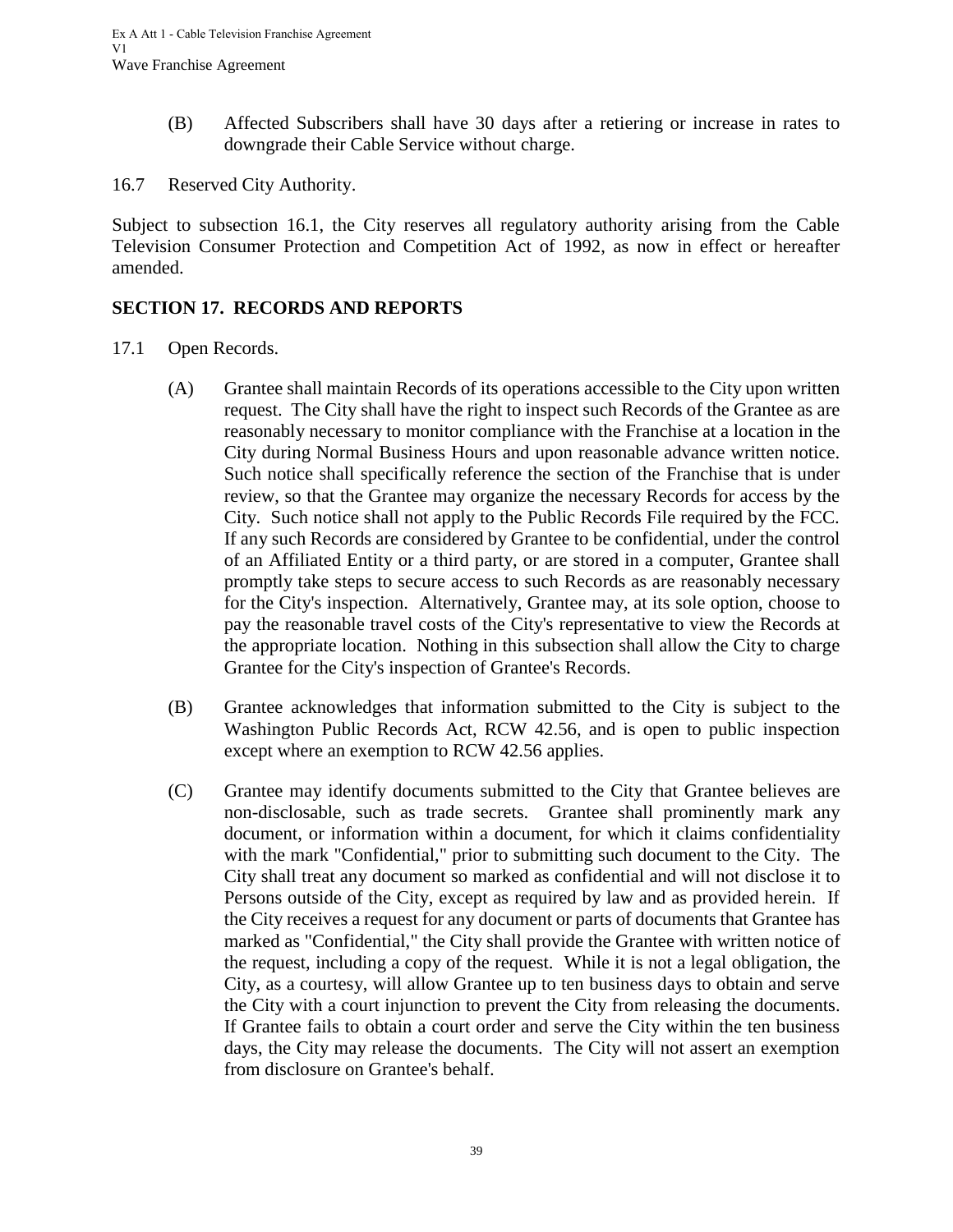- (B) Affected Subscribers shall have 30 days after a retiering or increase in rates to downgrade their Cable Service without charge.
- <span id="page-42-0"></span>16.7 Reserved City Authority.

Subject to subsection 16.1, the City reserves all regulatory authority arising from the Cable Television Consumer Protection and Competition Act of 1992, as now in effect or hereafter amended.

## <span id="page-42-1"></span>**SECTION 17. RECORDS AND REPORTS**

- <span id="page-42-2"></span>17.1 Open Records.
	- (A) Grantee shall maintain Records of its operations accessible to the City upon written request. The City shall have the right to inspect such Records of the Grantee as are reasonably necessary to monitor compliance with the Franchise at a location in the City during Normal Business Hours and upon reasonable advance written notice. Such notice shall specifically reference the section of the Franchise that is under review, so that the Grantee may organize the necessary Records for access by the City. Such notice shall not apply to the Public Records File required by the FCC. If any such Records are considered by Grantee to be confidential, under the control of an Affiliated Entity or a third party, or are stored in a computer, Grantee shall promptly take steps to secure access to such Records as are reasonably necessary for the City's inspection. Alternatively, Grantee may, at its sole option, choose to pay the reasonable travel costs of the City's representative to view the Records at the appropriate location. Nothing in this subsection shall allow the City to charge Grantee for the City's inspection of Grantee's Records.
	- (B) Grantee acknowledges that information submitted to the City is subject to the Washington Public Records Act, RCW 42.56, and is open to public inspection except where an exemption to RCW 42.56 applies.
	- (C) Grantee may identify documents submitted to the City that Grantee believes are non-disclosable, such as trade secrets. Grantee shall prominently mark any document, or information within a document, for which it claims confidentiality with the mark "Confidential," prior to submitting such document to the City. The City shall treat any document so marked as confidential and will not disclose it to Persons outside of the City, except as required by law and as provided herein. If the City receives a request for any document or parts of documents that Grantee has marked as "Confidential," the City shall provide the Grantee with written notice of the request, including a copy of the request. While it is not a legal obligation, the City, as a courtesy, will allow Grantee up to ten business days to obtain and serve the City with a court injunction to prevent the City from releasing the documents. If Grantee fails to obtain a court order and serve the City within the ten business days, the City may release the documents. The City will not assert an exemption from disclosure on Grantee's behalf.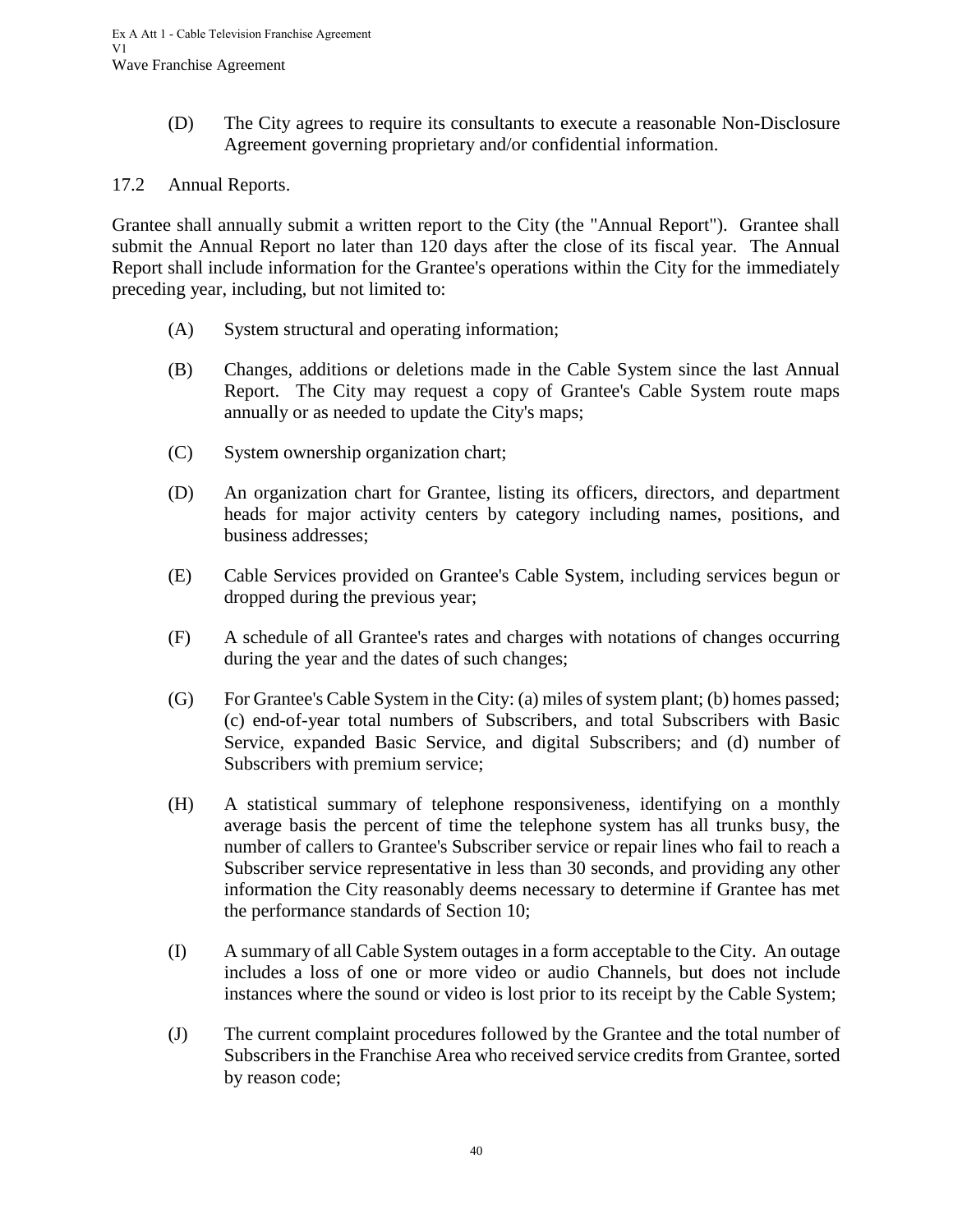(D) The City agrees to require its consultants to execute a reasonable Non-Disclosure Agreement governing proprietary and/or confidential information.

#### <span id="page-43-0"></span>17.2 Annual Reports.

Grantee shall annually submit a written report to the City (the "Annual Report"). Grantee shall submit the Annual Report no later than 120 days after the close of its fiscal year. The Annual Report shall include information for the Grantee's operations within the City for the immediately preceding year, including, but not limited to:

- (A) System structural and operating information;
- (B) Changes, additions or deletions made in the Cable System since the last Annual Report. The City may request a copy of Grantee's Cable System route maps annually or as needed to update the City's maps;
- (C) System ownership organization chart;
- (D) An organization chart for Grantee, listing its officers, directors, and department heads for major activity centers by category including names, positions, and business addresses;
- (E) Cable Services provided on Grantee's Cable System, including services begun or dropped during the previous year;
- (F) A schedule of all Grantee's rates and charges with notations of changes occurring during the year and the dates of such changes;
- (G) For Grantee's Cable System in the City: (a) miles of system plant; (b) homes passed; (c) end-of-year total numbers of Subscribers, and total Subscribers with Basic Service, expanded Basic Service, and digital Subscribers; and (d) number of Subscribers with premium service;
- (H) A statistical summary of telephone responsiveness, identifying on a monthly average basis the percent of time the telephone system has all trunks busy, the number of callers to Grantee's Subscriber service or repair lines who fail to reach a Subscriber service representative in less than 30 seconds, and providing any other information the City reasonably deems necessary to determine if Grantee has met the performance standards of Section 10;
- (I) A summary of all Cable System outages in a form acceptable to the City. An outage includes a loss of one or more video or audio Channels, but does not include instances where the sound or video is lost prior to its receipt by the Cable System;
- (J) The current complaint procedures followed by the Grantee and the total number of Subscribers in the Franchise Area who received service credits from Grantee, sorted by reason code;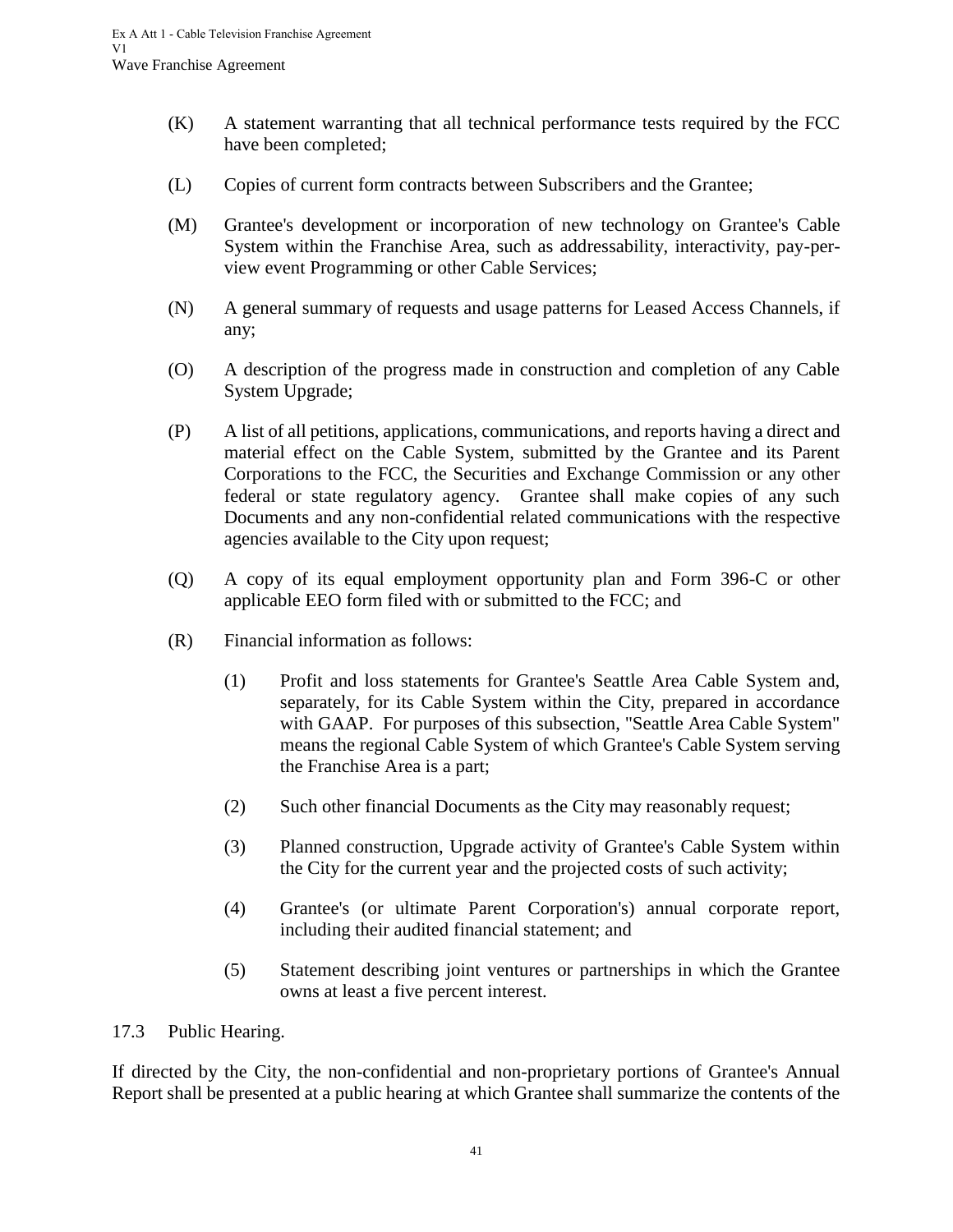- (K) A statement warranting that all technical performance tests required by the FCC have been completed;
- (L) Copies of current form contracts between Subscribers and the Grantee;
- (M) Grantee's development or incorporation of new technology on Grantee's Cable System within the Franchise Area, such as addressability, interactivity, pay-perview event Programming or other Cable Services;
- (N) A general summary of requests and usage patterns for Leased Access Channels, if any;
- (O) A description of the progress made in construction and completion of any Cable System Upgrade;
- (P) A list of all petitions, applications, communications, and reports having a direct and material effect on the Cable System, submitted by the Grantee and its Parent Corporations to the FCC, the Securities and Exchange Commission or any other federal or state regulatory agency. Grantee shall make copies of any such Documents and any non-confidential related communications with the respective agencies available to the City upon request;
- (Q) A copy of its equal employment opportunity plan and Form 396-C or other applicable EEO form filed with or submitted to the FCC; and
- (R) Financial information as follows:
	- (1) Profit and loss statements for Grantee's Seattle Area Cable System and, separately, for its Cable System within the City, prepared in accordance with GAAP. For purposes of this subsection, "Seattle Area Cable System" means the regional Cable System of which Grantee's Cable System serving the Franchise Area is a part;
	- (2) Such other financial Documents as the City may reasonably request;
	- (3) Planned construction, Upgrade activity of Grantee's Cable System within the City for the current year and the projected costs of such activity;
	- (4) Grantee's (or ultimate Parent Corporation's) annual corporate report, including their audited financial statement; and
	- (5) Statement describing joint ventures or partnerships in which the Grantee owns at least a five percent interest.

## <span id="page-44-0"></span>17.3 Public Hearing.

If directed by the City, the non-confidential and non-proprietary portions of Grantee's Annual Report shall be presented at a public hearing at which Grantee shall summarize the contents of the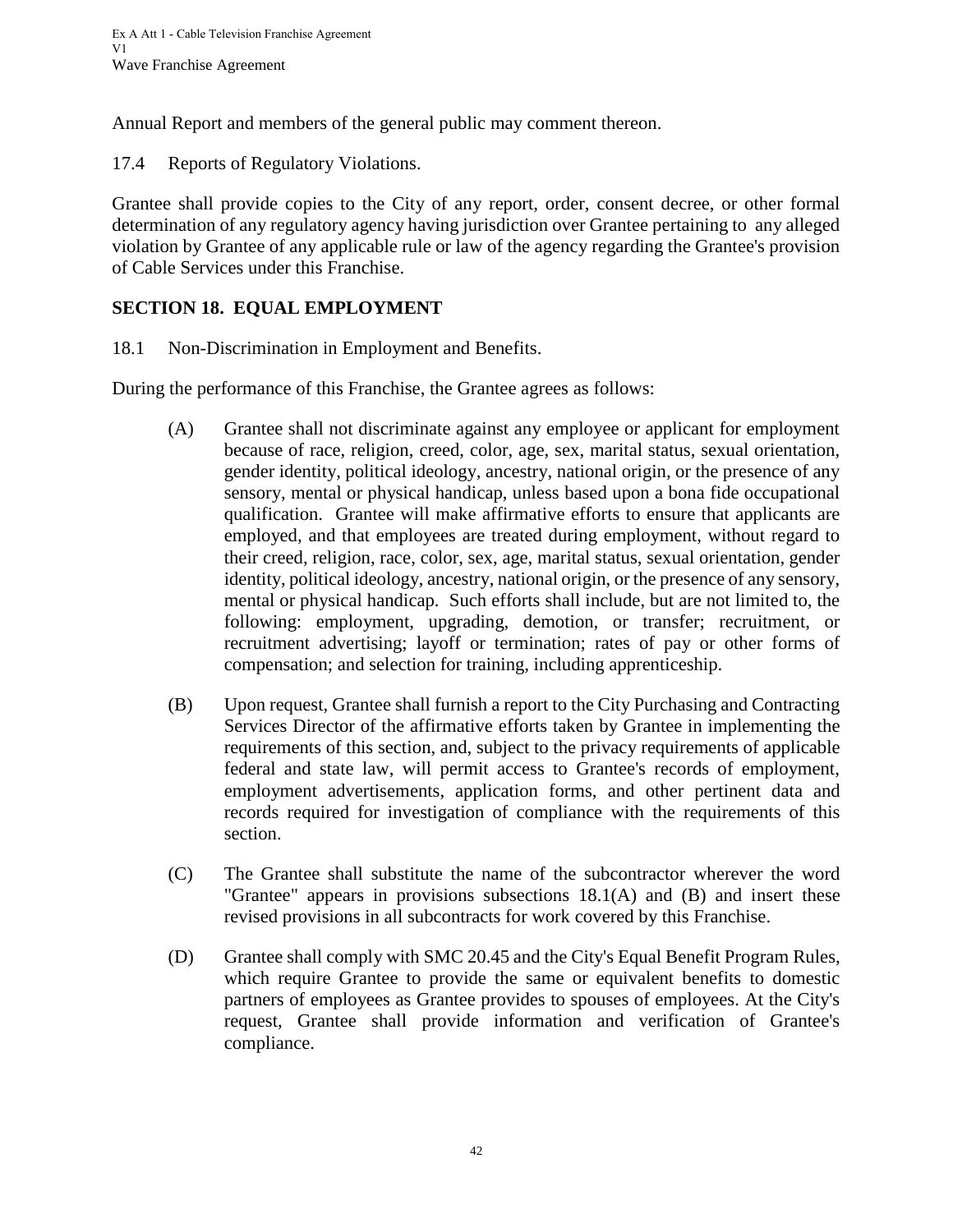Annual Report and members of the general public may comment thereon.

<span id="page-45-0"></span>17.4 Reports of Regulatory Violations.

Grantee shall provide copies to the City of any report, order, consent decree, or other formal determination of any regulatory agency having jurisdiction over Grantee pertaining to any alleged violation by Grantee of any applicable rule or law of the agency regarding the Grantee's provision of Cable Services under this Franchise.

## <span id="page-45-1"></span>**SECTION 18. EQUAL EMPLOYMENT**

<span id="page-45-2"></span>18.1 Non-Discrimination in Employment and Benefits.

During the performance of this Franchise, the Grantee agrees as follows:

- (A) Grantee shall not discriminate against any employee or applicant for employment because of race, religion, creed, color, age, sex, marital status, sexual orientation, gender identity, political ideology, ancestry, national origin, or the presence of any sensory, mental or physical handicap, unless based upon a bona fide occupational qualification. Grantee will make affirmative efforts to ensure that applicants are employed, and that employees are treated during employment, without regard to their creed, religion, race, color, sex, age, marital status, sexual orientation, gender identity, political ideology, ancestry, national origin, or the presence of any sensory, mental or physical handicap. Such efforts shall include, but are not limited to, the following: employment, upgrading, demotion, or transfer; recruitment, or recruitment advertising; layoff or termination; rates of pay or other forms of compensation; and selection for training, including apprenticeship.
- (B) Upon request, Grantee shall furnish a report to the City Purchasing and Contracting Services Director of the affirmative efforts taken by Grantee in implementing the requirements of this section, and, subject to the privacy requirements of applicable federal and state law, will permit access to Grantee's records of employment, employment advertisements, application forms, and other pertinent data and records required for investigation of compliance with the requirements of this section.
- (C) The Grantee shall substitute the name of the subcontractor wherever the word "Grantee" appears in provisions subsections 18.1(A) and (B) and insert these revised provisions in all subcontracts for work covered by this Franchise.
- (D) Grantee shall comply with SMC 20.45 and the City's Equal Benefit Program Rules, which require Grantee to provide the same or equivalent benefits to domestic partners of employees as Grantee provides to spouses of employees. At the City's request, Grantee shall provide information and verification of Grantee's compliance.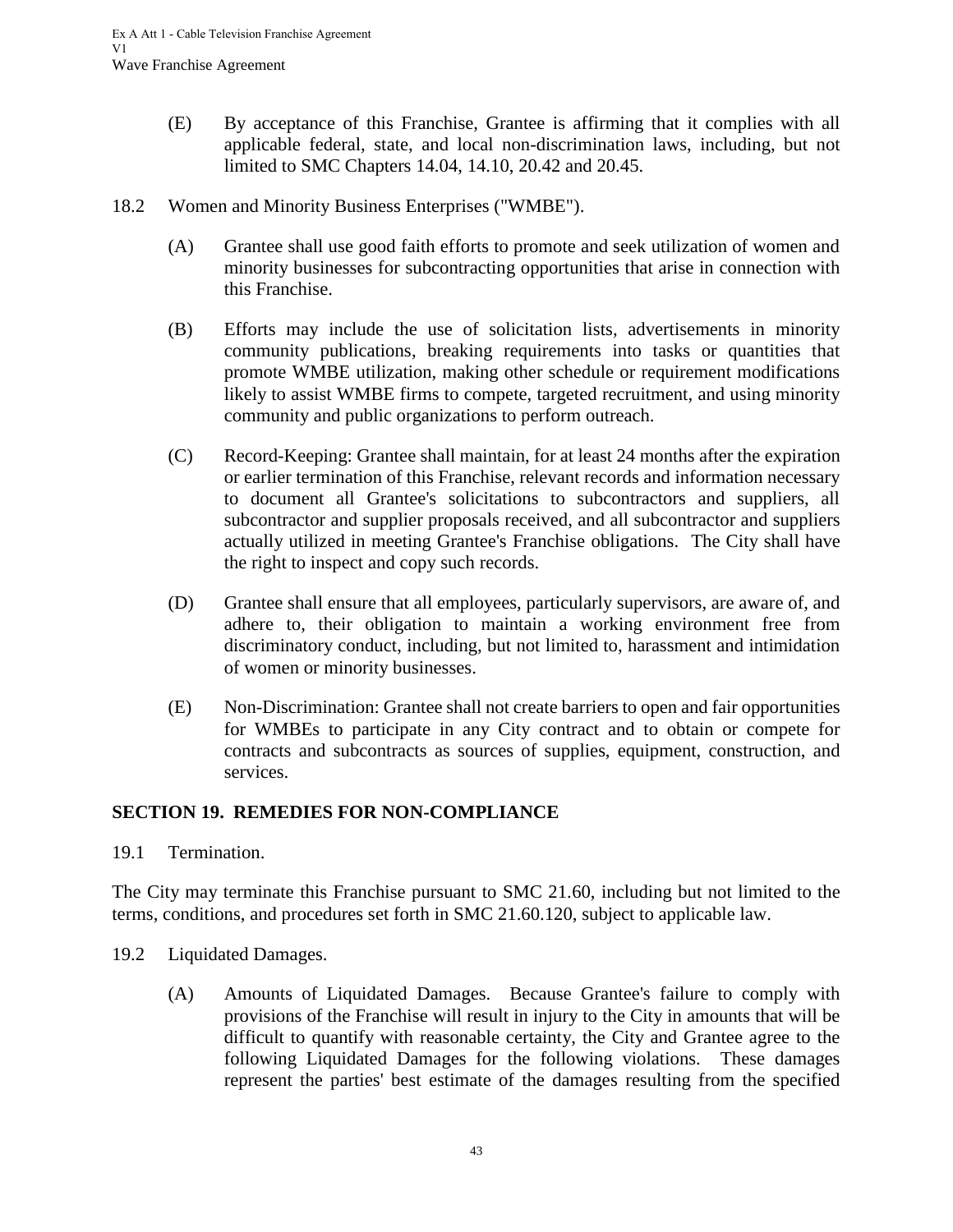- (E) By acceptance of this Franchise, Grantee is affirming that it complies with all applicable federal, state, and local non-discrimination laws, including, but not limited to SMC Chapters 14.04, 14.10, 20.42 and 20.45.
- <span id="page-46-0"></span>18.2 Women and Minority Business Enterprises ("WMBE").
	- (A) Grantee shall use good faith efforts to promote and seek utilization of women and minority businesses for subcontracting opportunities that arise in connection with this Franchise.
	- (B) Efforts may include the use of solicitation lists, advertisements in minority community publications, breaking requirements into tasks or quantities that promote WMBE utilization, making other schedule or requirement modifications likely to assist WMBE firms to compete, targeted recruitment, and using minority community and public organizations to perform outreach.
	- (C) Record-Keeping: Grantee shall maintain, for at least 24 months after the expiration or earlier termination of this Franchise, relevant records and information necessary to document all Grantee's solicitations to subcontractors and suppliers, all subcontractor and supplier proposals received, and all subcontractor and suppliers actually utilized in meeting Grantee's Franchise obligations. The City shall have the right to inspect and copy such records.
	- (D) Grantee shall ensure that all employees, particularly supervisors, are aware of, and adhere to, their obligation to maintain a working environment free from discriminatory conduct, including, but not limited to, harassment and intimidation of women or minority businesses.
	- (E) Non-Discrimination: Grantee shall not create barriers to open and fair opportunities for WMBEs to participate in any City contract and to obtain or compete for contracts and subcontracts as sources of supplies, equipment, construction, and services.

## <span id="page-46-1"></span>**SECTION 19. REMEDIES FOR NON-COMPLIANCE**

<span id="page-46-2"></span>19.1 Termination.

The City may terminate this Franchise pursuant to SMC 21.60, including but not limited to the terms, conditions, and procedures set forth in SMC 21.60.120, subject to applicable law.

- <span id="page-46-3"></span>19.2 Liquidated Damages.
	- (A) Amounts of Liquidated Damages. Because Grantee's failure to comply with provisions of the Franchise will result in injury to the City in amounts that will be difficult to quantify with reasonable certainty, the City and Grantee agree to the following Liquidated Damages for the following violations. These damages represent the parties' best estimate of the damages resulting from the specified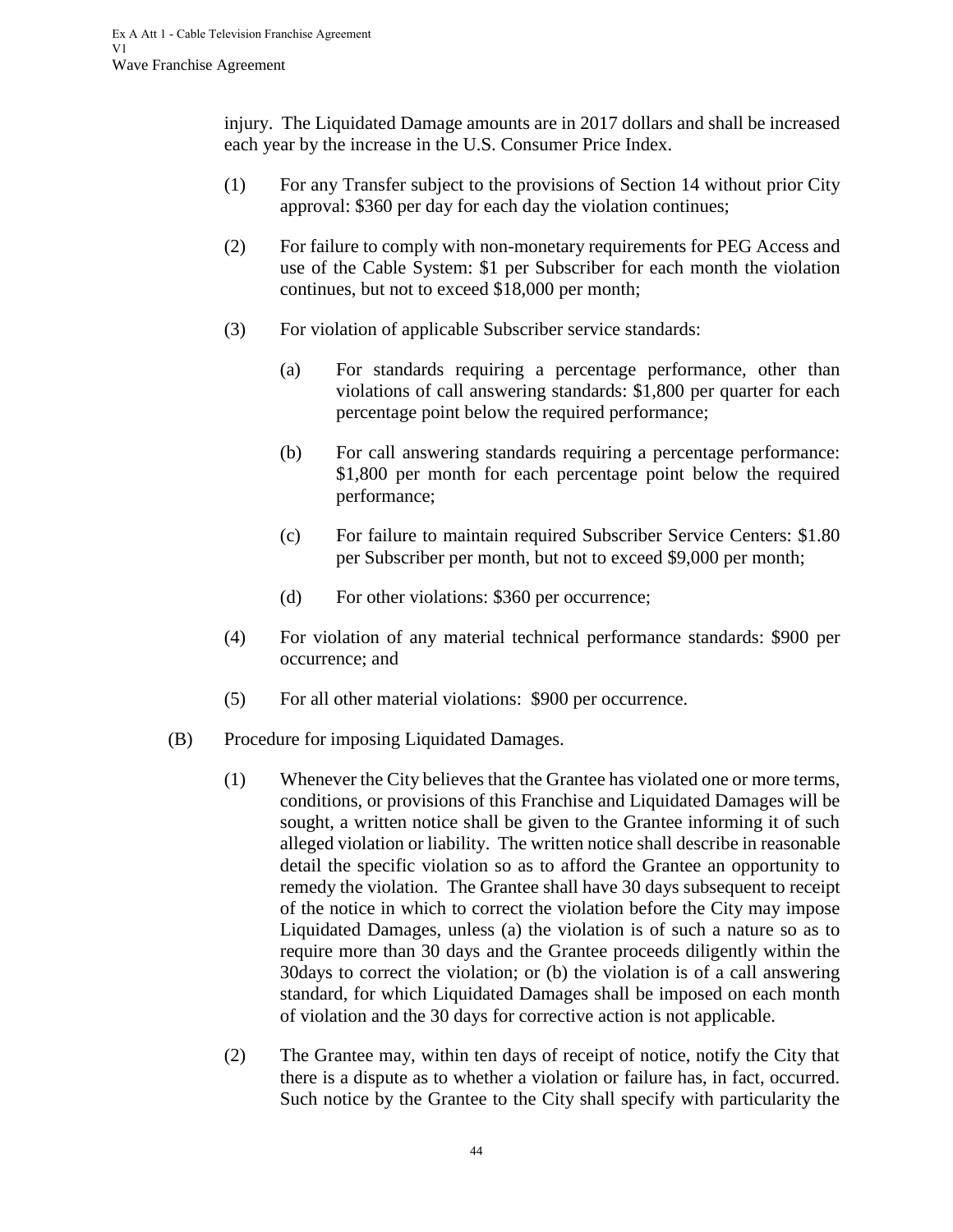injury. The Liquidated Damage amounts are in 2017 dollars and shall be increased each year by the increase in the U.S. Consumer Price Index.

- (1) For any Transfer subject to the provisions of Section 14 without prior City approval: \$360 per day for each day the violation continues;
- (2) For failure to comply with non-monetary requirements for PEG Access and use of the Cable System: \$1 per Subscriber for each month the violation continues, but not to exceed \$18,000 per month;
- (3) For violation of applicable Subscriber service standards:
	- (a) For standards requiring a percentage performance, other than violations of call answering standards: \$1,800 per quarter for each percentage point below the required performance;
	- (b) For call answering standards requiring a percentage performance: \$1,800 per month for each percentage point below the required performance;
	- (c) For failure to maintain required Subscriber Service Centers: \$1.80 per Subscriber per month, but not to exceed \$9,000 per month;
	- (d) For other violations: \$360 per occurrence;
- (4) For violation of any material technical performance standards: \$900 per occurrence; and
- (5) For all other material violations: \$900 per occurrence.
- (B) Procedure for imposing Liquidated Damages.
	- (1) Whenever the City believes that the Grantee has violated one or more terms, conditions, or provisions of this Franchise and Liquidated Damages will be sought, a written notice shall be given to the Grantee informing it of such alleged violation or liability. The written notice shall describe in reasonable detail the specific violation so as to afford the Grantee an opportunity to remedy the violation. The Grantee shall have 30 days subsequent to receipt of the notice in which to correct the violation before the City may impose Liquidated Damages, unless (a) the violation is of such a nature so as to require more than 30 days and the Grantee proceeds diligently within the 30days to correct the violation; or (b) the violation is of a call answering standard, for which Liquidated Damages shall be imposed on each month of violation and the 30 days for corrective action is not applicable.
	- (2) The Grantee may, within ten days of receipt of notice, notify the City that there is a dispute as to whether a violation or failure has, in fact, occurred. Such notice by the Grantee to the City shall specify with particularity the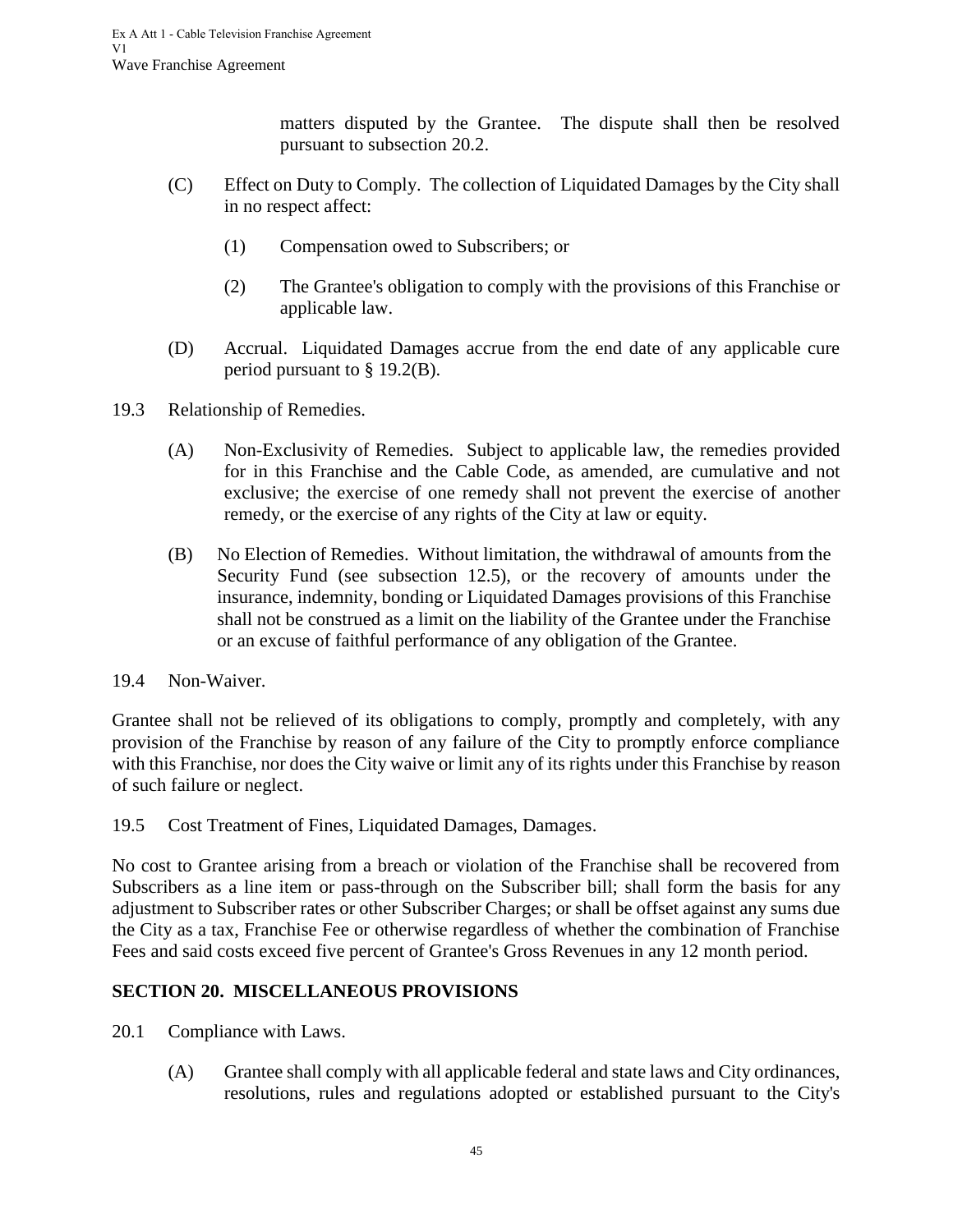matters disputed by the Grantee. The dispute shall then be resolved pursuant to subsection 20.2.

- (C) Effect on Duty to Comply. The collection of Liquidated Damages by the City shall in no respect affect:
	- (1) Compensation owed to Subscribers; or
	- (2) The Grantee's obligation to comply with the provisions of this Franchise or applicable law.
- (D) Accrual. Liquidated Damages accrue from the end date of any applicable cure period pursuant to § 19.2(B).
- <span id="page-48-0"></span>19.3 Relationship of Remedies.
	- (A) Non-Exclusivity of Remedies. Subject to applicable law, the remedies provided for in this Franchise and the Cable Code, as amended, are cumulative and not exclusive; the exercise of one remedy shall not prevent the exercise of another remedy, or the exercise of any rights of the City at law or equity.
	- (B) No Election of Remedies. Without limitation, the withdrawal of amounts from the Security Fund (see subsection 12.5), or the recovery of amounts under the insurance, indemnity, bonding or Liquidated Damages provisions of this Franchise shall not be construed as a limit on the liability of the Grantee under the Franchise or an excuse of faithful performance of any obligation of the Grantee.
- <span id="page-48-1"></span>19.4 Non-Waiver.

Grantee shall not be relieved of its obligations to comply, promptly and completely, with any provision of the Franchise by reason of any failure of the City to promptly enforce compliance with this Franchise, nor does the City waive or limit any of its rights under this Franchise by reason of such failure or neglect.

<span id="page-48-2"></span>19.5 Cost Treatment of Fines, Liquidated Damages, Damages.

No cost to Grantee arising from a breach or violation of the Franchise shall be recovered from Subscribers as a line item or pass-through on the Subscriber bill; shall form the basis for any adjustment to Subscriber rates or other Subscriber Charges; or shall be offset against any sums due the City as a tax, Franchise Fee or otherwise regardless of whether the combination of Franchise Fees and said costs exceed five percent of Grantee's Gross Revenues in any 12 month period.

# <span id="page-48-3"></span>**SECTION 20. MISCELLANEOUS PROVISIONS**

- <span id="page-48-4"></span>20.1 Compliance with Laws.
	- (A) Grantee shall comply with all applicable federal and state laws and City ordinances, resolutions, rules and regulations adopted or established pursuant to the City's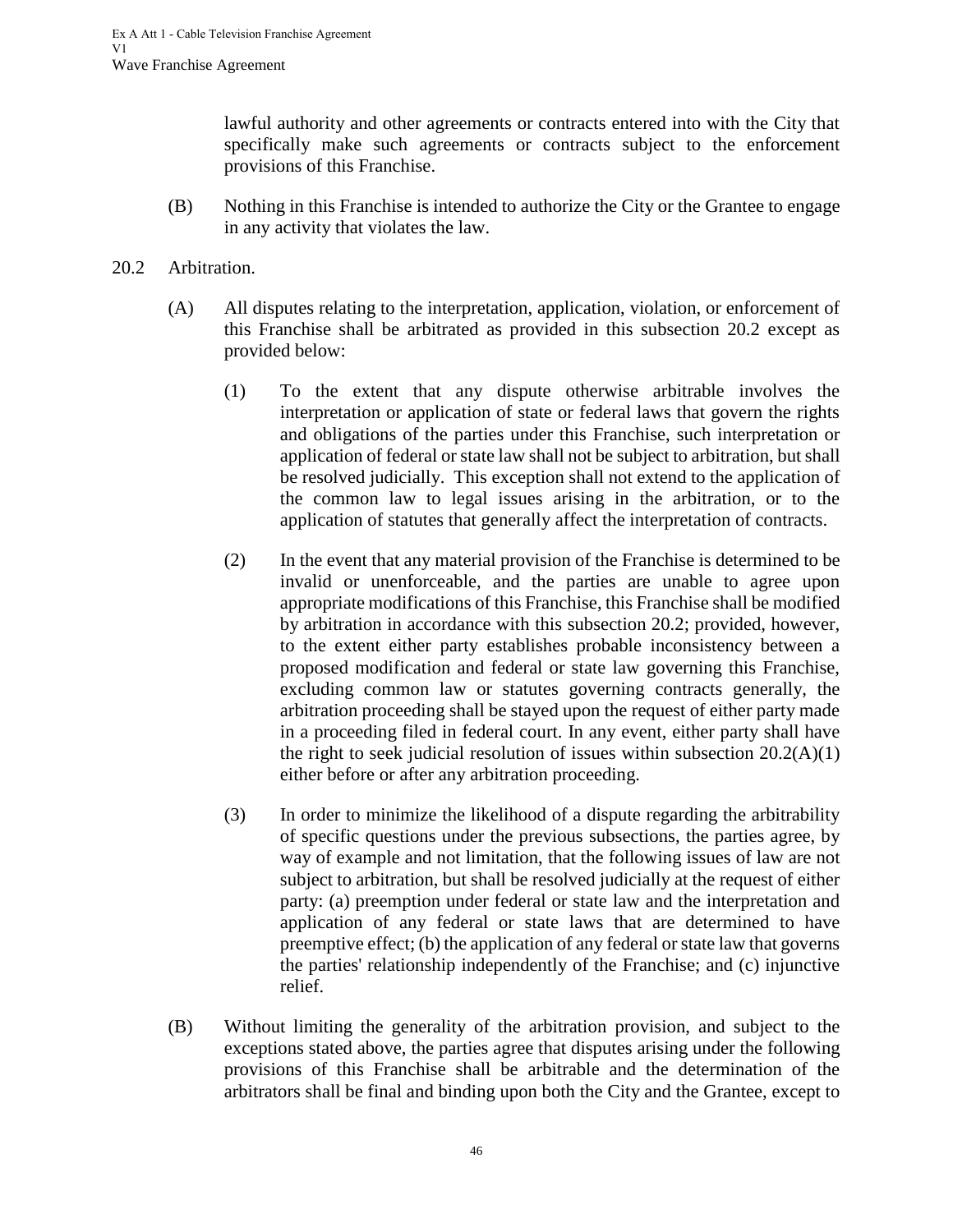lawful authority and other agreements or contracts entered into with the City that specifically make such agreements or contracts subject to the enforcement provisions of this Franchise.

(B) Nothing in this Franchise is intended to authorize the City or the Grantee to engage in any activity that violates the law.

#### <span id="page-49-0"></span>20.2 Arbitration.

- (A) All disputes relating to the interpretation, application, violation, or enforcement of this Franchise shall be arbitrated as provided in this subsection 20.2 except as provided below:
	- (1) To the extent that any dispute otherwise arbitrable involves the interpretation or application of state or federal laws that govern the rights and obligations of the parties under this Franchise, such interpretation or application of federal or state law shall not be subject to arbitration, but shall be resolved judicially. This exception shall not extend to the application of the common law to legal issues arising in the arbitration, or to the application of statutes that generally affect the interpretation of contracts.
	- (2) In the event that any material provision of the Franchise is determined to be invalid or unenforceable, and the parties are unable to agree upon appropriate modifications of this Franchise, this Franchise shall be modified by arbitration in accordance with this subsection 20.2; provided, however, to the extent either party establishes probable inconsistency between a proposed modification and federal or state law governing this Franchise, excluding common law or statutes governing contracts generally, the arbitration proceeding shall be stayed upon the request of either party made in a proceeding filed in federal court. In any event, either party shall have the right to seek judicial resolution of issues within subsection  $20.2(A)(1)$ either before or after any arbitration proceeding.
	- (3) In order to minimize the likelihood of a dispute regarding the arbitrability of specific questions under the previous subsections, the parties agree, by way of example and not limitation, that the following issues of law are not subject to arbitration, but shall be resolved judicially at the request of either party: (a) preemption under federal or state law and the interpretation and application of any federal or state laws that are determined to have preemptive effect; (b) the application of any federal or state law that governs the parties' relationship independently of the Franchise; and (c) injunctive relief.
- (B) Without limiting the generality of the arbitration provision, and subject to the exceptions stated above, the parties agree that disputes arising under the following provisions of this Franchise shall be arbitrable and the determination of the arbitrators shall be final and binding upon both the City and the Grantee, except to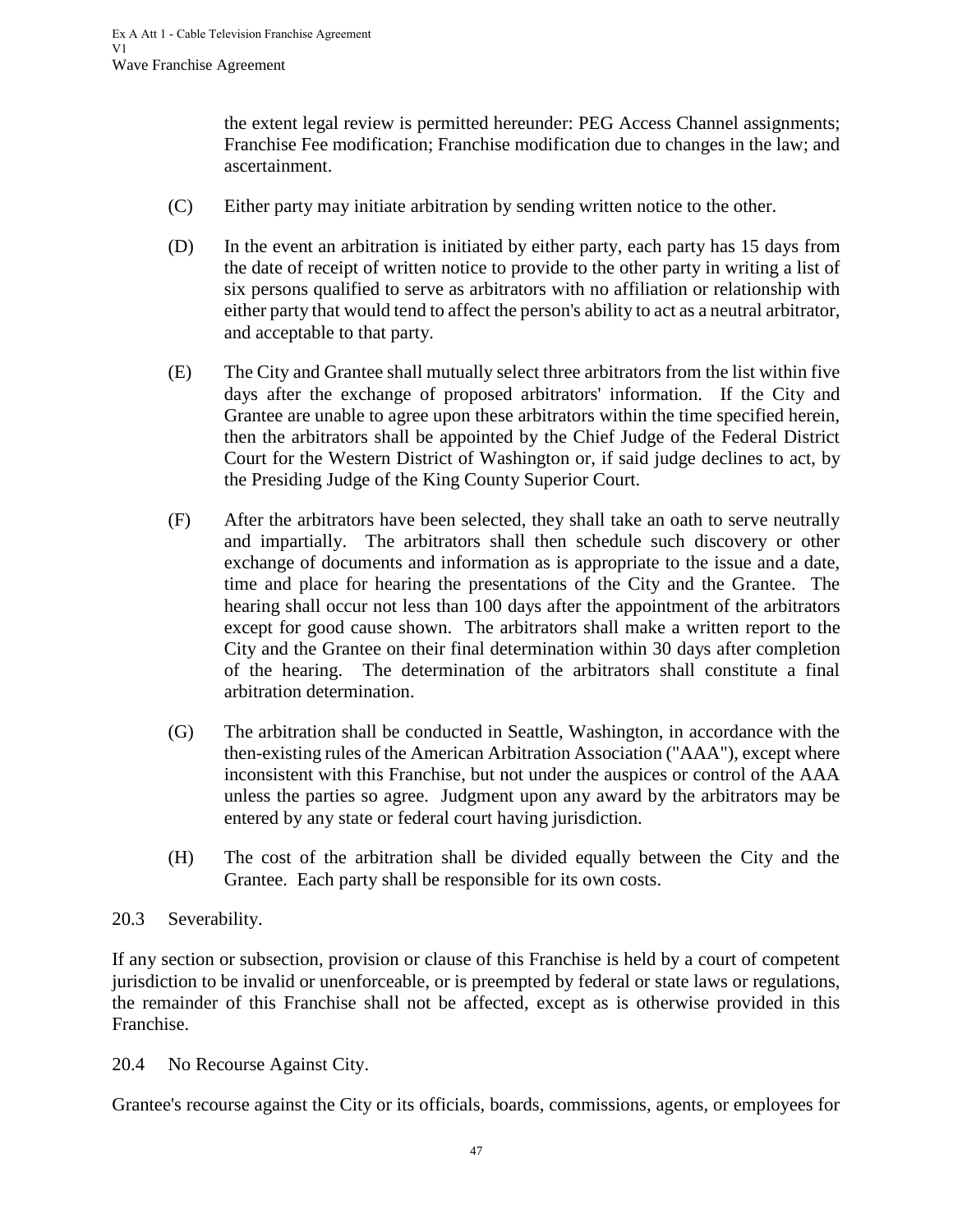the extent legal review is permitted hereunder: PEG Access Channel assignments; Franchise Fee modification; Franchise modification due to changes in the law; and ascertainment.

- (C) Either party may initiate arbitration by sending written notice to the other.
- (D) In the event an arbitration is initiated by either party, each party has 15 days from the date of receipt of written notice to provide to the other party in writing a list of six persons qualified to serve as arbitrators with no affiliation or relationship with either party that would tend to affect the person's ability to act as a neutral arbitrator, and acceptable to that party.
- (E) The City and Grantee shall mutually select three arbitrators from the list within five days after the exchange of proposed arbitrators' information. If the City and Grantee are unable to agree upon these arbitrators within the time specified herein, then the arbitrators shall be appointed by the Chief Judge of the Federal District Court for the Western District of Washington or, if said judge declines to act, by the Presiding Judge of the King County Superior Court.
- (F) After the arbitrators have been selected, they shall take an oath to serve neutrally and impartially. The arbitrators shall then schedule such discovery or other exchange of documents and information as is appropriate to the issue and a date, time and place for hearing the presentations of the City and the Grantee. The hearing shall occur not less than 100 days after the appointment of the arbitrators except for good cause shown. The arbitrators shall make a written report to the City and the Grantee on their final determination within 30 days after completion of the hearing. The determination of the arbitrators shall constitute a final arbitration determination.
- (G) The arbitration shall be conducted in Seattle, Washington, in accordance with the then-existing rules of the American Arbitration Association ("AAA"), except where inconsistent with this Franchise, but not under the auspices or control of the AAA unless the parties so agree. Judgment upon any award by the arbitrators may be entered by any state or federal court having jurisdiction.
- (H) The cost of the arbitration shall be divided equally between the City and the Grantee. Each party shall be responsible for its own costs.

## <span id="page-50-0"></span>20.3 Severability.

If any section or subsection, provision or clause of this Franchise is held by a court of competent jurisdiction to be invalid or unenforceable, or is preempted by federal or state laws or regulations, the remainder of this Franchise shall not be affected, except as is otherwise provided in this Franchise.

<span id="page-50-1"></span>20.4 No Recourse Against City.

Grantee's recourse against the City or its officials, boards, commissions, agents, or employees for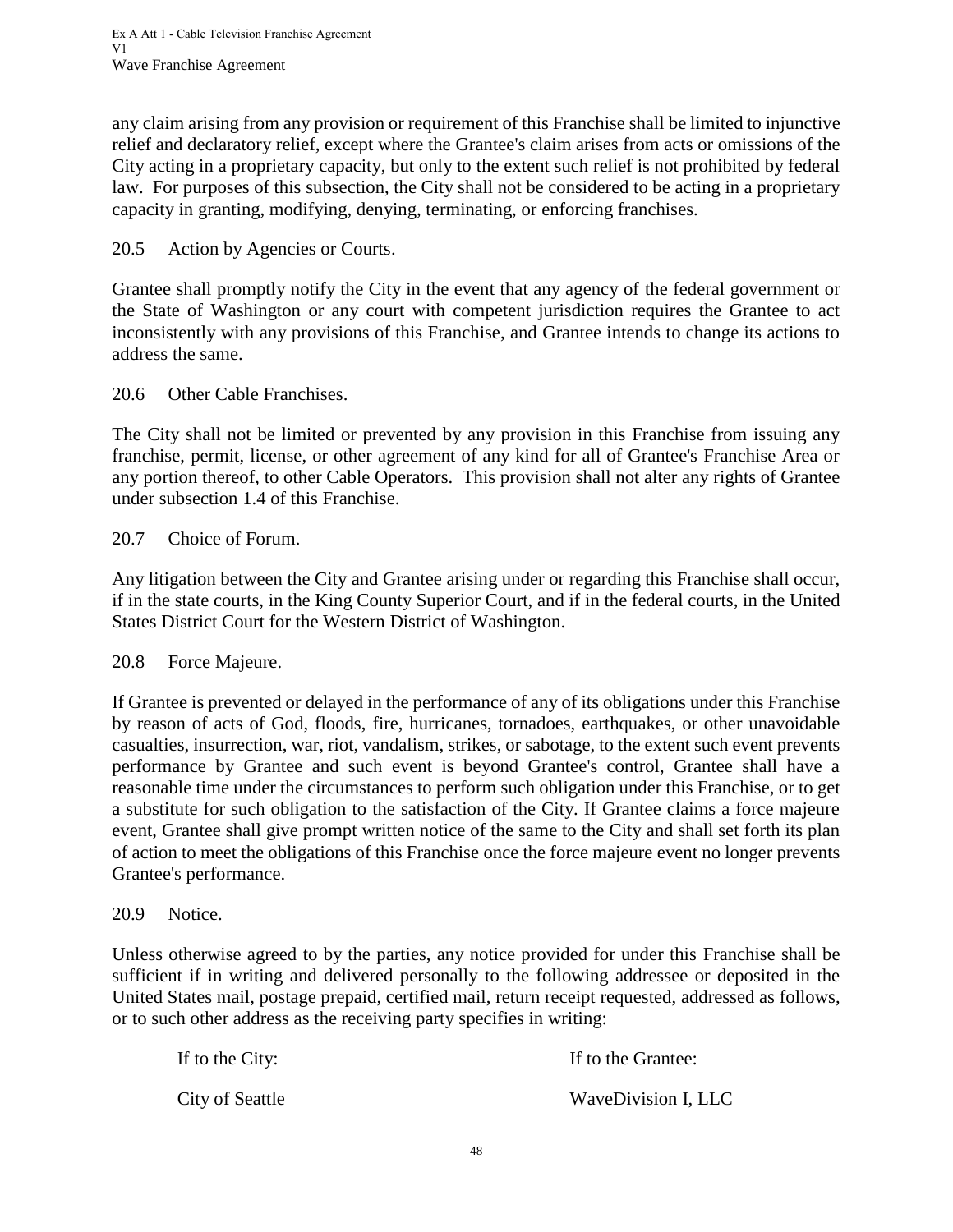any claim arising from any provision or requirement of this Franchise shall be limited to injunctive relief and declaratory relief, except where the Grantee's claim arises from acts or omissions of the City acting in a proprietary capacity, but only to the extent such relief is not prohibited by federal law. For purposes of this subsection, the City shall not be considered to be acting in a proprietary capacity in granting, modifying, denying, terminating, or enforcing franchises.

## <span id="page-51-0"></span>20.5 Action by Agencies or Courts.

Grantee shall promptly notify the City in the event that any agency of the federal government or the State of Washington or any court with competent jurisdiction requires the Grantee to act inconsistently with any provisions of this Franchise, and Grantee intends to change its actions to address the same.

## <span id="page-51-1"></span>20.6 Other Cable Franchises.

The City shall not be limited or prevented by any provision in this Franchise from issuing any franchise, permit, license, or other agreement of any kind for all of Grantee's Franchise Area or any portion thereof, to other Cable Operators. This provision shall not alter any rights of Grantee under subsection 1.4 of this Franchise.

# <span id="page-51-2"></span>20.7 Choice of Forum.

Any litigation between the City and Grantee arising under or regarding this Franchise shall occur, if in the state courts, in the King County Superior Court, and if in the federal courts, in the United States District Court for the Western District of Washington.

## <span id="page-51-3"></span>20.8 Force Majeure.

If Grantee is prevented or delayed in the performance of any of its obligations under this Franchise by reason of acts of God, floods, fire, hurricanes, tornadoes, earthquakes, or other unavoidable casualties, insurrection, war, riot, vandalism, strikes, or sabotage, to the extent such event prevents performance by Grantee and such event is beyond Grantee's control, Grantee shall have a reasonable time under the circumstances to perform such obligation under this Franchise, or to get a substitute for such obligation to the satisfaction of the City. If Grantee claims a force majeure event, Grantee shall give prompt written notice of the same to the City and shall set forth its plan of action to meet the obligations of this Franchise once the force majeure event no longer prevents Grantee's performance.

## <span id="page-51-4"></span>20.9 Notice.

Unless otherwise agreed to by the parties, any notice provided for under this Franchise shall be sufficient if in writing and delivered personally to the following addressee or deposited in the United States mail, postage prepaid, certified mail, return receipt requested, addressed as follows, or to such other address as the receiving party specifies in writing:

| If to the City: | If to the Grantee:  |
|-----------------|---------------------|
| City of Seattle | WaveDivision I, LLC |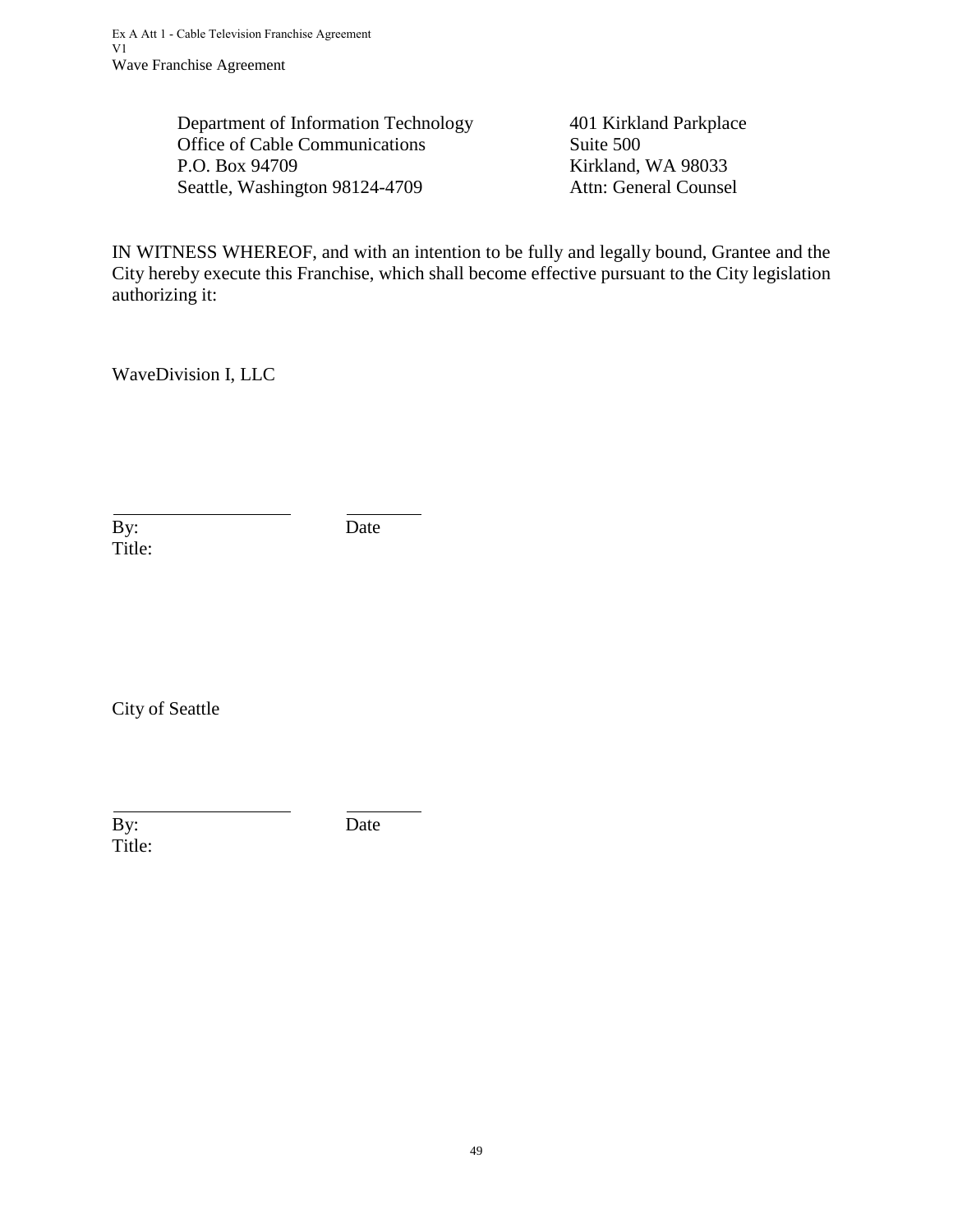Department of Information Technology 401 Kirkland Parkplace Office of Cable Communications Suite 500 P.O. Box 94709 Kirkland, WA 98033 Seattle, Washington 98124-4709 Attn: General Counsel

IN WITNESS WHEREOF, and with an intention to be fully and legally bound, Grantee and the City hereby execute this Franchise, which shall become effective pursuant to the City legislation authorizing it:

WaveDivision I, LLC

By: Date Title:

City of Seattle

By: Date Title: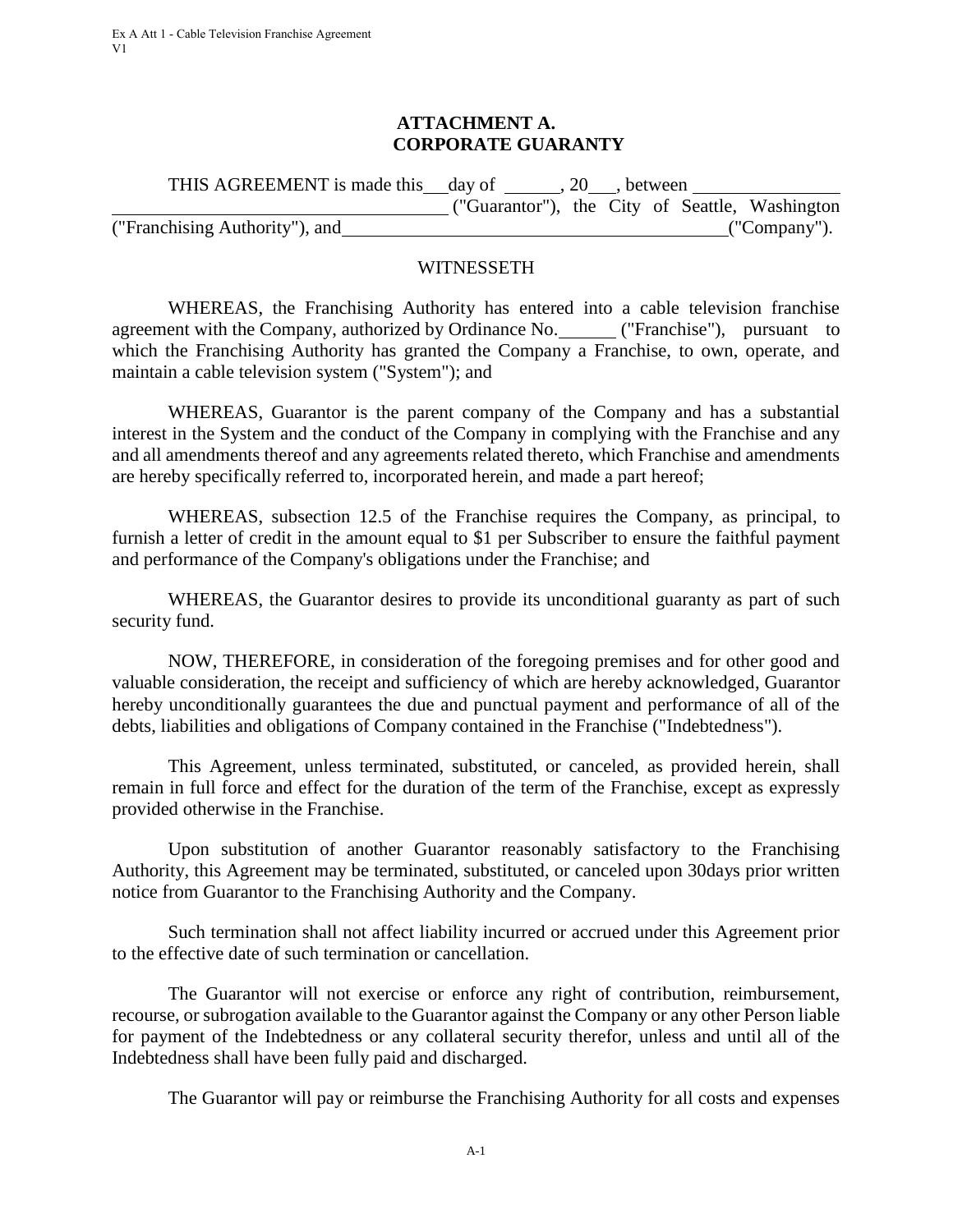#### **ATTACHMENT A. CORPORATE GUARANTY**

<span id="page-53-0"></span>

| THIS AGREEMENT is made this day of | .20 | between. |  |                                                |
|------------------------------------|-----|----------|--|------------------------------------------------|
|                                    |     |          |  | ("Guarantor"), the City of Seattle, Washington |
| ("Franchising Authority"), and     |     |          |  | $($ "Company").                                |

#### **WITNESSETH**

WHEREAS, the Franchising Authority has entered into a cable television franchise agreement with the Company, authorized by Ordinance No. ("Franchise"), pursuant to which the Franchising Authority has granted the Company a Franchise, to own, operate, and maintain a cable television system ("System"); and

WHEREAS, Guarantor is the parent company of the Company and has a substantial interest in the System and the conduct of the Company in complying with the Franchise and any and all amendments thereof and any agreements related thereto, which Franchise and amendments are hereby specifically referred to, incorporated herein, and made a part hereof;

WHEREAS, subsection 12.5 of the Franchise requires the Company, as principal, to furnish a letter of credit in the amount equal to \$1 per Subscriber to ensure the faithful payment and performance of the Company's obligations under the Franchise; and

WHEREAS, the Guarantor desires to provide its unconditional guaranty as part of such security fund.

NOW, THEREFORE, in consideration of the foregoing premises and for other good and valuable consideration, the receipt and sufficiency of which are hereby acknowledged, Guarantor hereby unconditionally guarantees the due and punctual payment and performance of all of the debts, liabilities and obligations of Company contained in the Franchise ("Indebtedness").

This Agreement, unless terminated, substituted, or canceled, as provided herein, shall remain in full force and effect for the duration of the term of the Franchise, except as expressly provided otherwise in the Franchise.

Upon substitution of another Guarantor reasonably satisfactory to the Franchising Authority, this Agreement may be terminated, substituted, or canceled upon 30days prior written notice from Guarantor to the Franchising Authority and the Company.

Such termination shall not affect liability incurred or accrued under this Agreement prior to the effective date of such termination or cancellation.

The Guarantor will not exercise or enforce any right of contribution, reimbursement, recourse, or subrogation available to the Guarantor against the Company or any other Person liable for payment of the Indebtedness or any collateral security therefor, unless and until all of the Indebtedness shall have been fully paid and discharged.

The Guarantor will pay or reimburse the Franchising Authority for all costs and expenses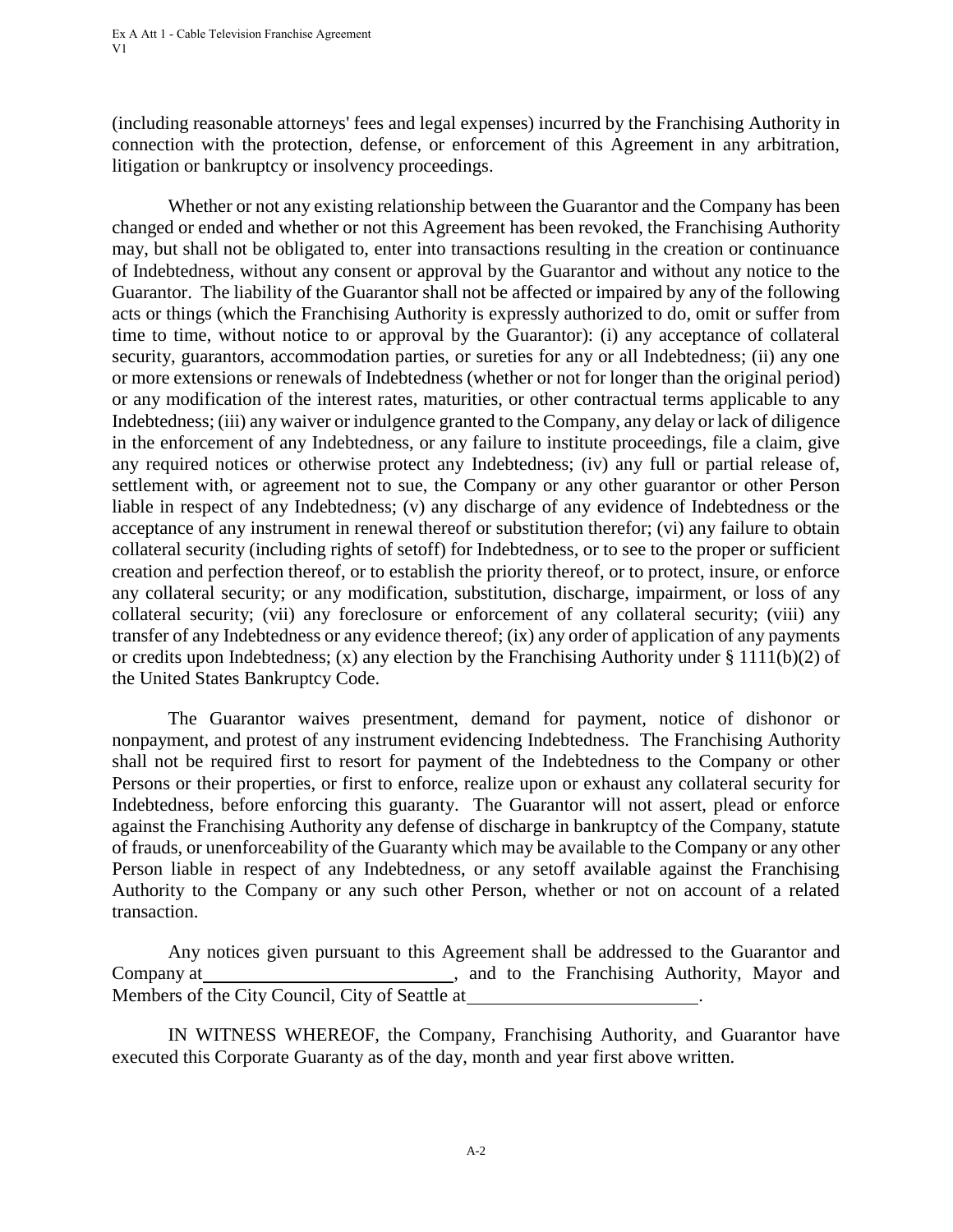(including reasonable attorneys' fees and legal expenses) incurred by the Franchising Authority in connection with the protection, defense, or enforcement of this Agreement in any arbitration, litigation or bankruptcy or insolvency proceedings.

Whether or not any existing relationship between the Guarantor and the Company has been changed or ended and whether or not this Agreement has been revoked, the Franchising Authority may, but shall not be obligated to, enter into transactions resulting in the creation or continuance of Indebtedness, without any consent or approval by the Guarantor and without any notice to the Guarantor. The liability of the Guarantor shall not be affected or impaired by any of the following acts or things (which the Franchising Authority is expressly authorized to do, omit or suffer from time to time, without notice to or approval by the Guarantor): (i) any acceptance of collateral security, guarantors, accommodation parties, or sureties for any or all Indebtedness; (ii) any one or more extensions or renewals of Indebtedness (whether or not for longer than the original period) or any modification of the interest rates, maturities, or other contractual terms applicable to any Indebtedness; (iii) any waiver or indulgence granted to the Company, any delay or lack of diligence in the enforcement of any Indebtedness, or any failure to institute proceedings, file a claim, give any required notices or otherwise protect any Indebtedness; (iv) any full or partial release of, settlement with, or agreement not to sue, the Company or any other guarantor or other Person liable in respect of any Indebtedness; (v) any discharge of any evidence of Indebtedness or the acceptance of any instrument in renewal thereof or substitution therefor; (vi) any failure to obtain collateral security (including rights of setoff) for Indebtedness, or to see to the proper or sufficient creation and perfection thereof, or to establish the priority thereof, or to protect, insure, or enforce any collateral security; or any modification, substitution, discharge, impairment, or loss of any collateral security; (vii) any foreclosure or enforcement of any collateral security; (viii) any transfer of any Indebtedness or any evidence thereof; (ix) any order of application of any payments or credits upon Indebtedness; (x) any election by the Franchising Authority under § 1111(b)(2) of the United States Bankruptcy Code.

The Guarantor waives presentment, demand for payment, notice of dishonor or nonpayment, and protest of any instrument evidencing Indebtedness. The Franchising Authority shall not be required first to resort for payment of the Indebtedness to the Company or other Persons or their properties, or first to enforce, realize upon or exhaust any collateral security for Indebtedness, before enforcing this guaranty. The Guarantor will not assert, plead or enforce against the Franchising Authority any defense of discharge in bankruptcy of the Company, statute of frauds, or unenforceability of the Guaranty which may be available to the Company or any other Person liable in respect of any Indebtedness, or any setoff available against the Franchising Authority to the Company or any such other Person, whether or not on account of a related transaction.

Any notices given pursuant to this Agreement shall be addressed to the Guarantor and Company at **Example 2.1** Company at **Company at**  and to the Franchising Authority, Mayor and Members of the City Council, City of Seattle at

IN WITNESS WHEREOF, the Company, Franchising Authority, and Guarantor have executed this Corporate Guaranty as of the day, month and year first above written.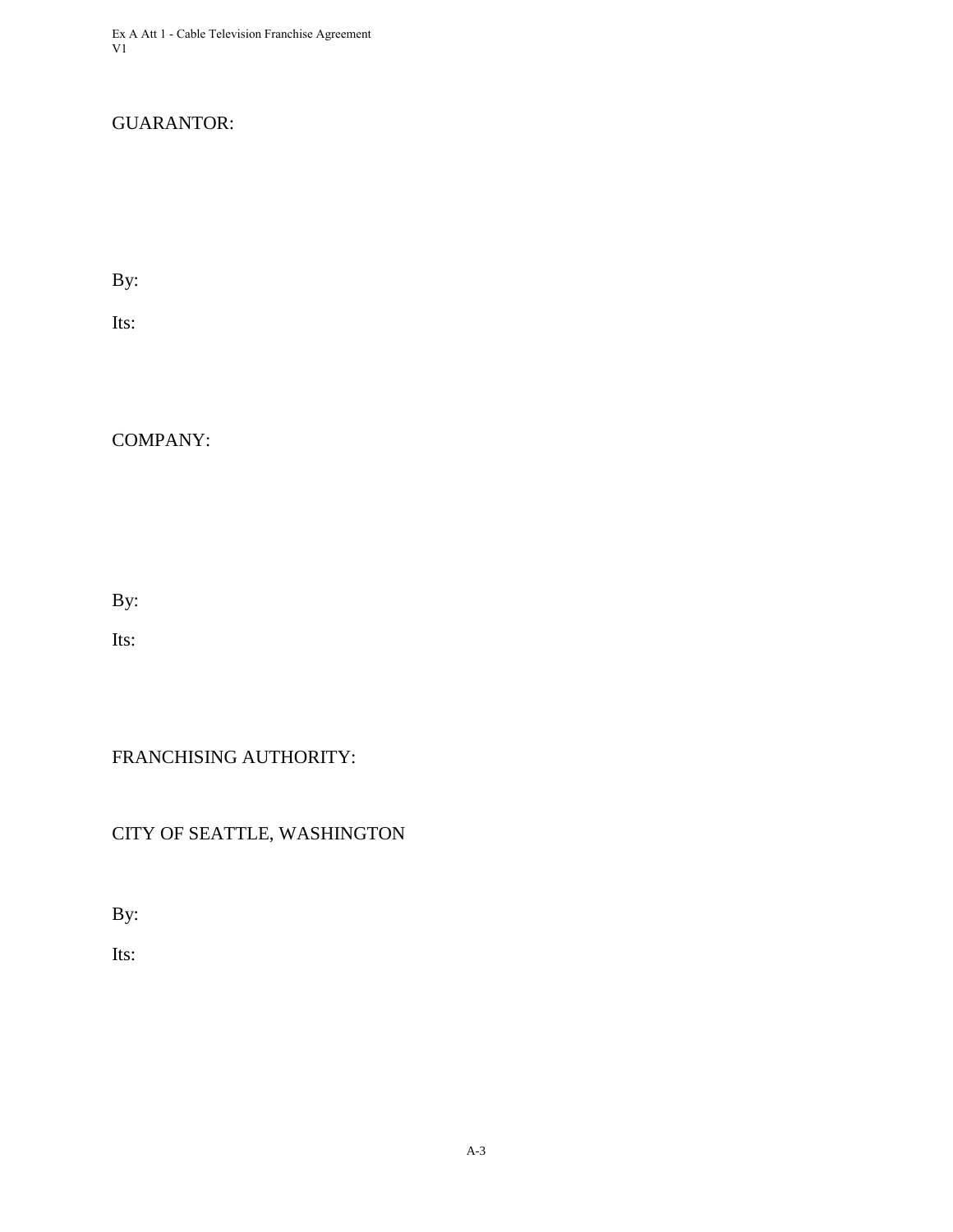Ex A Att 1 - Cable Television Franchise Agreement V1

# GUARANTOR:

By:

Its:

COMPANY:

By:

Its:

FRANCHISING AUTHORITY:

CITY OF SEATTLE, WASHINGTON

By:

Its: